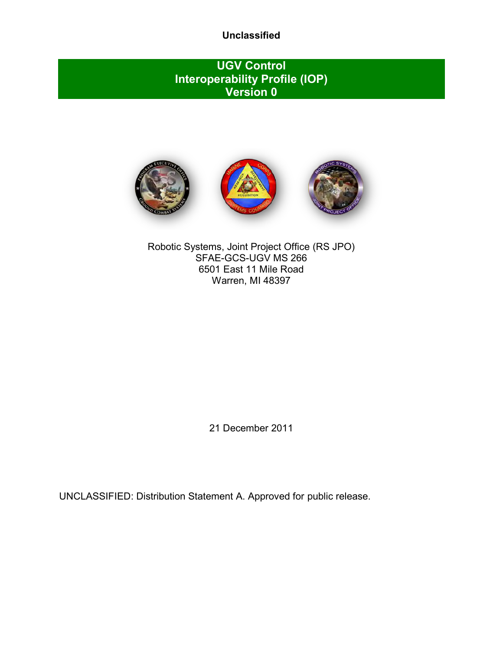## **UGV Control Interoperability Profile (IOP) Version 0**



Robotic Systems, Joint Project Office (RS JPO) SFAE-GCS-UGV MS 266 6501 East 11 Mile Road Warren, MI 48397

21 December 2011

UNCLASSIFIED: Distribution Statement A. Approved for public release.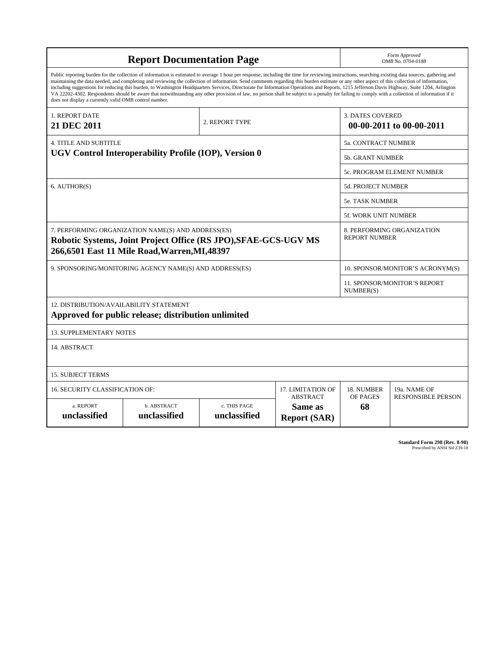|                                                                                                                                                                                                                                                                                                                                                                                                                                                                                                                                                                                                                                                                                                                                                                                                                                                                    | Form Approved<br>OMB No. 0704-0188                                                                               |  |                   |                                  |                                                     |  |  |
|--------------------------------------------------------------------------------------------------------------------------------------------------------------------------------------------------------------------------------------------------------------------------------------------------------------------------------------------------------------------------------------------------------------------------------------------------------------------------------------------------------------------------------------------------------------------------------------------------------------------------------------------------------------------------------------------------------------------------------------------------------------------------------------------------------------------------------------------------------------------|------------------------------------------------------------------------------------------------------------------|--|-------------------|----------------------------------|-----------------------------------------------------|--|--|
| Public reporting burden for the collection of information is estimated to average 1 hour per response, including the time for reviewing instructions, searching existing data sources, gathering and<br>maintaining the data needed, and completing and reviewing the collection of information. Send comments regarding this burden estimate or any other aspect of this collection of information,<br>including suggestions for reducing this burden, to Washington Headquarters Services, Directorate for Information Operations and Reports, 1215 Jefferson Davis Highway, Suite 1204, Arlington<br>VA 22202-4302. Respondents should be aware that notwithstanding any other provision of law, no person shall be subject to a penalty for failing to comply with a collection of information if it<br>does not display a currently valid OMB control number. |                                                                                                                  |  |                   |                                  |                                                     |  |  |
| 1. REPORT DATE<br>2. REPORT TYPE<br>21 DEC 2011                                                                                                                                                                                                                                                                                                                                                                                                                                                                                                                                                                                                                                                                                                                                                                                                                    |                                                                                                                  |  |                   |                                  | <b>3. DATES COVERED</b><br>00-00-2011 to 00-00-2011 |  |  |
| <b>4. TITLE AND SUBTITLE</b>                                                                                                                                                                                                                                                                                                                                                                                                                                                                                                                                                                                                                                                                                                                                                                                                                                       |                                                                                                                  |  |                   | 5a. CONTRACT NUMBER              |                                                     |  |  |
|                                                                                                                                                                                                                                                                                                                                                                                                                                                                                                                                                                                                                                                                                                                                                                                                                                                                    | UGV Control Interoperability Profile (IOP), Version 0                                                            |  |                   | <b>5b. GRANT NUMBER</b>          |                                                     |  |  |
|                                                                                                                                                                                                                                                                                                                                                                                                                                                                                                                                                                                                                                                                                                                                                                                                                                                                    |                                                                                                                  |  |                   |                                  | 5c. PROGRAM ELEMENT NUMBER                          |  |  |
| 6. AUTHOR(S)                                                                                                                                                                                                                                                                                                                                                                                                                                                                                                                                                                                                                                                                                                                                                                                                                                                       |                                                                                                                  |  |                   | 5d. PROJECT NUMBER               |                                                     |  |  |
|                                                                                                                                                                                                                                                                                                                                                                                                                                                                                                                                                                                                                                                                                                                                                                                                                                                                    |                                                                                                                  |  |                   | <b>5e. TASK NUMBER</b>           |                                                     |  |  |
|                                                                                                                                                                                                                                                                                                                                                                                                                                                                                                                                                                                                                                                                                                                                                                                                                                                                    |                                                                                                                  |  |                   | 5f. WORK UNIT NUMBER             |                                                     |  |  |
| 7. PERFORMING ORGANIZATION NAME(S) AND ADDRESS(ES)<br>Robotic Systems, Joint Project Office (RS JPO), SFAE-GCS-UGV MS<br>266,6501 East 11 Mile Road, Warren, MI, 48397                                                                                                                                                                                                                                                                                                                                                                                                                                                                                                                                                                                                                                                                                             |                                                                                                                  |  |                   |                                  | 8. PERFORMING ORGANIZATION<br><b>REPORT NUMBER</b>  |  |  |
|                                                                                                                                                                                                                                                                                                                                                                                                                                                                                                                                                                                                                                                                                                                                                                                                                                                                    | 9. SPONSORING/MONITORING AGENCY NAME(S) AND ADDRESS(ES)                                                          |  |                   | 10. SPONSOR/MONITOR'S ACRONYM(S) |                                                     |  |  |
|                                                                                                                                                                                                                                                                                                                                                                                                                                                                                                                                                                                                                                                                                                                                                                                                                                                                    |                                                                                                                  |  |                   | NUMBER(S)                        | <b>11. SPONSOR/MONITOR'S REPORT</b>                 |  |  |
| 12. DISTRIBUTION/AVAILABILITY STATEMENT                                                                                                                                                                                                                                                                                                                                                                                                                                                                                                                                                                                                                                                                                                                                                                                                                            | Approved for public release; distribution unlimited                                                              |  |                   |                                  |                                                     |  |  |
| <b>13. SUPPLEMENTARY NOTES</b>                                                                                                                                                                                                                                                                                                                                                                                                                                                                                                                                                                                                                                                                                                                                                                                                                                     |                                                                                                                  |  |                   |                                  |                                                     |  |  |
| 14. ABSTRACT                                                                                                                                                                                                                                                                                                                                                                                                                                                                                                                                                                                                                                                                                                                                                                                                                                                       |                                                                                                                  |  |                   |                                  |                                                     |  |  |
| <b>15. SUBJECT TERMS</b>                                                                                                                                                                                                                                                                                                                                                                                                                                                                                                                                                                                                                                                                                                                                                                                                                                           |                                                                                                                  |  |                   |                                  |                                                     |  |  |
| <b>16. SECURITY CLASSIFICATION OF:</b>                                                                                                                                                                                                                                                                                                                                                                                                                                                                                                                                                                                                                                                                                                                                                                                                                             |                                                                                                                  |  | 17. LIMITATION OF | 18. NUMBER                       | 19a. NAME OF                                        |  |  |
| a. REPORT<br>unclassified                                                                                                                                                                                                                                                                                                                                                                                                                                                                                                                                                                                                                                                                                                                                                                                                                                          | <b>ABSTRACT</b><br>b. ABSTRACT<br>c. THIS PAGE<br>Same as<br>unclassified<br>unclassified<br><b>Report (SAR)</b> |  | OF PAGES<br>68    | <b>RESPONSIBLE PERSON</b>        |                                                     |  |  |

**Standard Form 298 (Rev. 8-98)**<br>Prescribed by ANSI Std Z39-18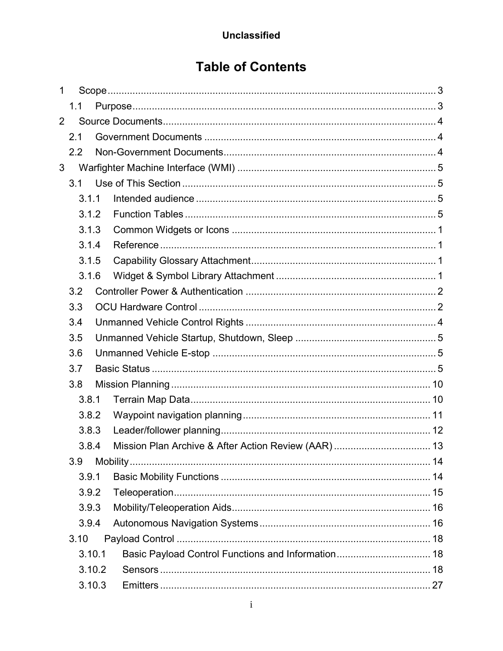# **Table of Contents**

| 1              |        |                                                    |  |
|----------------|--------|----------------------------------------------------|--|
|                | 1.1    |                                                    |  |
| $\overline{2}$ |        |                                                    |  |
|                | 2.1    |                                                    |  |
|                | 2.2    |                                                    |  |
| 3              |        |                                                    |  |
|                | 3.1    |                                                    |  |
|                | 3.1.1  |                                                    |  |
|                | 3.1.2  |                                                    |  |
|                | 3.1.3  |                                                    |  |
|                | 3.1.4  |                                                    |  |
|                | 3.1.5  |                                                    |  |
|                | 3.1.6  |                                                    |  |
|                | 3.2    |                                                    |  |
|                | 3.3    |                                                    |  |
|                | 3.4    |                                                    |  |
|                | 3.5    |                                                    |  |
|                | 3.6    |                                                    |  |
|                | 3.7    |                                                    |  |
|                | 3.8    |                                                    |  |
|                | 3.8.1  |                                                    |  |
|                | 3.8.2  |                                                    |  |
|                | 3.8.3  |                                                    |  |
|                | 3.8.4  |                                                    |  |
|                | 3.9    |                                                    |  |
|                | 3.9.1  |                                                    |  |
|                | 3.9.2  |                                                    |  |
|                | 3.9.3  |                                                    |  |
|                | 3.9.4  |                                                    |  |
|                | 3.10   |                                                    |  |
|                | 3.10.1 | Basic Payload Control Functions and Information 18 |  |
|                | 3.10.2 |                                                    |  |
|                | 3.10.3 |                                                    |  |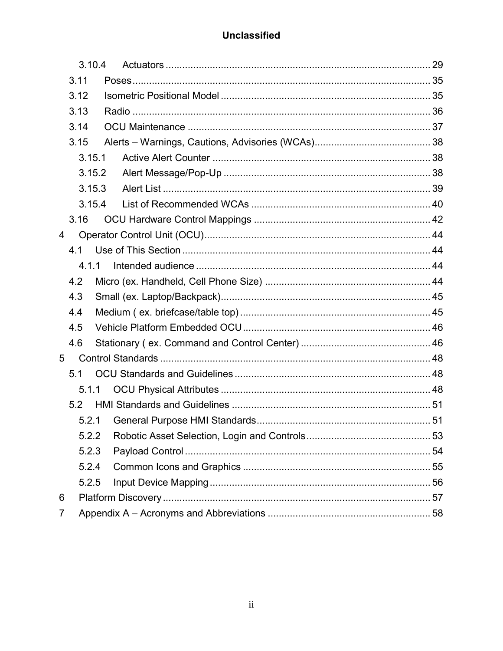|   |      | 3.10.4 |  |
|---|------|--------|--|
|   | 3.11 |        |  |
|   | 3.12 |        |  |
|   | 3.13 |        |  |
|   | 3.14 |        |  |
|   | 3.15 |        |  |
|   |      | 3.15.1 |  |
|   |      | 3.15.2 |  |
|   |      | 3.15.3 |  |
|   |      | 3.15.4 |  |
|   | 3.16 |        |  |
| 4 |      |        |  |
|   | 4.1  |        |  |
|   |      | 4.1.1  |  |
|   | 4.2  |        |  |
|   | 4.3  |        |  |
|   | 4.4  |        |  |
|   | 4.5  |        |  |
|   | 4.6  |        |  |
| 5 |      |        |  |
|   | 5.1  |        |  |
|   |      | 5.1.1  |  |
|   | 5.2  |        |  |
|   |      | 5.2.1  |  |
|   |      | 5.2.2  |  |
|   |      | 5.2.3  |  |
|   |      | 5.2.4  |  |
|   |      | 5.2.5  |  |
| 6 |      |        |  |
| 7 |      |        |  |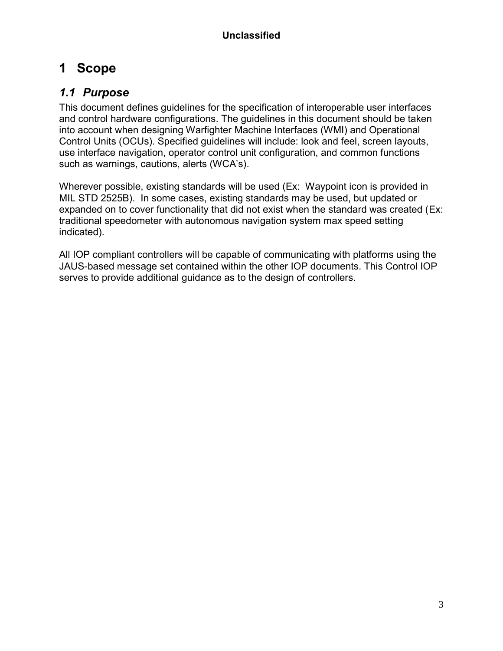# **1 Scope**

## *1.1 Purpose*

This document defines guidelines for the specification of interoperable user interfaces and control hardware configurations. The guidelines in this document should be taken into account when designing Warfighter Machine Interfaces (WMI) and Operational Control Units (OCUs). Specified guidelines will include: look and feel, screen layouts, use interface navigation, operator control unit configuration, and common functions such as warnings, cautions, alerts (WCA's).

Wherever possible, existing standards will be used (Ex: Waypoint icon is provided in MIL STD 2525B). In some cases, existing standards may be used, but updated or expanded on to cover functionality that did not exist when the standard was created (Ex: traditional speedometer with autonomous navigation system max speed setting indicated).

All IOP compliant controllers will be capable of communicating with platforms using the JAUS-based message set contained within the other IOP documents. This Control IOP serves to provide additional guidance as to the design of controllers.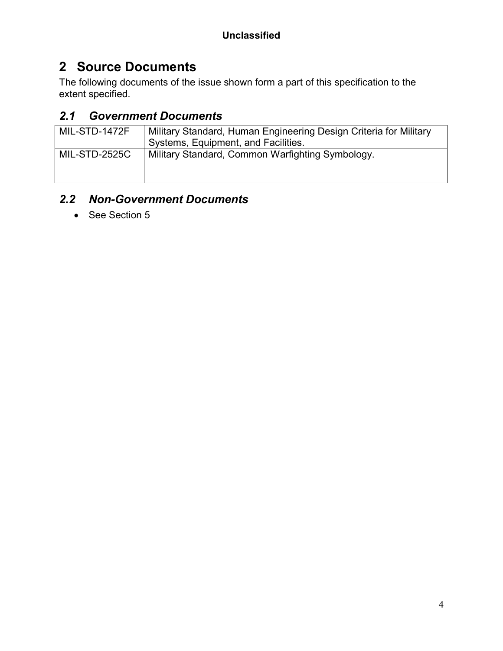# **2 Source Documents**

The following documents of the issue shown form a part of this specification to the extent specified.

## *2.1 Government Documents*

| MIL-STD-1472F | Military Standard, Human Engineering Design Criteria for Military<br>Systems, Equipment, and Facilities. |
|---------------|----------------------------------------------------------------------------------------------------------|
| MIL-STD-2525C | Military Standard, Common Warfighting Symbology.                                                         |

# *2.2 Non-Government Documents*

• See Section 5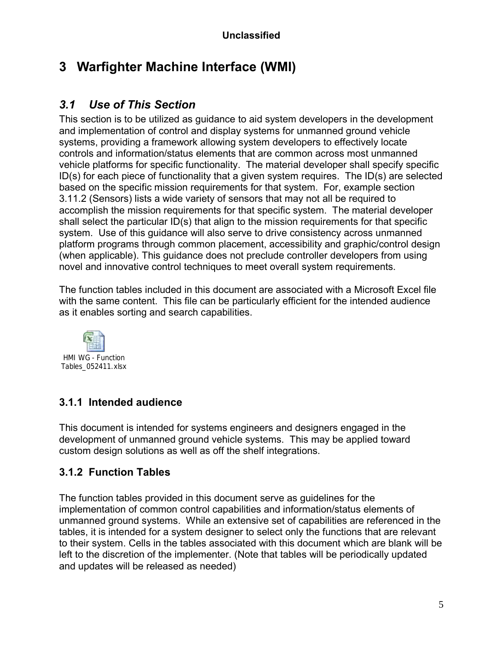# **3 Warfighter Machine Interface (WMI)**

## *3.1 Use of This Section*

This section is to be utilized as guidance to aid system developers in the development and implementation of control and display systems for unmanned ground vehicle systems, providing a framework allowing system developers to effectively locate controls and information/status elements that are common across most unmanned vehicle platforms for specific functionality. The material developer shall specify specific ID(s) for each piece of functionality that a given system requires. The ID(s) are selected based on the specific mission requirements for that system. For, example section 3.11.2 (Sensors) lists a wide variety of sensors that may not all be required to accomplish the mission requirements for that specific system. The material developer shall select the particular ID(s) that align to the mission requirements for that specific system. Use of this guidance will also serve to drive consistency across unmanned platform programs through common placement, accessibility and graphic/control design (when applicable). This guidance does not preclude controller developers from using novel and innovative control techniques to meet overall system requirements.

The function tables included in this document are associated with a Microsoft Excel file with the same content. This file can be particularly efficient for the intended audience as it enables sorting and search capabilities.



## **3.1.1 Intended audience**

This document is intended for systems engineers and designers engaged in the development of unmanned ground vehicle systems. This may be applied toward custom design solutions as well as off the shelf integrations.

## **3.1.2 Function Tables**

The function tables provided in this document serve as guidelines for the implementation of common control capabilities and information/status elements of unmanned ground systems. While an extensive set of capabilities are referenced in the tables, it is intended for a system designer to select only the functions that are relevant to their system. Cells in the tables associated with this document which are blank will be left to the discretion of the implementer. (Note that tables will be periodically updated and updates will be released as needed)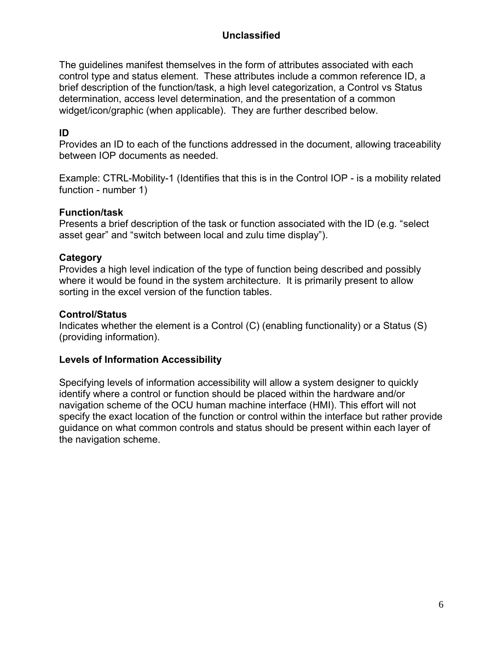The guidelines manifest themselves in the form of attributes associated with each control type and status element. These attributes include a common reference ID, a brief description of the function/task, a high level categorization, a Control vs Status determination, access level determination, and the presentation of a common widget/icon/graphic (when applicable). They are further described below.

#### **ID**

Provides an ID to each of the functions addressed in the document, allowing traceability between IOP documents as needed.

Example: CTRL-Mobility-1 (Identifies that this is in the Control IOP - is a mobility related function - number 1)

#### **Function/task**

Presents a brief description of the task or function associated with the ID (e.g. "select asset gear" and "switch between local and zulu time display").

#### **Category**

Provides a high level indication of the type of function being described and possibly where it would be found in the system architecture. It is primarily present to allow sorting in the excel version of the function tables.

#### **Control/Status**

Indicates whether the element is a Control (C) (enabling functionality) or a Status (S) (providing information).

#### **Levels of Information Accessibility**

Specifying levels of information accessibility will allow a system designer to quickly identify where a control or function should be placed within the hardware and/or navigation scheme of the OCU human machine interface (HMI). This effort will not specify the exact location of the function or control within the interface but rather provide guidance on what common controls and status should be present within each layer of the navigation scheme.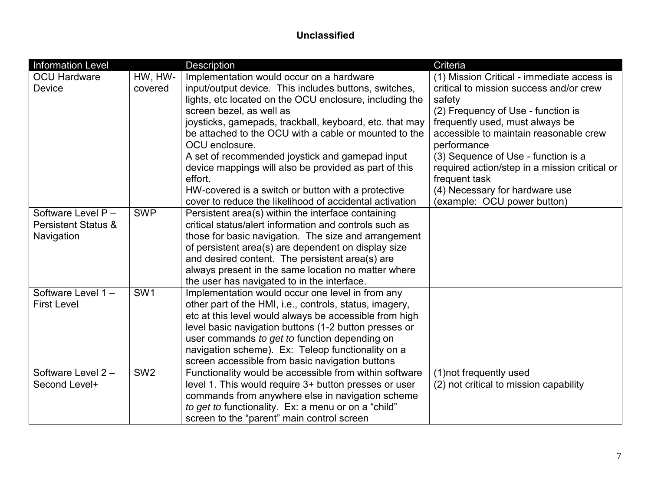| <b>Information Level</b>       |                 | <b>Description</b>                                      | Criteria                                      |
|--------------------------------|-----------------|---------------------------------------------------------|-----------------------------------------------|
| <b>OCU Hardware</b>            | HW, HW-         | Implementation would occur on a hardware                | (1) Mission Critical - immediate access is    |
| Device                         | covered         | input/output device. This includes buttons, switches,   | critical to mission success and/or crew       |
|                                |                 | lights, etc located on the OCU enclosure, including the | safety                                        |
|                                |                 | screen bezel, as well as                                | (2) Frequency of Use - function is            |
|                                |                 | joysticks, gamepads, trackball, keyboard, etc. that may | frequently used, must always be               |
|                                |                 | be attached to the OCU with a cable or mounted to the   | accessible to maintain reasonable crew        |
|                                |                 | OCU enclosure.                                          | performance                                   |
|                                |                 | A set of recommended joystick and gamepad input         | (3) Sequence of Use - function is a           |
|                                |                 | device mappings will also be provided as part of this   | required action/step in a mission critical or |
|                                |                 | effort.                                                 | frequent task                                 |
|                                |                 | HW-covered is a switch or button with a protective      | (4) Necessary for hardware use                |
|                                |                 | cover to reduce the likelihood of accidental activation | (example: OCU power button)                   |
| Software Level P -             | <b>SWP</b>      | Persistent area(s) within the interface containing      |                                               |
| <b>Persistent Status &amp;</b> |                 | critical status/alert information and controls such as  |                                               |
| Navigation                     |                 | those for basic navigation. The size and arrangement    |                                               |
|                                |                 | of persistent area(s) are dependent on display size     |                                               |
|                                |                 | and desired content. The persistent area(s) are         |                                               |
|                                |                 | always present in the same location no matter where     |                                               |
|                                |                 | the user has navigated to in the interface.             |                                               |
| Software Level 1-              | SW <sub>1</sub> | Implementation would occur one level in from any        |                                               |
| <b>First Level</b>             |                 | other part of the HMI, i.e., controls, status, imagery, |                                               |
|                                |                 | etc at this level would always be accessible from high  |                                               |
|                                |                 | level basic navigation buttons (1-2 button presses or   |                                               |
|                                |                 | user commands to get to function depending on           |                                               |
|                                |                 | navigation scheme). Ex: Teleop functionality on a       |                                               |
|                                |                 | screen accessible from basic navigation buttons         |                                               |
| Software Level 2-              | SW <sub>2</sub> | Functionality would be accessible from within software  | (1) not frequently used                       |
| Second Level+                  |                 | level 1. This would require 3+ button presses or user   | (2) not critical to mission capability        |
|                                |                 | commands from anywhere else in navigation scheme        |                                               |
|                                |                 | to get to functionality. Ex: a menu or on a "child"     |                                               |
|                                |                 | screen to the "parent" main control screen              |                                               |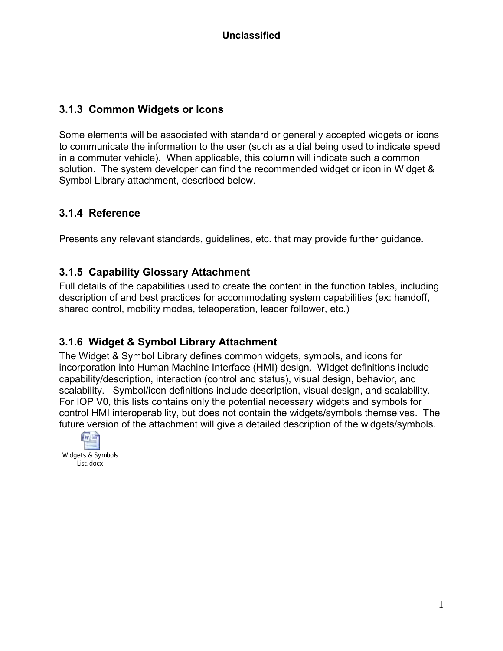#### **3.1.3 Common Widgets or Icons**

Some elements will be associated with standard or generally accepted widgets or icons to communicate the information to the user (such as a dial being used to indicate speed in a commuter vehicle). When applicable, this column will indicate such a common solution. The system developer can find the recommended widget or icon in Widget & Symbol Library attachment, described below.

#### **3.1.4 Reference**

Presents any relevant standards, guidelines, etc. that may provide further guidance.

#### **3.1.5 Capability Glossary Attachment**

Full details of the capabilities used to create the content in the function tables, including description of and best practices for accommodating system capabilities (ex: handoff, shared control, mobility modes, teleoperation, leader follower, etc.)

#### **3.1.6 Widget & Symbol Library Attachment**

The Widget & Symbol Library defines common widgets, symbols, and icons for incorporation into Human Machine Interface (HMI) design. Widget definitions include capability/description, interaction (control and status), visual design, behavior, and scalability. Symbol/icon definitions include description, visual design, and scalability. For IOP V0, this lists contains only the potential necessary widgets and symbols for control HMI interoperability, but does not contain the widgets/symbols themselves. The future version of the attachment will give a detailed description of the widgets/symbols.

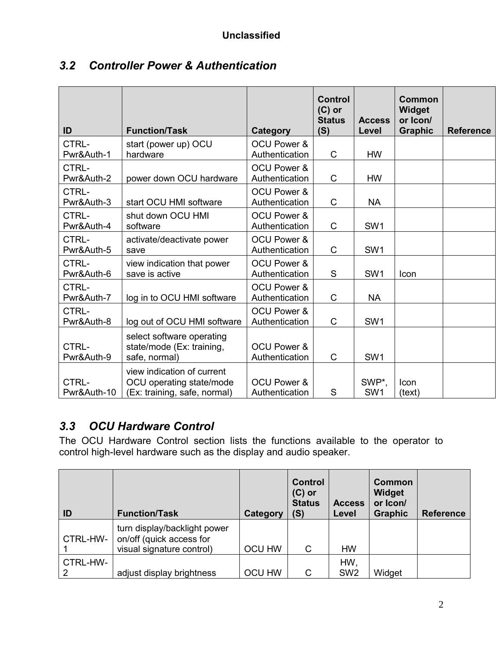| ID                   | <b>Function/Task</b>                                                                   | Category                                 | <b>Control</b><br>$(C)$ or<br><b>Status</b><br>(S) | <b>Access</b><br>Level   | <b>Common</b><br><b>Widget</b><br>or Icon/<br><b>Graphic</b> | <b>Reference</b> |
|----------------------|----------------------------------------------------------------------------------------|------------------------------------------|----------------------------------------------------|--------------------------|--------------------------------------------------------------|------------------|
| CTRL-                | start (power up) OCU                                                                   | <b>OCU Power &amp;</b>                   |                                                    |                          |                                                              |                  |
| Pwr&Auth-1           | hardware                                                                               | Authentication                           | $\mathsf{C}$                                       | <b>HW</b>                |                                                              |                  |
| CTRL-<br>Pwr&Auth-2  | power down OCU hardware                                                                | <b>OCU Power &amp;</b><br>Authentication | C                                                  | <b>HW</b>                |                                                              |                  |
| CTRL-<br>Pwr&Auth-3  | start OCU HMI software                                                                 | <b>OCU Power &amp;</b><br>Authentication | $\mathsf{C}$                                       | <b>NA</b>                |                                                              |                  |
| CTRL-<br>Pwr&Auth-4  | shut down OCU HMI<br>software                                                          | <b>OCU Power &amp;</b><br>Authentication | $\mathsf C$                                        | SW1                      |                                                              |                  |
| CTRL-<br>Pwr&Auth-5  | activate/deactivate power<br>save                                                      | <b>OCU Power &amp;</b><br>Authentication | C                                                  | SW <sub>1</sub>          |                                                              |                  |
| CTRL-<br>Pwr&Auth-6  | view indication that power<br>save is active                                           | <b>OCU Power &amp;</b><br>Authentication | S                                                  | SW <sub>1</sub>          | <b>Icon</b>                                                  |                  |
| CTRL-<br>Pwr&Auth-7  | log in to OCU HMI software                                                             | <b>OCU Power &amp;</b><br>Authentication | $\mathsf{C}$                                       | <b>NA</b>                |                                                              |                  |
| CTRL-<br>Pwr&Auth-8  | log out of OCU HMI software                                                            | OCU Power &<br>Authentication            | C                                                  | SW <sub>1</sub>          |                                                              |                  |
| CTRL-<br>Pwr&Auth-9  | select software operating<br>state/mode (Ex: training,<br>safe, normal)                | <b>OCU Power &amp;</b><br>Authentication | $\mathsf C$                                        | SW <sub>1</sub>          |                                                              |                  |
| CTRL-<br>Pwr&Auth-10 | view indication of current<br>OCU operating state/mode<br>(Ex: training, safe, normal) | <b>OCU Power &amp;</b><br>Authentication | S                                                  | SWP*,<br>SW <sub>1</sub> | <b>Icon</b><br>(text)                                        |                  |

## *3.2 Controller Power & Authentication*

## *3.3 OCU Hardware Control*

The OCU Hardware Control section lists the functions available to the operator to control high-level hardware such as the display and audio speaker.

| ID            | <b>Function/Task</b>                                                                  | Category      | <b>Control</b><br>$(C)$ or<br><b>Status</b><br>(S) | <b>Access</b><br>Level | Common<br>Widget<br>or Icon/<br><b>Graphic</b> | <b>Reference</b> |
|---------------|---------------------------------------------------------------------------------------|---------------|----------------------------------------------------|------------------------|------------------------------------------------|------------------|
| CTRL-HW-      | turn display/backlight power<br>on/off (quick access for<br>visual signature control) | <b>OCU HW</b> | C                                                  | <b>HW</b>              |                                                |                  |
| CTRL-HW-<br>2 | adjust display brightness                                                             | <b>OCU HW</b> | C                                                  | HW,<br>SW <sub>2</sub> | Widget                                         |                  |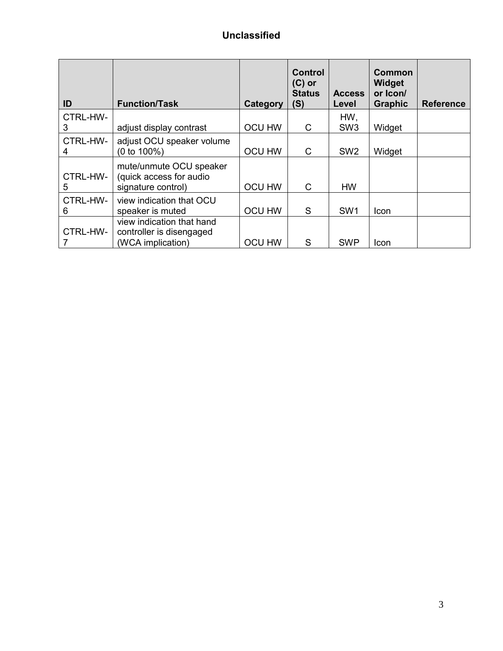| ID            | <b>Function/Task</b>                                                       | Category      | <b>Control</b><br>$(C)$ or<br><b>Status</b><br>(S) | <b>Access</b><br>Level | <b>Common</b><br>Widget<br>or Icon/<br><b>Graphic</b> | <b>Reference</b> |
|---------------|----------------------------------------------------------------------------|---------------|----------------------------------------------------|------------------------|-------------------------------------------------------|------------------|
| CTRL-HW-<br>3 | adjust display contrast                                                    | <b>OCU HW</b> | C                                                  | HW,<br>SW <sub>3</sub> | Widget                                                |                  |
| CTRL-HW-      | adjust OCU speaker volume<br>$(0 to 100\%)$                                | <b>OCU HW</b> | C                                                  | SW <sub>2</sub>        | Widget                                                |                  |
| CTRL-HW-<br>5 | mute/unmute OCU speaker<br>(quick access for audio<br>signature control)   | <b>OCU HW</b> | C                                                  | <b>HW</b>              |                                                       |                  |
| CTRL-HW-<br>6 | view indication that OCU<br>speaker is muted                               | <b>OCU HW</b> | S                                                  | SW <sub>1</sub>        | Icon                                                  |                  |
| CTRL-HW-      | view indication that hand<br>controller is disengaged<br>(WCA implication) | <b>OCU HW</b> | S                                                  | <b>SWP</b>             | Icon                                                  |                  |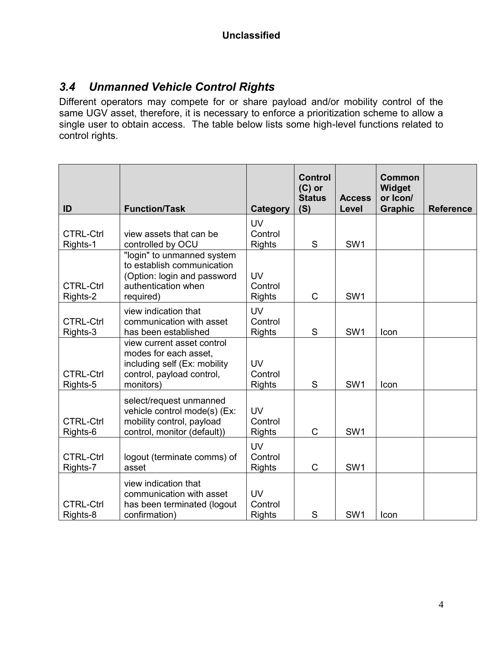## *3.4 Unmanned Vehicle Control Rights*

Different operators may compete for or share payload and/or mobility control of the same UGV asset, therefore, it is necessary to enforce a prioritization scheme to allow a single user to obtain access. The table below lists some high-level functions related to control rights.

| ID                           | <b>Function/Task</b>                                                                                                          | <b>Category</b>                       | <b>Control</b><br>$(C)$ or<br><b>Status</b><br>(S) | <b>Access</b><br>Level | <b>Common</b><br><b>Widget</b><br>or Icon/<br><b>Graphic</b> | <b>Reference</b> |
|------------------------------|-------------------------------------------------------------------------------------------------------------------------------|---------------------------------------|----------------------------------------------------|------------------------|--------------------------------------------------------------|------------------|
|                              |                                                                                                                               | <b>UV</b>                             |                                                    |                        |                                                              |                  |
| <b>CTRL-Ctrl</b><br>Rights-1 | view assets that can be<br>controlled by OCU                                                                                  | Control<br><b>Rights</b>              | S                                                  | SW <sub>1</sub>        |                                                              |                  |
| <b>CTRL-Ctrl</b><br>Rights-2 | "login" to unmanned system<br>to establish communication<br>(Option: login and password<br>authentication when<br>required)   | <b>UV</b><br>Control<br><b>Rights</b> | C                                                  | SW1                    |                                                              |                  |
| <b>CTRL-Ctrl</b><br>Rights-3 | view indication that<br>communication with asset<br>has been established                                                      | <b>UV</b><br>Control<br><b>Rights</b> | S                                                  | SW <sub>1</sub>        | Icon                                                         |                  |
| <b>CTRL-Ctrl</b><br>Rights-5 | view current asset control<br>modes for each asset,<br>including self (Ex: mobility<br>control, payload control,<br>monitors) | <b>UV</b><br>Control<br><b>Rights</b> | S                                                  | SW <sub>1</sub>        | Icon                                                         |                  |
| <b>CTRL-Ctrl</b><br>Rights-6 | select/request unmanned<br>vehicle control mode(s) (Ex:<br>mobility control, payload<br>control, monitor (default))           | <b>UV</b><br>Control<br><b>Rights</b> | C                                                  | SW <sub>1</sub>        |                                                              |                  |
| <b>CTRL-Ctrl</b><br>Rights-7 | logout (terminate comms) of<br>asset                                                                                          | <b>UV</b><br>Control<br><b>Rights</b> | $\mathsf{C}$                                       | SW <sub>1</sub>        |                                                              |                  |
| <b>CTRL-Ctrl</b><br>Rights-8 | view indication that<br>communication with asset<br>has been terminated (logout<br>confirmation)                              | <b>UV</b><br>Control<br><b>Rights</b> | S                                                  | SW <sub>1</sub>        | Icon                                                         |                  |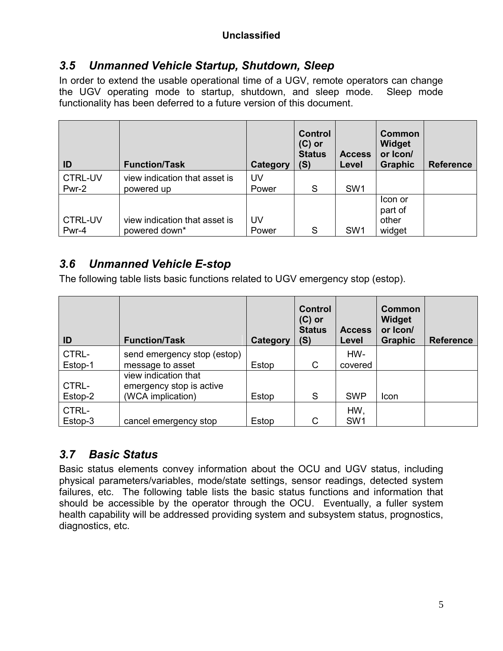## *3.5 Unmanned Vehicle Startup, Shutdown, Sleep*

In order to extend the usable operational time of a UGV, remote operators can change the UGV operating mode to startup, shutdown, and sleep mode. Sleep mode functionality has been deferred to a future version of this document.

| ID                      | <b>Function/Task</b>                        | Category    | <b>Control</b><br>$(C)$ or<br><b>Status</b><br>(S) | <b>Access</b><br>Level | <b>Common</b><br>Widget<br>or Icon/<br><b>Graphic</b> | <b>Reference</b> |
|-------------------------|---------------------------------------------|-------------|----------------------------------------------------|------------------------|-------------------------------------------------------|------------------|
| <b>CTRL-UV</b><br>Pwr-2 | view indication that asset is<br>powered up | UV<br>Power | S                                                  | SW <sub>1</sub>        |                                                       |                  |
| <b>CTRL-UV</b>          | view indication that asset is               | UV          |                                                    |                        | Icon or<br>part of<br>other                           |                  |
| Pwr-4                   | powered down*                               | Power       | S                                                  | SW <sub>1</sub>        | widget                                                |                  |

## *3.6 Unmanned Vehicle E-stop*

The following table lists basic functions related to UGV emergency stop (estop).

| ID               | <b>Function/Task</b>                             | Category | <b>Control</b><br>$(C)$ or<br><b>Status</b><br>(S) | <b>Access</b><br>Level | <b>Common</b><br><b>Widget</b><br>or Icon/<br><b>Graphic</b> | <b>Reference</b> |
|------------------|--------------------------------------------------|----------|----------------------------------------------------|------------------------|--------------------------------------------------------------|------------------|
| CTRL-            | send emergency stop (estop)                      |          |                                                    | HW-                    |                                                              |                  |
| Estop-1          | message to asset                                 | Estop    | C                                                  | covered                |                                                              |                  |
| CTRL-            | view indication that<br>emergency stop is active |          |                                                    |                        |                                                              |                  |
| Estop-2          | (WCA implication)                                | Estop    | S                                                  | <b>SWP</b>             | Icon                                                         |                  |
| CTRL-<br>Estop-3 | cancel emergency stop                            | Estop    | C                                                  | HW,<br>SW <sub>1</sub> |                                                              |                  |

## *3.7 Basic Status*

Basic status elements convey information about the OCU and UGV status, including physical parameters/variables, mode/state settings, sensor readings, detected system failures, etc. The following table lists the basic status functions and information that should be accessible by the operator through the OCU. Eventually, a fuller system health capability will be addressed providing system and subsystem status, prognostics, diagnostics, etc.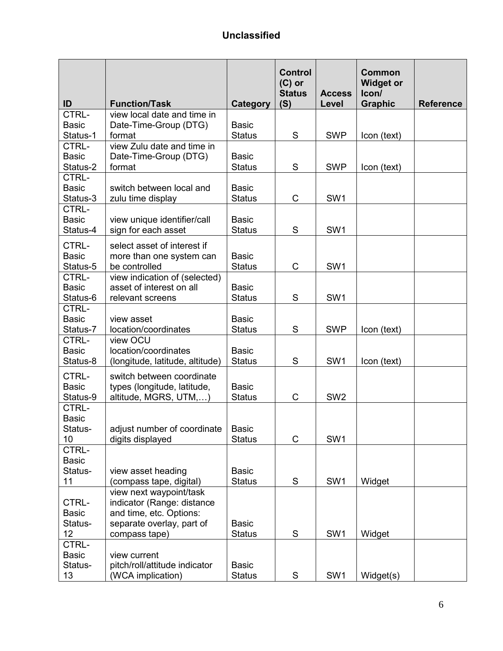| CTRL-<br>view local date and time in<br><b>Basic</b><br><b>Basic</b><br>Date-Time-Group (DTG)<br>Status-1<br>S<br><b>SWP</b><br>format<br><b>Status</b><br>Icon (text)<br>CTRL-<br>view Zulu date and time in<br><b>Basic</b><br>Date-Time-Group (DTG)<br><b>Basic</b><br>S<br><b>SWP</b><br>Status-2<br><b>Status</b><br>format<br>Icon (text)<br>CTRL-<br><b>Basic</b><br>switch between local and<br><b>Basic</b><br>C<br>SW <sub>1</sub><br>Status-3<br><b>Status</b><br>zulu time display<br>CTRL-<br><b>Basic</b><br>view unique identifier/call<br><b>Basic</b><br>SW <sub>1</sub><br>sign for each asset<br>S<br>Status-4<br><b>Status</b><br>CTRL-<br>select asset of interest if<br><b>Basic</b><br>more than one system can<br><b>Basic</b><br>$\mathsf C$<br>SW <sub>1</sub><br>Status-5<br>be controlled<br><b>Status</b><br>CTRL-<br>view indication of (selected)<br><b>Basic</b><br>asset of interest on all<br><b>Basic</b><br>S<br>SW <sub>1</sub><br>Status-6<br><b>Status</b><br>relevant screens<br>CTRL-<br><b>Basic</b><br><b>Basic</b><br>view asset<br>S<br><b>SWP</b><br><b>Status</b><br>Icon (text)<br>Status-7<br>location/coordinates<br>CTRL-<br>view OCU<br>location/coordinates<br><b>Basic</b><br><b>Basic</b><br>S<br>SW <sub>1</sub><br>Status-8<br>(longitude, latitude, altitude)<br><b>Status</b><br>Icon (text)<br>CTRL-<br>switch between coordinate | ID | <b>Function/Task</b> | <b>Category</b> | <b>Control</b><br>$(C)$ or<br><b>Status</b><br>(S) | <b>Access</b><br>Level | <b>Common</b><br><b>Widget or</b><br>Icon/<br><b>Graphic</b> | <b>Reference</b> |
|-----------------------------------------------------------------------------------------------------------------------------------------------------------------------------------------------------------------------------------------------------------------------------------------------------------------------------------------------------------------------------------------------------------------------------------------------------------------------------------------------------------------------------------------------------------------------------------------------------------------------------------------------------------------------------------------------------------------------------------------------------------------------------------------------------------------------------------------------------------------------------------------------------------------------------------------------------------------------------------------------------------------------------------------------------------------------------------------------------------------------------------------------------------------------------------------------------------------------------------------------------------------------------------------------------------------------------------------------------------------------------------------------|----|----------------------|-----------------|----------------------------------------------------|------------------------|--------------------------------------------------------------|------------------|
|                                                                                                                                                                                                                                                                                                                                                                                                                                                                                                                                                                                                                                                                                                                                                                                                                                                                                                                                                                                                                                                                                                                                                                                                                                                                                                                                                                                               |    |                      |                 |                                                    |                        |                                                              |                  |
|                                                                                                                                                                                                                                                                                                                                                                                                                                                                                                                                                                                                                                                                                                                                                                                                                                                                                                                                                                                                                                                                                                                                                                                                                                                                                                                                                                                               |    |                      |                 |                                                    |                        |                                                              |                  |
|                                                                                                                                                                                                                                                                                                                                                                                                                                                                                                                                                                                                                                                                                                                                                                                                                                                                                                                                                                                                                                                                                                                                                                                                                                                                                                                                                                                               |    |                      |                 |                                                    |                        |                                                              |                  |
|                                                                                                                                                                                                                                                                                                                                                                                                                                                                                                                                                                                                                                                                                                                                                                                                                                                                                                                                                                                                                                                                                                                                                                                                                                                                                                                                                                                               |    |                      |                 |                                                    |                        |                                                              |                  |
|                                                                                                                                                                                                                                                                                                                                                                                                                                                                                                                                                                                                                                                                                                                                                                                                                                                                                                                                                                                                                                                                                                                                                                                                                                                                                                                                                                                               |    |                      |                 |                                                    |                        |                                                              |                  |
|                                                                                                                                                                                                                                                                                                                                                                                                                                                                                                                                                                                                                                                                                                                                                                                                                                                                                                                                                                                                                                                                                                                                                                                                                                                                                                                                                                                               |    |                      |                 |                                                    |                        |                                                              |                  |
|                                                                                                                                                                                                                                                                                                                                                                                                                                                                                                                                                                                                                                                                                                                                                                                                                                                                                                                                                                                                                                                                                                                                                                                                                                                                                                                                                                                               |    |                      |                 |                                                    |                        |                                                              |                  |
|                                                                                                                                                                                                                                                                                                                                                                                                                                                                                                                                                                                                                                                                                                                                                                                                                                                                                                                                                                                                                                                                                                                                                                                                                                                                                                                                                                                               |    |                      |                 |                                                    |                        |                                                              |                  |
|                                                                                                                                                                                                                                                                                                                                                                                                                                                                                                                                                                                                                                                                                                                                                                                                                                                                                                                                                                                                                                                                                                                                                                                                                                                                                                                                                                                               |    |                      |                 |                                                    |                        |                                                              |                  |
|                                                                                                                                                                                                                                                                                                                                                                                                                                                                                                                                                                                                                                                                                                                                                                                                                                                                                                                                                                                                                                                                                                                                                                                                                                                                                                                                                                                               |    |                      |                 |                                                    |                        |                                                              |                  |
|                                                                                                                                                                                                                                                                                                                                                                                                                                                                                                                                                                                                                                                                                                                                                                                                                                                                                                                                                                                                                                                                                                                                                                                                                                                                                                                                                                                               |    |                      |                 |                                                    |                        |                                                              |                  |
|                                                                                                                                                                                                                                                                                                                                                                                                                                                                                                                                                                                                                                                                                                                                                                                                                                                                                                                                                                                                                                                                                                                                                                                                                                                                                                                                                                                               |    |                      |                 |                                                    |                        |                                                              |                  |
|                                                                                                                                                                                                                                                                                                                                                                                                                                                                                                                                                                                                                                                                                                                                                                                                                                                                                                                                                                                                                                                                                                                                                                                                                                                                                                                                                                                               |    |                      |                 |                                                    |                        |                                                              |                  |
|                                                                                                                                                                                                                                                                                                                                                                                                                                                                                                                                                                                                                                                                                                                                                                                                                                                                                                                                                                                                                                                                                                                                                                                                                                                                                                                                                                                               |    |                      |                 |                                                    |                        |                                                              |                  |
|                                                                                                                                                                                                                                                                                                                                                                                                                                                                                                                                                                                                                                                                                                                                                                                                                                                                                                                                                                                                                                                                                                                                                                                                                                                                                                                                                                                               |    |                      |                 |                                                    |                        |                                                              |                  |
|                                                                                                                                                                                                                                                                                                                                                                                                                                                                                                                                                                                                                                                                                                                                                                                                                                                                                                                                                                                                                                                                                                                                                                                                                                                                                                                                                                                               |    |                      |                 |                                                    |                        |                                                              |                  |
|                                                                                                                                                                                                                                                                                                                                                                                                                                                                                                                                                                                                                                                                                                                                                                                                                                                                                                                                                                                                                                                                                                                                                                                                                                                                                                                                                                                               |    |                      |                 |                                                    |                        |                                                              |                  |
|                                                                                                                                                                                                                                                                                                                                                                                                                                                                                                                                                                                                                                                                                                                                                                                                                                                                                                                                                                                                                                                                                                                                                                                                                                                                                                                                                                                               |    |                      |                 |                                                    |                        |                                                              |                  |
|                                                                                                                                                                                                                                                                                                                                                                                                                                                                                                                                                                                                                                                                                                                                                                                                                                                                                                                                                                                                                                                                                                                                                                                                                                                                                                                                                                                               |    |                      |                 |                                                    |                        |                                                              |                  |
|                                                                                                                                                                                                                                                                                                                                                                                                                                                                                                                                                                                                                                                                                                                                                                                                                                                                                                                                                                                                                                                                                                                                                                                                                                                                                                                                                                                               |    |                      |                 |                                                    |                        |                                                              |                  |
|                                                                                                                                                                                                                                                                                                                                                                                                                                                                                                                                                                                                                                                                                                                                                                                                                                                                                                                                                                                                                                                                                                                                                                                                                                                                                                                                                                                               |    |                      |                 |                                                    |                        |                                                              |                  |
|                                                                                                                                                                                                                                                                                                                                                                                                                                                                                                                                                                                                                                                                                                                                                                                                                                                                                                                                                                                                                                                                                                                                                                                                                                                                                                                                                                                               |    |                      |                 |                                                    |                        |                                                              |                  |
|                                                                                                                                                                                                                                                                                                                                                                                                                                                                                                                                                                                                                                                                                                                                                                                                                                                                                                                                                                                                                                                                                                                                                                                                                                                                                                                                                                                               |    |                      |                 |                                                    |                        |                                                              |                  |
|                                                                                                                                                                                                                                                                                                                                                                                                                                                                                                                                                                                                                                                                                                                                                                                                                                                                                                                                                                                                                                                                                                                                                                                                                                                                                                                                                                                               |    |                      |                 |                                                    |                        |                                                              |                  |
|                                                                                                                                                                                                                                                                                                                                                                                                                                                                                                                                                                                                                                                                                                                                                                                                                                                                                                                                                                                                                                                                                                                                                                                                                                                                                                                                                                                               |    |                      |                 |                                                    |                        |                                                              |                  |
|                                                                                                                                                                                                                                                                                                                                                                                                                                                                                                                                                                                                                                                                                                                                                                                                                                                                                                                                                                                                                                                                                                                                                                                                                                                                                                                                                                                               |    |                      |                 |                                                    |                        |                                                              |                  |
| <b>Basic</b><br>types (longitude, latitude,<br><b>Basic</b>                                                                                                                                                                                                                                                                                                                                                                                                                                                                                                                                                                                                                                                                                                                                                                                                                                                                                                                                                                                                                                                                                                                                                                                                                                                                                                                                   |    |                      |                 |                                                    |                        |                                                              |                  |
| SW <sub>2</sub><br>altitude, MGRS, UTM,)<br>C<br><b>Status</b><br>Status-9                                                                                                                                                                                                                                                                                                                                                                                                                                                                                                                                                                                                                                                                                                                                                                                                                                                                                                                                                                                                                                                                                                                                                                                                                                                                                                                    |    |                      |                 |                                                    |                        |                                                              |                  |
| CTRL-                                                                                                                                                                                                                                                                                                                                                                                                                                                                                                                                                                                                                                                                                                                                                                                                                                                                                                                                                                                                                                                                                                                                                                                                                                                                                                                                                                                         |    |                      |                 |                                                    |                        |                                                              |                  |
| <b>Basic</b>                                                                                                                                                                                                                                                                                                                                                                                                                                                                                                                                                                                                                                                                                                                                                                                                                                                                                                                                                                                                                                                                                                                                                                                                                                                                                                                                                                                  |    |                      |                 |                                                    |                        |                                                              |                  |
| adjust number of coordinate   Basic<br>Status-                                                                                                                                                                                                                                                                                                                                                                                                                                                                                                                                                                                                                                                                                                                                                                                                                                                                                                                                                                                                                                                                                                                                                                                                                                                                                                                                                |    |                      |                 |                                                    |                        |                                                              |                  |
| SW <sub>1</sub><br>C<br>10<br><b>Status</b><br>digits displayed                                                                                                                                                                                                                                                                                                                                                                                                                                                                                                                                                                                                                                                                                                                                                                                                                                                                                                                                                                                                                                                                                                                                                                                                                                                                                                                               |    |                      |                 |                                                    |                        |                                                              |                  |
| CTRL-                                                                                                                                                                                                                                                                                                                                                                                                                                                                                                                                                                                                                                                                                                                                                                                                                                                                                                                                                                                                                                                                                                                                                                                                                                                                                                                                                                                         |    |                      |                 |                                                    |                        |                                                              |                  |
| <b>Basic</b>                                                                                                                                                                                                                                                                                                                                                                                                                                                                                                                                                                                                                                                                                                                                                                                                                                                                                                                                                                                                                                                                                                                                                                                                                                                                                                                                                                                  |    |                      |                 |                                                    |                        |                                                              |                  |
| Status-<br>view asset heading<br><b>Basic</b>                                                                                                                                                                                                                                                                                                                                                                                                                                                                                                                                                                                                                                                                                                                                                                                                                                                                                                                                                                                                                                                                                                                                                                                                                                                                                                                                                 |    |                      |                 |                                                    |                        |                                                              |                  |
| S<br>SW <sub>1</sub><br>11<br>(compass tape, digital)<br><b>Status</b><br>Widget                                                                                                                                                                                                                                                                                                                                                                                                                                                                                                                                                                                                                                                                                                                                                                                                                                                                                                                                                                                                                                                                                                                                                                                                                                                                                                              |    |                      |                 |                                                    |                        |                                                              |                  |
| view next waypoint/task                                                                                                                                                                                                                                                                                                                                                                                                                                                                                                                                                                                                                                                                                                                                                                                                                                                                                                                                                                                                                                                                                                                                                                                                                                                                                                                                                                       |    |                      |                 |                                                    |                        |                                                              |                  |
| indicator (Range: distance<br>CTRL-                                                                                                                                                                                                                                                                                                                                                                                                                                                                                                                                                                                                                                                                                                                                                                                                                                                                                                                                                                                                                                                                                                                                                                                                                                                                                                                                                           |    |                      |                 |                                                    |                        |                                                              |                  |
| and time, etc. Options:<br><b>Basic</b>                                                                                                                                                                                                                                                                                                                                                                                                                                                                                                                                                                                                                                                                                                                                                                                                                                                                                                                                                                                                                                                                                                                                                                                                                                                                                                                                                       |    |                      |                 |                                                    |                        |                                                              |                  |
| Status-<br>separate overlay, part of<br><b>Basic</b>                                                                                                                                                                                                                                                                                                                                                                                                                                                                                                                                                                                                                                                                                                                                                                                                                                                                                                                                                                                                                                                                                                                                                                                                                                                                                                                                          |    |                      |                 |                                                    |                        |                                                              |                  |
| S<br>12 <sub>2</sub><br>SW <sub>1</sub><br><b>Status</b><br>Widget<br>compass tape)                                                                                                                                                                                                                                                                                                                                                                                                                                                                                                                                                                                                                                                                                                                                                                                                                                                                                                                                                                                                                                                                                                                                                                                                                                                                                                           |    |                      |                 |                                                    |                        |                                                              |                  |
| CTRL-                                                                                                                                                                                                                                                                                                                                                                                                                                                                                                                                                                                                                                                                                                                                                                                                                                                                                                                                                                                                                                                                                                                                                                                                                                                                                                                                                                                         |    |                      |                 |                                                    |                        |                                                              |                  |
| <b>Basic</b><br>view current                                                                                                                                                                                                                                                                                                                                                                                                                                                                                                                                                                                                                                                                                                                                                                                                                                                                                                                                                                                                                                                                                                                                                                                                                                                                                                                                                                  |    |                      |                 |                                                    |                        |                                                              |                  |
| Status-<br>pitch/roll/attitude indicator<br><b>Basic</b>                                                                                                                                                                                                                                                                                                                                                                                                                                                                                                                                                                                                                                                                                                                                                                                                                                                                                                                                                                                                                                                                                                                                                                                                                                                                                                                                      |    |                      |                 |                                                    |                        |                                                              |                  |
| S<br>SW <sub>1</sub><br>13<br><b>Status</b><br>Widget(s)<br>(WCA implication)                                                                                                                                                                                                                                                                                                                                                                                                                                                                                                                                                                                                                                                                                                                                                                                                                                                                                                                                                                                                                                                                                                                                                                                                                                                                                                                 |    |                      |                 |                                                    |                        |                                                              |                  |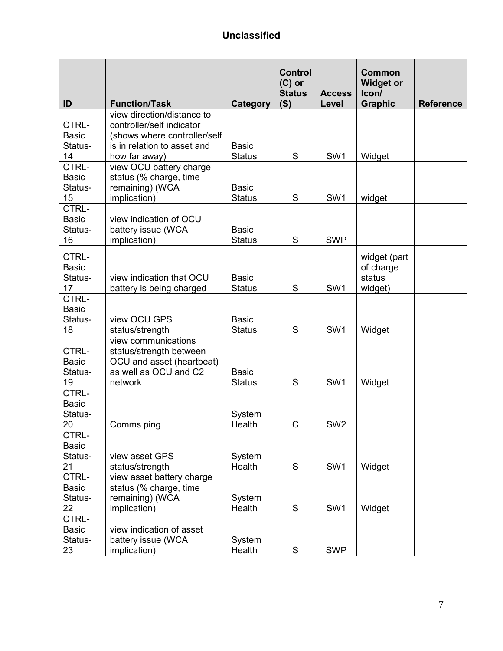| ID                                     | <b>Function/Task</b>                                                                                            | <b>Category</b>               | <b>Control</b><br>$(C)$ or<br><b>Status</b><br>(S) | <b>Access</b><br>Level | <b>Common</b><br><b>Widget or</b><br>Icon/<br><b>Graphic</b> | <b>Reference</b> |
|----------------------------------------|-----------------------------------------------------------------------------------------------------------------|-------------------------------|----------------------------------------------------|------------------------|--------------------------------------------------------------|------------------|
| CTRL-<br><b>Basic</b>                  | view direction/distance to<br>controller/self indicator<br>(shows where controller/self                         |                               |                                                    |                        |                                                              |                  |
| Status-<br>14                          | is in relation to asset and<br>how far away)                                                                    | <b>Basic</b><br><b>Status</b> | S                                                  | SW <sub>1</sub>        | Widget                                                       |                  |
| CTRL-<br><b>Basic</b><br>Status-<br>15 | view OCU battery charge<br>status (% charge, time<br>remaining) (WCA<br>implication)                            | <b>Basic</b><br><b>Status</b> | S                                                  | SW <sub>1</sub>        | widget                                                       |                  |
| CTRL-<br><b>Basic</b><br>Status-<br>16 | view indication of OCU<br>battery issue (WCA<br>implication)                                                    | <b>Basic</b><br><b>Status</b> | S                                                  | <b>SWP</b>             |                                                              |                  |
| CTRL-<br><b>Basic</b><br>Status-<br>17 | view indication that OCU<br>battery is being charged                                                            | <b>Basic</b><br><b>Status</b> | S                                                  | SW <sub>1</sub>        | widget (part<br>of charge<br>status<br>widget)               |                  |
| CTRL-<br><b>Basic</b><br>Status-<br>18 | view OCU GPS<br>status/strength                                                                                 | <b>Basic</b><br><b>Status</b> | S                                                  | SW <sub>1</sub>        | Widget                                                       |                  |
| CTRL-<br><b>Basic</b><br>Status-<br>19 | view communications<br>status/strength between<br>OCU and asset (heartbeat)<br>as well as OCU and C2<br>network | <b>Basic</b><br><b>Status</b> | S                                                  | SW <sub>1</sub>        | Widget                                                       |                  |
| CTRL-<br><b>Basic</b><br>Status-<br>20 | Comms ping                                                                                                      | System<br>Health              | C                                                  | SW <sub>2</sub>        |                                                              |                  |
| CTRL-<br><b>Basic</b><br>Status-<br>21 | view asset GPS<br>status/strength                                                                               | System<br>Health              | S                                                  | SW <sub>1</sub>        | Widget                                                       |                  |
| CTRL-<br><b>Basic</b><br>Status-<br>22 | view asset battery charge<br>status (% charge, time<br>remaining) (WCA<br>implication)                          | System<br>Health              | S                                                  | SW <sub>1</sub>        | Widget                                                       |                  |
| CTRL-<br><b>Basic</b><br>Status-<br>23 | view indication of asset<br>battery issue (WCA<br>implication)                                                  | System<br>Health              | ${\mathsf S}$                                      | <b>SWP</b>             |                                                              |                  |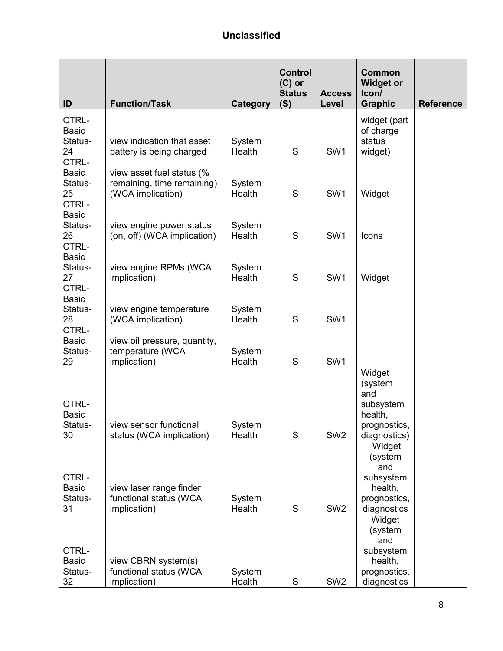| ID                                     | <b>Function/Task</b>                               | <b>Category</b>  | <b>Control</b><br>$(C)$ or<br><b>Status</b><br>(S) | <b>Access</b><br>Level | <b>Common</b><br><b>Widget or</b><br>Icon/<br><b>Graphic</b>          | <b>Reference</b> |
|----------------------------------------|----------------------------------------------------|------------------|----------------------------------------------------|------------------------|-----------------------------------------------------------------------|------------------|
| CTRL-                                  |                                                    |                  |                                                    |                        | widget (part                                                          |                  |
| <b>Basic</b>                           |                                                    |                  |                                                    |                        | of charge                                                             |                  |
| Status-                                | view indication that asset                         | System<br>Health | S                                                  | SW1                    | status                                                                |                  |
| 24<br>CTRL-                            | battery is being charged                           |                  |                                                    |                        | widget)                                                               |                  |
| <b>Basic</b>                           | view asset fuel status (%                          |                  |                                                    |                        |                                                                       |                  |
| Status-                                | remaining, time remaining)                         | System           |                                                    |                        |                                                                       |                  |
| 25                                     | (WCA implication)                                  | Health           | S                                                  | SW <sub>1</sub>        | Widget                                                                |                  |
| CTRL-<br><b>Basic</b>                  |                                                    |                  |                                                    |                        |                                                                       |                  |
| Status-                                | view engine power status                           | System           |                                                    |                        |                                                                       |                  |
| 26                                     | (on, off) (WCA implication)                        | Health           | S                                                  | SW <sub>1</sub>        | Icons                                                                 |                  |
| CTRL-                                  |                                                    |                  |                                                    |                        |                                                                       |                  |
| <b>Basic</b><br>Status-                | view engine RPMs (WCA                              | System           |                                                    |                        |                                                                       |                  |
| 27                                     | implication)                                       | Health           | S                                                  | SW <sub>1</sub>        | Widget                                                                |                  |
| CTRL-                                  |                                                    |                  |                                                    |                        |                                                                       |                  |
| <b>Basic</b>                           |                                                    |                  |                                                    |                        |                                                                       |                  |
| Status-<br>28                          | view engine temperature<br>(WCA implication)       | System<br>Health | S                                                  | SW <sub>1</sub>        |                                                                       |                  |
| CTRL-                                  |                                                    |                  |                                                    |                        |                                                                       |                  |
| <b>Basic</b>                           | view oil pressure, quantity,                       |                  |                                                    |                        |                                                                       |                  |
| Status-<br>29                          | temperature (WCA<br>implication)                   | System<br>Health | $\mathbf S$                                        | SW <sub>1</sub>        |                                                                       |                  |
|                                        |                                                    |                  |                                                    |                        | Widget                                                                |                  |
| CTRL-<br><b>Basic</b><br>Status-<br>30 | view sensor functional<br>status (WCA implication) | System<br>Health | S                                                  | SW <sub>2</sub>        | (system<br>and<br>subsystem<br>health,<br>prognostics<br>diagnostics) |                  |
|                                        |                                                    |                  |                                                    |                        | Widget<br>(system<br>and                                              |                  |
| CTRL-                                  |                                                    |                  |                                                    |                        | subsystem                                                             |                  |
| <b>Basic</b><br>Status-                | view laser range finder<br>functional status (WCA  | System           |                                                    |                        | health,<br>prognostics,                                               |                  |
| 31                                     | implication)                                       | Health           | S                                                  | SW <sub>2</sub>        | diagnostics                                                           |                  |
|                                        |                                                    |                  |                                                    |                        | Widget                                                                |                  |
|                                        |                                                    |                  |                                                    |                        | (system                                                               |                  |
| CTRL-                                  |                                                    |                  |                                                    |                        | and<br>subsystem                                                      |                  |
| <b>Basic</b>                           | view CBRN system(s)                                |                  |                                                    |                        | health,                                                               |                  |
| Status-                                | functional status (WCA                             | System           |                                                    |                        | prognostics,                                                          |                  |
| 32                                     | implication)                                       | Health           | S                                                  | SW <sub>2</sub>        | diagnostics                                                           |                  |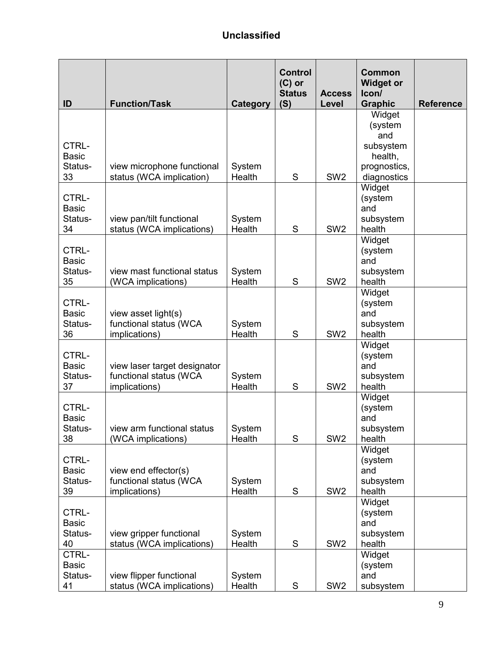|                         |                                                       |                  | <b>Control</b><br>$(C)$ or<br><b>Status</b> | <b>Access</b>   | <b>Common</b><br><b>Widget or</b><br>Icon/ |                  |
|-------------------------|-------------------------------------------------------|------------------|---------------------------------------------|-----------------|--------------------------------------------|------------------|
| ID                      | <b>Function/Task</b>                                  | <b>Category</b>  | (S)                                         | Level           | <b>Graphic</b><br>Widget                   | <b>Reference</b> |
|                         |                                                       |                  |                                             |                 | (system                                    |                  |
|                         |                                                       |                  |                                             |                 | and                                        |                  |
| CTRL-                   |                                                       |                  |                                             |                 | subsystem                                  |                  |
| <b>Basic</b>            |                                                       |                  |                                             |                 | health,                                    |                  |
| Status-                 | view microphone functional                            | System           |                                             |                 | prognostics,                               |                  |
| 33                      | status (WCA implication)                              | Health           | S                                           | SW <sub>2</sub> | diagnostics                                |                  |
|                         |                                                       |                  |                                             |                 | Widget                                     |                  |
| CTRL-                   |                                                       |                  |                                             |                 | (system                                    |                  |
| <b>Basic</b>            |                                                       |                  |                                             |                 | and                                        |                  |
| Status-<br>34           | view pan/tilt functional<br>status (WCA implications) | System<br>Health | S                                           | SW <sub>2</sub> | subsystem<br>health                        |                  |
|                         |                                                       |                  |                                             |                 | Widget                                     |                  |
| CTRL-                   |                                                       |                  |                                             |                 | (system                                    |                  |
| <b>Basic</b>            |                                                       |                  |                                             |                 | and                                        |                  |
| Status-                 | view mast functional status                           | System           |                                             |                 | subsystem                                  |                  |
| 35                      | (WCA implications)                                    | Health           | S                                           | SW <sub>2</sub> | health                                     |                  |
|                         |                                                       |                  |                                             |                 | Widget                                     |                  |
| CTRL-                   |                                                       |                  |                                             |                 | (system                                    |                  |
| <b>Basic</b>            | view asset light(s)                                   |                  |                                             |                 | and                                        |                  |
| Status-<br>36           | functional status (WCA<br>implications)               | System<br>Health | S                                           | SW <sub>2</sub> | subsystem<br>health                        |                  |
|                         |                                                       |                  |                                             |                 | Widget                                     |                  |
| CTRL-                   |                                                       |                  |                                             |                 | (system                                    |                  |
| <b>Basic</b>            | view laser target designator                          |                  |                                             |                 | and                                        |                  |
| Status-                 | functional status (WCA                                | System           |                                             |                 | subsystem                                  |                  |
| 37                      | implications)                                         | Health           | S                                           | SW <sub>2</sub> | health                                     |                  |
|                         |                                                       |                  |                                             |                 | Widget                                     |                  |
| CTRL-                   |                                                       |                  |                                             |                 | (system                                    |                  |
| <b>Basic</b>            |                                                       |                  |                                             |                 | and                                        |                  |
| Status-<br>38           | view arm functional status<br>(WCA implications)      | System<br>Health | S                                           | SW <sub>2</sub> | subsystem<br>health                        |                  |
|                         |                                                       |                  |                                             |                 | Widget                                     |                  |
| CTRL-                   |                                                       |                  |                                             |                 | (system                                    |                  |
| <b>Basic</b>            | view end effector(s)                                  |                  |                                             |                 | and                                        |                  |
| Status-                 | functional status (WCA                                | System           |                                             |                 | subsystem                                  |                  |
| 39                      | implications)                                         | Health           | S                                           | SW <sub>2</sub> | health                                     |                  |
|                         |                                                       |                  |                                             |                 | Widget                                     |                  |
| CTRL-                   |                                                       |                  |                                             |                 | (system                                    |                  |
| <b>Basic</b><br>Status- | view gripper functional                               | System           |                                             |                 | and<br>subsystem                           |                  |
| 40                      | status (WCA implications)                             | Health           | S                                           | SW <sub>2</sub> | health                                     |                  |
| CTRL-                   |                                                       |                  |                                             |                 | Widget                                     |                  |
| <b>Basic</b>            |                                                       |                  |                                             |                 | (system                                    |                  |
| Status-                 | view flipper functional                               | System           |                                             |                 | and                                        |                  |
| 41                      | status (WCA implications)                             | Health           | ${\mathsf S}$                               | SW <sub>2</sub> | subsystem                                  |                  |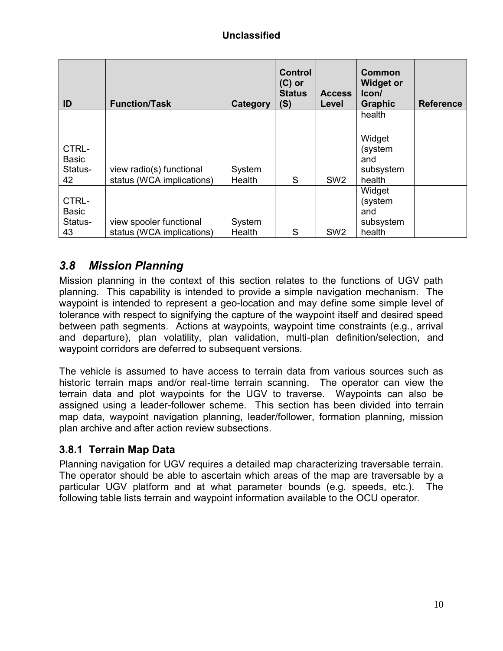| ID                                     | <b>Function/Task</b>                                  | Category         | <b>Control</b><br>$(C)$ or<br><b>Status</b><br>(S) | <b>Access</b><br>Level | Common<br><b>Widget or</b><br>lcon/<br><b>Graphic</b> | <b>Reference</b> |
|----------------------------------------|-------------------------------------------------------|------------------|----------------------------------------------------|------------------------|-------------------------------------------------------|------------------|
|                                        |                                                       |                  |                                                    |                        | health                                                |                  |
| CTRL-<br><b>Basic</b><br>Status-<br>42 | view radio(s) functional<br>status (WCA implications) | System<br>Health | S                                                  | SW <sub>2</sub>        | Widget<br>(system<br>and<br>subsystem<br>health       |                  |
| CTRL-<br><b>Basic</b><br>Status-<br>43 | view spooler functional<br>status (WCA implications)  | System<br>Health | S                                                  | SW <sub>2</sub>        | Widget<br>(system<br>and<br>subsystem<br>health       |                  |

## *3.8 Mission Planning*

Mission planning in the context of this section relates to the functions of UGV path planning. This capability is intended to provide a simple navigation mechanism. The waypoint is intended to represent a geo-location and may define some simple level of tolerance with respect to signifying the capture of the waypoint itself and desired speed between path segments. Actions at waypoints, waypoint time constraints (e.g., arrival and departure), plan volatility, plan validation, multi-plan definition/selection, and waypoint corridors are deferred to subsequent versions.

The vehicle is assumed to have access to terrain data from various sources such as historic terrain maps and/or real-time terrain scanning. The operator can view the terrain data and plot waypoints for the UGV to traverse. Waypoints can also be assigned using a leader-follower scheme. This section has been divided into terrain map data, waypoint navigation planning, leader/follower, formation planning, mission plan archive and after action review subsections.

#### **3.8.1 Terrain Map Data**

Planning navigation for UGV requires a detailed map characterizing traversable terrain. The operator should be able to ascertain which areas of the map are traversable by a particular UGV platform and at what parameter bounds (e.g. speeds, etc.). The following table lists terrain and waypoint information available to the OCU operator.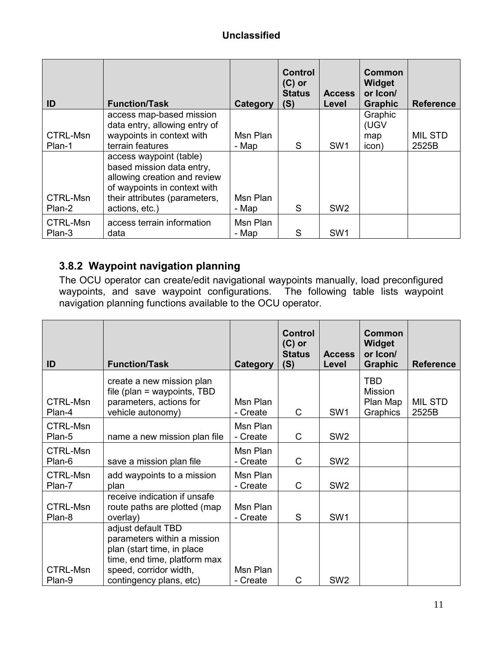| ID       | <b>Function/Task</b>                                       | Category | <b>Control</b><br>$(C)$ or<br><b>Status</b><br>(S) | <b>Access</b><br>Level | Common<br>Widget<br>or Icon/<br><b>Graphic</b> | <b>Reference</b> |
|----------|------------------------------------------------------------|----------|----------------------------------------------------|------------------------|------------------------------------------------|------------------|
|          | access map-based mission                                   |          |                                                    |                        | Graphic                                        |                  |
| CTRL-Msn | data entry, allowing entry of<br>waypoints in context with | Msn Plan |                                                    |                        | (UGV<br>map                                    | <b>MIL STD</b>   |
| Plan-1   | terrain features                                           | - Map    | S                                                  | SW <sub>1</sub>        | icon)                                          | 2525B            |
|          | access waypoint (table)<br>based mission data entry,       |          |                                                    |                        |                                                |                  |
|          | allowing creation and review                               |          |                                                    |                        |                                                |                  |
|          | of waypoints in context with                               |          |                                                    |                        |                                                |                  |
| CTRL-Msn | their attributes (parameters,                              | Msn Plan |                                                    |                        |                                                |                  |
| Plan-2   | actions, etc.)                                             | - Map    | S                                                  | SW <sub>2</sub>        |                                                |                  |
| CTRL-Msn | access terrain information                                 | Msn Plan |                                                    |                        |                                                |                  |
| Plan-3   | data                                                       | - Map    | S                                                  | SW <sub>1</sub>        |                                                |                  |

#### **3.8.2 Waypoint navigation planning**

The OCU operator can create/edit navigational waypoints manually, load preconfigured waypoints, and save waypoint configurations. The following table lists waypoint navigation planning functions available to the OCU operator.

| ID                        | <b>Function/Task</b>                                                                                                                                                 | Category             | <b>Control</b><br>$(C)$ or<br><b>Status</b><br>(S) | <b>Access</b><br>Level | <b>Common</b><br>Widget<br>or Icon/<br><b>Graphic</b> | <b>Reference</b>        |
|---------------------------|----------------------------------------------------------------------------------------------------------------------------------------------------------------------|----------------------|----------------------------------------------------|------------------------|-------------------------------------------------------|-------------------------|
| <b>CTRL-Msn</b><br>Plan-4 | create a new mission plan<br>file (plan = waypoints, $TBD$<br>parameters, actions for<br>vehicle autonomy)                                                           | Msn Plan<br>- Create | C                                                  | SW <sub>1</sub>        | <b>TBD</b><br><b>Mission</b><br>Plan Map<br>Graphics  | <b>MIL STD</b><br>2525B |
| <b>CTRL-Msn</b><br>Plan-5 | name a new mission plan file                                                                                                                                         | Msn Plan<br>- Create | C                                                  | SW <sub>2</sub>        |                                                       |                         |
| <b>CTRL-Msn</b><br>Plan-6 | save a mission plan file                                                                                                                                             | Msn Plan<br>- Create | C                                                  | SW <sub>2</sub>        |                                                       |                         |
| <b>CTRL-Msn</b><br>Plan-7 | add waypoints to a mission<br>plan                                                                                                                                   | Msn Plan<br>- Create | C                                                  | SW <sub>2</sub>        |                                                       |                         |
| <b>CTRL-Msn</b><br>Plan-8 | receive indication if unsafe<br>route paths are plotted (map<br>overlay)                                                                                             | Msn Plan<br>- Create | S                                                  | SW <sub>1</sub>        |                                                       |                         |
| <b>CTRL-Msn</b><br>Plan-9 | adjust default TBD<br>parameters within a mission<br>plan (start time, in place<br>time, end time, platform max<br>speed, corridor width,<br>contingency plans, etc) | Msn Plan<br>- Create | $\mathsf{C}$                                       | SW <sub>2</sub>        |                                                       |                         |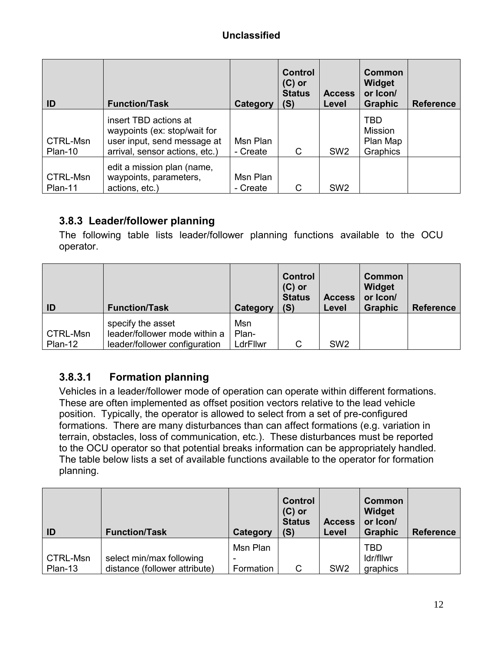| ID                  | <b>Function/Task</b>                                                                                                   | Category             | <b>Control</b><br>$(C)$ or<br><b>Status</b><br>(S) | <b>Access</b><br>Level | Common<br>Widget<br>or Icon/<br><b>Graphic</b>       | <b>Reference</b> |
|---------------------|------------------------------------------------------------------------------------------------------------------------|----------------------|----------------------------------------------------|------------------------|------------------------------------------------------|------------------|
| CTRL-Msn<br>Plan-10 | insert TBD actions at<br>waypoints (ex: stop/wait for<br>user input, send message at<br>arrival, sensor actions, etc.) | Msn Plan<br>- Create | C                                                  | SW <sub>2</sub>        | <b>TBD</b><br><b>Mission</b><br>Plan Map<br>Graphics |                  |
| CTRL-Msn<br>Plan-11 | edit a mission plan (name,<br>waypoints, parameters,<br>actions, etc.)                                                 | Msn Plan<br>- Create | C                                                  | SW <sub>2</sub>        |                                                      |                  |

#### **3.8.3 Leader/follower planning**

The following table lists leader/follower planning functions available to the OCU operator.

| <b>ID</b>           | <b>Function/Task</b>                                                                | Category                 | <b>Control</b><br>$(C)$ or<br><b>Status</b><br>(S) | <b>Access</b><br>Level | <b>Common</b><br>Widget<br>or Icon/<br><b>Graphic</b> | <b>Reference</b> |
|---------------------|-------------------------------------------------------------------------------------|--------------------------|----------------------------------------------------|------------------------|-------------------------------------------------------|------------------|
| CTRL-Msn<br>Plan-12 | specify the asset<br>leader/follower mode within a<br>leader/follower configuration | Msn<br>Plan-<br>LdrFllwr | C                                                  | SW <sub>2</sub>        |                                                       |                  |

## **3.8.3.1 Formation planning**

Vehicles in a leader/follower mode of operation can operate within different formations. These are often implemented as offset position vectors relative to the lead vehicle position. Typically, the operator is allowed to select from a set of pre-configured formations. There are many disturbances than can affect formations (e.g. variation in terrain, obstacles, loss of communication, etc.). These disturbances must be reported to the OCU operator so that potential breaks information can be appropriately handled. The table below lists a set of available functions available to the operator for formation planning.

| ID       | <b>Function/Task</b>          | Category  | <b>Control</b><br>$(C)$ or<br><b>Status</b><br>(S) | <b>Access</b><br>Level | <b>Common</b><br>Widget<br>or Icon/<br><b>Graphic</b> | <b>Reference</b> |
|----------|-------------------------------|-----------|----------------------------------------------------|------------------------|-------------------------------------------------------|------------------|
|          |                               | Msn Plan  |                                                    |                        | <b>TBD</b>                                            |                  |
| CTRL-Msn | select min/max following      |           |                                                    |                        | ldr/fllwr                                             |                  |
| Plan-13  | distance (follower attribute) | Formation | C                                                  | SW <sub>2</sub>        | graphics                                              |                  |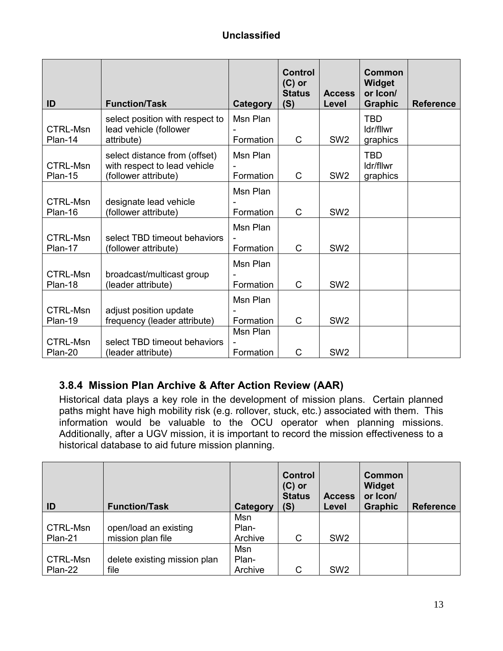| ID                         | <b>Function/Task</b>                                                                  | Category              | <b>Control</b><br>$(C)$ or<br><b>Status</b><br>(S) | <b>Access</b><br>Level | Common<br><b>Widget</b><br>or Icon/<br><b>Graphic</b> | <b>Reference</b> |
|----------------------------|---------------------------------------------------------------------------------------|-----------------------|----------------------------------------------------|------------------------|-------------------------------------------------------|------------------|
| <b>CTRL-Msn</b><br>Plan-14 | select position with respect to<br>lead vehicle (follower<br>attribute)               | Msn Plan<br>Formation | $\mathsf{C}$                                       | SW <sub>2</sub>        | <b>TBD</b><br>Idr/fllwr<br>graphics                   |                  |
| <b>CTRL-Msn</b><br>Plan-15 | select distance from (offset)<br>with respect to lead vehicle<br>(follower attribute) | Msn Plan<br>Formation | $\mathsf{C}$                                       | SW <sub>2</sub>        | <b>TBD</b><br>Idr/fllwr<br>graphics                   |                  |
| <b>CTRL-Msn</b><br>Plan-16 | designate lead vehicle<br>(follower attribute)                                        | Msn Plan<br>Formation | $\mathsf{C}$                                       | SW <sub>2</sub>        |                                                       |                  |
| <b>CTRL-Msn</b><br>Plan-17 | select TBD timeout behaviors<br>(follower attribute)                                  | Msn Plan<br>Formation | $\mathsf{C}$                                       | SW <sub>2</sub>        |                                                       |                  |
| <b>CTRL-Msn</b><br>Plan-18 | broadcast/multicast group<br>(leader attribute)                                       | Msn Plan<br>Formation | $\mathsf{C}$                                       | SW <sub>2</sub>        |                                                       |                  |
| <b>CTRL-Msn</b><br>Plan-19 | adjust position update<br>frequency (leader attribute)                                | Msn Plan<br>Formation | $\mathsf{C}$                                       | SW <sub>2</sub>        |                                                       |                  |
| <b>CTRL-Msn</b><br>Plan-20 | select TBD timeout behaviors<br>(leader attribute)                                    | Msn Plan<br>Formation | C                                                  | SW <sub>2</sub>        |                                                       |                  |

## **3.8.4 Mission Plan Archive & After Action Review (AAR)**

Historical data plays a key role in the development of mission plans. Certain planned paths might have high mobility risk (e.g. rollover, stuck, etc.) associated with them. This information would be valuable to the OCU operator when planning missions. Additionally, after a UGV mission, it is important to record the mission effectiveness to a historical database to aid future mission planning.

| ID       | <b>Function/Task</b>         | Category | <b>Control</b><br>$(C)$ or<br><b>Status</b><br>(S) | <b>Access</b><br>Level | <b>Common</b><br>Widget<br>or Icon/<br><b>Graphic</b> | <b>Reference</b> |
|----------|------------------------------|----------|----------------------------------------------------|------------------------|-------------------------------------------------------|------------------|
|          |                              | Msn      |                                                    |                        |                                                       |                  |
| CTRL-Msn | open/load an existing        | Plan-    |                                                    |                        |                                                       |                  |
| Plan-21  | mission plan file            | Archive  | C                                                  | SW <sub>2</sub>        |                                                       |                  |
|          |                              | Msn      |                                                    |                        |                                                       |                  |
| CTRL-Msn | delete existing mission plan | Plan-    |                                                    |                        |                                                       |                  |
| Plan-22  | file                         | Archive  | C                                                  | SW <sub>2</sub>        |                                                       |                  |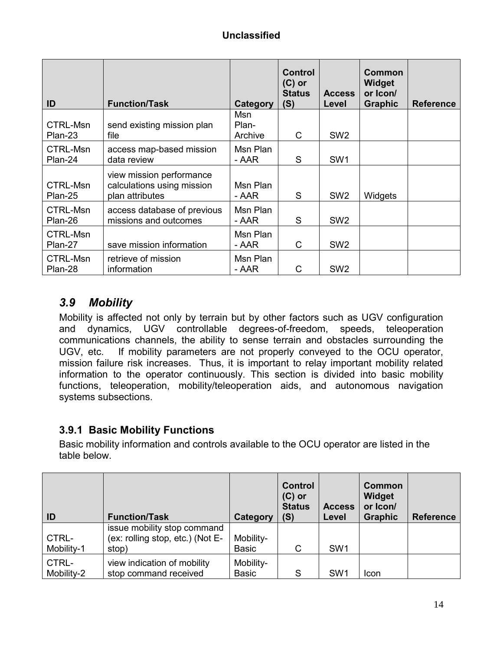| ID                  | <b>Function/Task</b>                                                      | Category                | <b>Control</b><br>$(C)$ or<br><b>Status</b><br>(S) | <b>Access</b><br>Level | Common<br><b>Widget</b><br>or Icon/<br><b>Graphic</b> | <b>Reference</b> |
|---------------------|---------------------------------------------------------------------------|-------------------------|----------------------------------------------------|------------------------|-------------------------------------------------------|------------------|
| CTRL-Msn<br>Plan-23 | send existing mission plan<br>file                                        | Msn<br>Plan-<br>Archive | C                                                  | SW <sub>2</sub>        |                                                       |                  |
| CTRL-Msn<br>Plan-24 | access map-based mission<br>data review                                   | Msn Plan<br>- AAR       | S                                                  | SW <sub>1</sub>        |                                                       |                  |
| CTRL-Msn<br>Plan-25 | view mission performance<br>calculations using mission<br>plan attributes | Msn Plan<br>- AAR       | S                                                  | SW <sub>2</sub>        | Widgets                                               |                  |
| CTRL-Msn<br>Plan-26 | access database of previous<br>missions and outcomes                      | Msn Plan<br>- AAR       | S                                                  | SW <sub>2</sub>        |                                                       |                  |
| CTRL-Msn<br>Plan-27 | save mission information                                                  | Msn Plan<br>- AAR       | C                                                  | SW <sub>2</sub>        |                                                       |                  |
| CTRL-Msn<br>Plan-28 | retrieve of mission<br>information                                        | Msn Plan<br>- AAR       | C                                                  | SW <sub>2</sub>        |                                                       |                  |

## *3.9 Mobility*

Mobility is affected not only by terrain but by other factors such as UGV configuration and dynamics, UGV controllable degrees-of-freedom, speeds, teleoperation communications channels, the ability to sense terrain and obstacles surrounding the UGV, etc. If mobility parameters are not properly conveyed to the OCU operator, mission failure risk increases. Thus, it is important to relay important mobility related information to the operator continuously. This section is divided into basic mobility functions, teleoperation, mobility/teleoperation aids, and autonomous navigation systems subsections.

#### **3.9.1 Basic Mobility Functions**

Basic mobility information and controls available to the OCU operator are listed in the table below.

| ID                  | <b>Function/Task</b>                                                     | Category                  | <b>Control</b><br>$(C)$ or<br><b>Status</b><br>(S) | <b>Access</b><br>Level | <b>Common</b><br>Widget<br>or Icon/<br><b>Graphic</b> | <b>Reference</b> |
|---------------------|--------------------------------------------------------------------------|---------------------------|----------------------------------------------------|------------------------|-------------------------------------------------------|------------------|
| CTRL-<br>Mobility-1 | issue mobility stop command<br>(ex: rolling stop, etc.) (Not E-<br>stop) | Mobility-<br><b>Basic</b> | C                                                  | SW <sub>1</sub>        |                                                       |                  |
| CTRL-<br>Mobility-2 | view indication of mobility<br>stop command received                     | Mobility-<br><b>Basic</b> | S                                                  | SW <sub>1</sub>        | Icon                                                  |                  |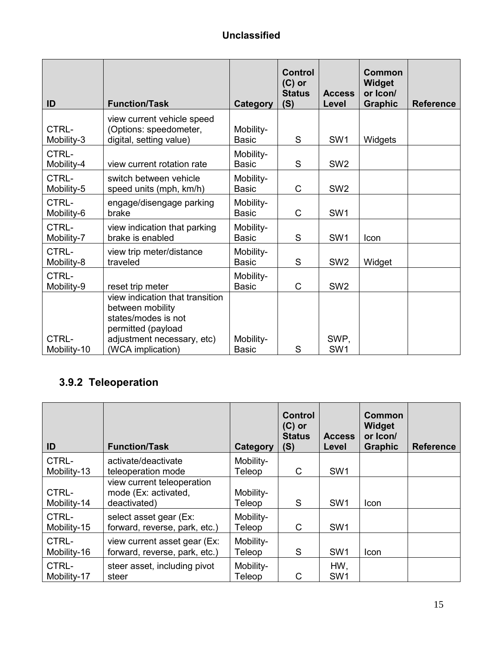| ID                  | <b>Function/Task</b>                                                                                                           | <b>Category</b>           | <b>Control</b><br>$(C)$ or<br><b>Status</b><br>(S) | <b>Access</b><br>Level | <b>Common</b><br>Widget<br>or Icon/<br><b>Graphic</b> | <b>Reference</b> |
|---------------------|--------------------------------------------------------------------------------------------------------------------------------|---------------------------|----------------------------------------------------|------------------------|-------------------------------------------------------|------------------|
| CTRL-<br>Mobility-3 | view current vehicle speed<br>(Options: speedometer,<br>digital, setting value)                                                | Mobility-<br><b>Basic</b> | S                                                  | SW <sub>1</sub>        | Widgets                                               |                  |
| CTRL-<br>Mobility-4 | view current rotation rate                                                                                                     | Mobility-<br><b>Basic</b> | S                                                  | SW <sub>2</sub>        |                                                       |                  |
| CTRL-<br>Mobility-5 | switch between vehicle<br>speed units (mph, km/h)                                                                              | Mobility-<br><b>Basic</b> | C                                                  | SW <sub>2</sub>        |                                                       |                  |
| CTRL-<br>Mobility-6 | engage/disengage parking<br>brake                                                                                              | Mobility-<br><b>Basic</b> | C                                                  | SW <sub>1</sub>        |                                                       |                  |
| CTRL-<br>Mobility-7 | view indication that parking<br>brake is enabled                                                                               | Mobility-<br><b>Basic</b> | S                                                  | SW <sub>1</sub>        | Icon                                                  |                  |
| CTRL-<br>Mobility-8 | view trip meter/distance<br>traveled                                                                                           | Mobility-<br><b>Basic</b> | S                                                  | SW <sub>2</sub>        | Widget                                                |                  |
| CTRL-<br>Mobility-9 | reset trip meter                                                                                                               | Mobility-<br><b>Basic</b> | $\mathsf{C}$                                       | SW <sub>2</sub>        |                                                       |                  |
| CTRL-               | view indication that transition<br>between mobility<br>states/modes is not<br>permitted (payload<br>adjustment necessary, etc) | Mobility-                 |                                                    | SWP,                   |                                                       |                  |
| Mobility-10         | (WCA implication)                                                                                                              | <b>Basic</b>              | S                                                  | SW1                    |                                                       |                  |

# **3.9.2 Teleoperation**

| ID                   | <b>Function/Task</b>                                               | Category            | <b>Control</b><br>$(C)$ or<br><b>Status</b><br>(S) | <b>Access</b><br>Level | Common<br><b>Widget</b><br>or Icon/<br><b>Graphic</b> | <b>Reference</b> |
|----------------------|--------------------------------------------------------------------|---------------------|----------------------------------------------------|------------------------|-------------------------------------------------------|------------------|
| CTRL-<br>Mobility-13 | activate/deactivate<br>teleoperation mode                          | Mobility-<br>Teleop | C                                                  | SW <sub>1</sub>        |                                                       |                  |
| CTRL-<br>Mobility-14 | view current teleoperation<br>mode (Ex: activated,<br>deactivated) | Mobility-<br>Teleop | S                                                  | SW <sub>1</sub>        | Icon                                                  |                  |
| CTRL-<br>Mobility-15 | select asset gear (Ex:<br>forward, reverse, park, etc.)            | Mobility-<br>Teleop | C                                                  | SW <sub>1</sub>        |                                                       |                  |
| CTRL-<br>Mobility-16 | view current asset gear (Ex:<br>forward, reverse, park, etc.)      | Mobility-<br>Teleop | S                                                  | SW <sub>1</sub>        | Icon                                                  |                  |
| CTRL-<br>Mobility-17 | steer asset, including pivot<br>steer                              | Mobility-<br>Teleop | C                                                  | HW,<br>SW <sub>1</sub> |                                                       |                  |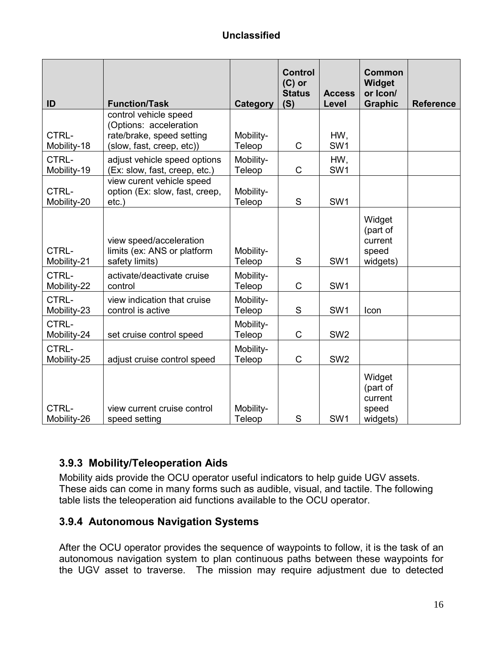| ID                   | <b>Function/Task</b>                                                     | <b>Category</b>     | <b>Control</b><br>$(C)$ or<br><b>Status</b><br>(S) | <b>Access</b><br>Level | <b>Common</b><br>Widget<br>or Icon/<br><b>Graphic</b> | <b>Reference</b> |
|----------------------|--------------------------------------------------------------------------|---------------------|----------------------------------------------------|------------------------|-------------------------------------------------------|------------------|
|                      | control vehicle speed<br>(Options: acceleration                          |                     |                                                    |                        |                                                       |                  |
| CTRL-<br>Mobility-18 | rate/brake, speed setting<br>(slow, fast, creep, etc))                   | Mobility-<br>Teleop | C                                                  | HW,<br>SW1             |                                                       |                  |
| CTRL-<br>Mobility-19 | adjust vehicle speed options<br>(Ex: slow, fast, creep, etc.)            | Mobility-<br>Teleop | $\mathsf C$                                        | HW,<br>SW <sub>1</sub> |                                                       |                  |
| CTRL-<br>Mobility-20 | view curent vehicle speed<br>option (Ex: slow, fast, creep,<br>$etc.$ )  | Mobility-<br>Teleop | S                                                  | SW <sub>1</sub>        |                                                       |                  |
| CTRL-<br>Mobility-21 | view speed/acceleration<br>limits (ex: ANS or platform<br>safety limits) | Mobility-<br>Teleop | S                                                  | SW <sub>1</sub>        | Widget<br>(part of<br>current<br>speed<br>widgets)    |                  |
| CTRL-<br>Mobility-22 | activate/deactivate cruise<br>control                                    | Mobility-<br>Teleop | $\mathsf C$                                        | SW <sub>1</sub>        |                                                       |                  |
| CTRL-<br>Mobility-23 | view indication that cruise<br>control is active                         | Mobility-<br>Teleop | S                                                  | SW <sub>1</sub>        | Icon                                                  |                  |
| CTRL-<br>Mobility-24 | set cruise control speed                                                 | Mobility-<br>Teleop | C                                                  | SW <sub>2</sub>        |                                                       |                  |
| CTRL-<br>Mobility-25 | adjust cruise control speed                                              | Mobility-<br>Teleop | $\mathsf C$                                        | SW <sub>2</sub>        |                                                       |                  |
| CTRL-<br>Mobility-26 | view current cruise control<br>speed setting                             | Mobility-<br>Teleop | S                                                  | SW <sub>1</sub>        | Widget<br>(part of<br>current<br>speed<br>widgets)    |                  |

#### **3.9.3 Mobility/Teleoperation Aids**

Mobility aids provide the OCU operator useful indicators to help guide UGV assets. These aids can come in many forms such as audible, visual, and tactile. The following table lists the teleoperation aid functions available to the OCU operator.

#### **3.9.4 Autonomous Navigation Systems**

After the OCU operator provides the sequence of waypoints to follow, it is the task of an autonomous navigation system to plan continuous paths between these waypoints for the UGV asset to traverse. The mission may require adjustment due to detected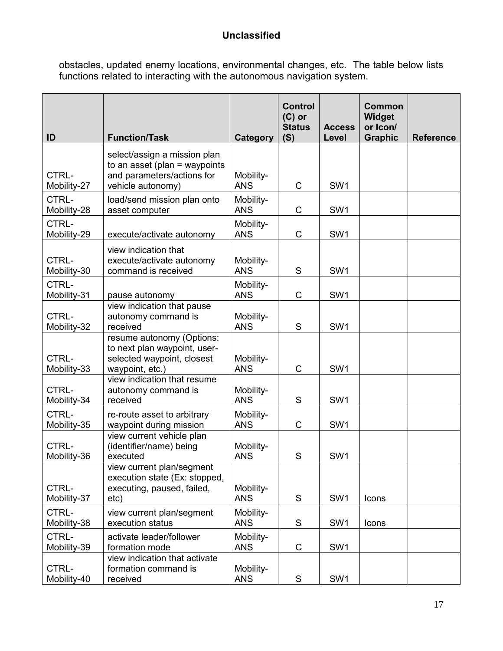obstacles, updated enemy locations, environmental changes, etc. The table below lists functions related to interacting with the autonomous navigation system.

| ID                   | <b>Function/Task</b>                                                                                             | Category                | <b>Control</b><br>$(C)$ or<br><b>Status</b><br>(S) | <b>Access</b><br>Level | Common<br><b>Widget</b><br>or Icon/<br><b>Graphic</b> | <b>Reference</b> |
|----------------------|------------------------------------------------------------------------------------------------------------------|-------------------------|----------------------------------------------------|------------------------|-------------------------------------------------------|------------------|
| CTRL-<br>Mobility-27 | select/assign a mission plan<br>to an asset (plan = waypoints<br>and parameters/actions for<br>vehicle autonomy) | Mobility-<br><b>ANS</b> | $\mathsf C$                                        | SW <sub>1</sub>        |                                                       |                  |
| CTRL-<br>Mobility-28 | load/send mission plan onto<br>asset computer                                                                    | Mobility-<br><b>ANS</b> | $\mathsf C$                                        | SW <sub>1</sub>        |                                                       |                  |
| CTRL-<br>Mobility-29 | execute/activate autonomy                                                                                        | Mobility-<br><b>ANS</b> | $\mathsf C$                                        | SW <sub>1</sub>        |                                                       |                  |
| CTRL-<br>Mobility-30 | view indication that<br>execute/activate autonomy<br>command is received                                         | Mobility-<br><b>ANS</b> | S                                                  | SW <sub>1</sub>        |                                                       |                  |
| CTRL-<br>Mobility-31 | pause autonomy                                                                                                   | Mobility-<br><b>ANS</b> | C                                                  | SW <sub>1</sub>        |                                                       |                  |
| CTRL-<br>Mobility-32 | view indication that pause<br>autonomy command is<br>received                                                    | Mobility-<br><b>ANS</b> | S                                                  | SW <sub>1</sub>        |                                                       |                  |
| CTRL-<br>Mobility-33 | resume autonomy (Options:<br>to next plan waypoint, user-<br>selected waypoint, closest<br>waypoint, etc.)       | Mobility-<br><b>ANS</b> | $\mathsf C$                                        | SW <sub>1</sub>        |                                                       |                  |
| CTRL-<br>Mobility-34 | view indication that resume<br>autonomy command is<br>received                                                   | Mobility-<br><b>ANS</b> | S                                                  | SW <sub>1</sub>        |                                                       |                  |
| CTRL-<br>Mobility-35 | re-route asset to arbitrary<br>waypoint during mission                                                           | Mobility-<br><b>ANS</b> | $\mathsf C$                                        | SW <sub>1</sub>        |                                                       |                  |
| CTRL-<br>Mobility-36 | view current vehicle plan<br>(identifier/name) being<br>executed                                                 | Mobility-<br><b>ANS</b> | S                                                  | SW <sub>1</sub>        |                                                       |                  |
| CTRL-<br>Mobility-37 | view current plan/segment<br>execution state (Ex: stopped,<br>executing, paused, failed,<br>etc)                 | Mobility-<br><b>ANS</b> | S                                                  | SW <sub>1</sub>        | Icons                                                 |                  |
| CTRL-<br>Mobility-38 | view current plan/segment<br>execution status                                                                    | Mobility-<br><b>ANS</b> | ${\mathsf S}$                                      | SW <sub>1</sub>        | Icons                                                 |                  |
| CTRL-<br>Mobility-39 | activate leader/follower<br>formation mode                                                                       | Mobility-<br><b>ANS</b> | C                                                  | SW1                    |                                                       |                  |
| CTRL-<br>Mobility-40 | view indication that activate<br>formation command is<br>received                                                | Mobility-<br><b>ANS</b> | $\mathsf S$                                        | SW <sub>1</sub>        |                                                       |                  |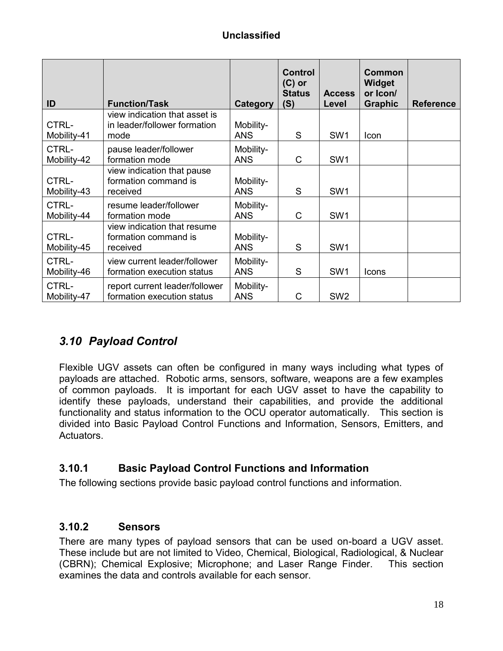| ID                   | <b>Function/Task</b>                                                  | Category                | <b>Control</b><br>$(C)$ or<br><b>Status</b><br>(S) | <b>Access</b><br>Level | <b>Common</b><br><b>Widget</b><br>or Icon/<br><b>Graphic</b> | <b>Reference</b> |
|----------------------|-----------------------------------------------------------------------|-------------------------|----------------------------------------------------|------------------------|--------------------------------------------------------------|------------------|
| CTRL-<br>Mobility-41 | view indication that asset is<br>in leader/follower formation<br>mode | Mobility-<br><b>ANS</b> | S                                                  | SW <sub>1</sub>        | Icon                                                         |                  |
| CTRL-<br>Mobility-42 | pause leader/follower<br>formation mode                               | Mobility-<br><b>ANS</b> | C                                                  | SW <sub>1</sub>        |                                                              |                  |
| CTRL-<br>Mobility-43 | view indication that pause<br>formation command is<br>received        | Mobility-<br><b>ANS</b> | S                                                  | SW <sub>1</sub>        |                                                              |                  |
| CTRL-<br>Mobility-44 | resume leader/follower<br>formation mode                              | Mobility-<br><b>ANS</b> | $\mathsf{C}$                                       | SW <sub>1</sub>        |                                                              |                  |
| CTRL-<br>Mobility-45 | view indication that resume<br>formation command is<br>received       | Mobility-<br><b>ANS</b> | S                                                  | SW <sub>1</sub>        |                                                              |                  |
| CTRL-<br>Mobility-46 | view current leader/follower<br>formation execution status            | Mobility-<br><b>ANS</b> | S                                                  | SW <sub>1</sub>        | Icons                                                        |                  |
| CTRL-<br>Mobility-47 | report current leader/follower<br>formation execution status          | Mobility-<br><b>ANS</b> | C                                                  | SW <sub>2</sub>        |                                                              |                  |

## *3.10 Payload Control*

Flexible UGV assets can often be configured in many ways including what types of payloads are attached. Robotic arms, sensors, software, weapons are a few examples of common payloads. It is important for each UGV asset to have the capability to identify these payloads, understand their capabilities, and provide the additional functionality and status information to the OCU operator automatically. This section is divided into Basic Payload Control Functions and Information, Sensors, Emitters, and Actuators.

#### **3.10.1 Basic Payload Control Functions and Information**

The following sections provide basic payload control functions and information.

#### **3.10.2 Sensors**

There are many types of payload sensors that can be used on-board a UGV asset. These include but are not limited to Video, Chemical, Biological, Radiological, & Nuclear (CBRN); Chemical Explosive; Microphone; and Laser Range Finder. This section examines the data and controls available for each sensor.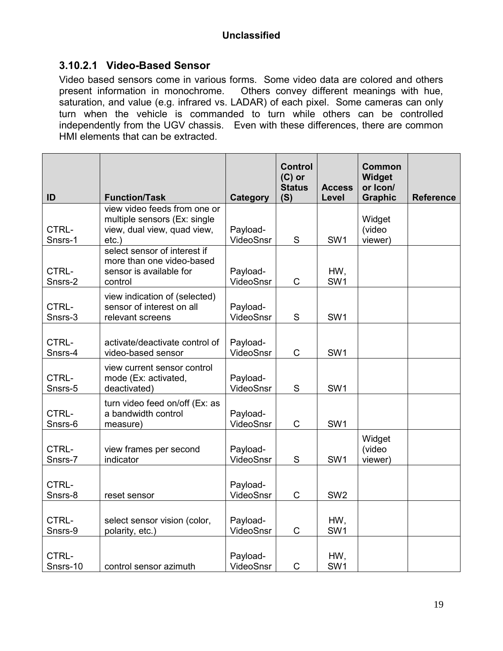#### **3.10.2.1 Video-Based Sensor**

Video based sensors come in various forms. Some video data are colored and others present information in monochrome. Others convey different meanings with hue, Others convey different meanings with hue, saturation, and value (e.g. infrared vs. LADAR) of each pixel. Some cameras can only turn when the vehicle is commanded to turn while others can be controlled independently from the UGV chassis. Even with these differences, there are common HMI elements that can be extracted.

|                   |                                                                                                         |                       | <b>Control</b><br>$(C)$ or<br><b>Status</b> | <b>Access</b>          | <b>Common</b><br>Widget<br>or Icon/ |                  |
|-------------------|---------------------------------------------------------------------------------------------------------|-----------------------|---------------------------------------------|------------------------|-------------------------------------|------------------|
| ID                | <b>Function/Task</b>                                                                                    | Category              | (S)                                         | Level                  | <b>Graphic</b>                      | <b>Reference</b> |
| CTRL-<br>Snsrs-1  | view video feeds from one or<br>multiple sensors (Ex: single<br>view, dual view, quad view,<br>$etc.$ ) | Payload-<br>VideoSnsr | S                                           | SW <sub>1</sub>        | Widget<br>(video<br>viewer)         |                  |
| CTRL-<br>Snsrs-2  | select sensor of interest if<br>more than one video-based<br>sensor is available for<br>control         | Payload-<br>VideoSnsr | C                                           | HW,<br>SW <sub>1</sub> |                                     |                  |
| CTRL-<br>Snsrs-3  | view indication of (selected)<br>sensor of interest on all<br>relevant screens                          | Payload-<br>VideoSnsr | S                                           | SW <sub>1</sub>        |                                     |                  |
| CTRL-<br>Snsrs-4  | activate/deactivate control of<br>video-based sensor                                                    | Payload-<br>VideoSnsr | C                                           | SW <sub>1</sub>        |                                     |                  |
| CTRL-<br>Snsrs-5  | view current sensor control<br>mode (Ex: activated,<br>deactivated)                                     | Payload-<br>VideoSnsr | S                                           | SW <sub>1</sub>        |                                     |                  |
| CTRL-<br>Snsrs-6  | turn video feed on/off (Ex: as<br>a bandwidth control<br>measure)                                       | Payload-<br>VideoSnsr | C                                           | SW <sub>1</sub>        |                                     |                  |
| CTRL-<br>Snsrs-7  | view frames per second<br>indicator                                                                     | Payload-<br>VideoSnsr | $\mathbf S$                                 | SW <sub>1</sub>        | Widget<br>(video<br>viewer)         |                  |
| CTRL-<br>Snsrs-8  | reset sensor                                                                                            | Payload-<br>VideoSnsr | C                                           | SW <sub>2</sub>        |                                     |                  |
| CTRL-<br>Snsrs-9  | select sensor vision (color,<br>polarity, etc.)                                                         | Payload-<br>VideoSnsr | $\mathsf C$                                 | HW,<br>SW <sub>1</sub> |                                     |                  |
| CTRL-<br>Snsrs-10 | control sensor azimuth                                                                                  | Payload-<br>VideoSnsr | C                                           | HW,<br>SW <sub>1</sub> |                                     |                  |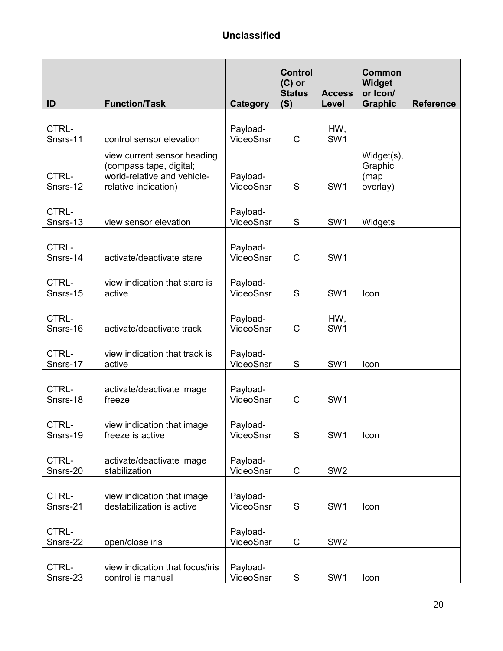| ID                | <b>Function/Task</b>                                                                                          | Category              | <b>Control</b><br>$(C)$ or<br><b>Status</b><br>(S) | <b>Access</b><br>Level | <b>Common</b><br><b>Widget</b><br>or Icon/<br><b>Graphic</b> | <b>Reference</b> |
|-------------------|---------------------------------------------------------------------------------------------------------------|-----------------------|----------------------------------------------------|------------------------|--------------------------------------------------------------|------------------|
| CTRL-<br>Snsrs-11 | control sensor elevation                                                                                      | Payload-<br>VideoSnsr | C                                                  | HW,<br>SW <sub>1</sub> |                                                              |                  |
| CTRL-<br>Snsrs-12 | view current sensor heading<br>(compass tape, digital;<br>world-relative and vehicle-<br>relative indication) | Payload-<br>VideoSnsr | S                                                  | SW <sub>1</sub>        | Widget(s),<br>Graphic<br>(map<br>overlay)                    |                  |
| CTRL-<br>Snsrs-13 | view sensor elevation                                                                                         | Payload-<br>VideoSnsr | S                                                  | SW <sub>1</sub>        | Widgets                                                      |                  |
| CTRL-<br>Snsrs-14 | activate/deactivate stare                                                                                     | Payload-<br>VideoSnsr | $\mathsf C$                                        | SW <sub>1</sub>        |                                                              |                  |
| CTRL-<br>Snsrs-15 | view indication that stare is<br>active                                                                       | Payload-<br>VideoSnsr | S                                                  | SW <sub>1</sub>        | Icon                                                         |                  |
| CTRL-<br>Snsrs-16 | activate/deactivate track                                                                                     | Payload-<br>VideoSnsr | C                                                  | HW,<br>SW <sub>1</sub> |                                                              |                  |
| CTRL-<br>Snsrs-17 | view indication that track is<br>active                                                                       | Payload-<br>VideoSnsr | S                                                  | SW <sub>1</sub>        | Icon                                                         |                  |
| CTRL-<br>Snsrs-18 | activate/deactivate image<br>freeze                                                                           | Payload-<br>VideoSnsr | С                                                  | SW <sub>1</sub>        |                                                              |                  |
| CTRL-<br>Snsrs-19 | view indication that image<br>freeze is active                                                                | Payload-<br>VideoSnsr | ${\mathsf S}$                                      | SW1                    | Icon                                                         |                  |
| CTRL-<br>Snsrs-20 | activate/deactivate image<br>stabilization                                                                    | Payload-<br>VideoSnsr | C                                                  | SW <sub>2</sub>        |                                                              |                  |
| CTRL-<br>Snsrs-21 | view indication that image<br>destabilization is active                                                       | Payload-<br>VideoSnsr | ${\mathsf S}$                                      | SW1                    | Icon                                                         |                  |
| CTRL-<br>Snsrs-22 | open/close iris                                                                                               | Payload-<br>VideoSnsr | C                                                  | SW <sub>2</sub>        |                                                              |                  |
| CTRL-<br>Snsrs-23 | view indication that focus/iris<br>control is manual                                                          | Payload-<br>VideoSnsr | S                                                  | SW <sub>1</sub>        | Icon                                                         |                  |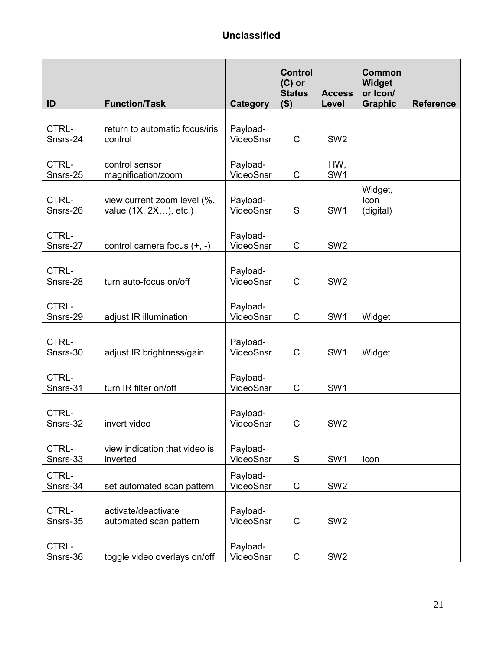| ID                | <b>Function/Task</b>                                 | <b>Category</b>       | <b>Control</b><br>$(C)$ or<br><b>Status</b><br>(S) | <b>Access</b><br>Level | <b>Common</b><br>Widget<br>or Icon/<br><b>Graphic</b> | <b>Reference</b> |
|-------------------|------------------------------------------------------|-----------------------|----------------------------------------------------|------------------------|-------------------------------------------------------|------------------|
| CTRL-<br>Snsrs-24 | return to automatic focus/iris<br>control            | Payload-<br>VideoSnsr | $\mathsf C$                                        | SW <sub>2</sub>        |                                                       |                  |
| CTRL-<br>Snsrs-25 | control sensor<br>magnification/zoom                 | Payload-<br>VideoSnsr | C                                                  | HW,<br>SW <sub>1</sub> |                                                       |                  |
| CTRL-<br>Snsrs-26 | view current zoom level (%,<br>value (1X, 2X), etc.) | Payload-<br>VideoSnsr | ${\mathsf S}$                                      | SW <sub>1</sub>        | Widget,<br>Icon<br>(digital)                          |                  |
| CTRL-<br>Snsrs-27 | control camera focus (+, -)                          | Payload-<br>VideoSnsr | $\mathsf C$                                        | SW <sub>2</sub>        |                                                       |                  |
| CTRL-<br>Snsrs-28 | turn auto-focus on/off                               | Payload-<br>VideoSnsr | $\mathsf C$                                        | SW <sub>2</sub>        |                                                       |                  |
| CTRL-<br>Snsrs-29 | adjust IR illumination                               | Payload-<br>VideoSnsr | $\mathsf C$                                        | SW <sub>1</sub>        | Widget                                                |                  |
| CTRL-<br>Snsrs-30 | adjust IR brightness/gain                            | Payload-<br>VideoSnsr | $\mathsf C$                                        | SW <sub>1</sub>        | Widget                                                |                  |
| CTRL-<br>Snsrs-31 | turn IR filter on/off                                | Payload-<br>VideoSnsr | $\mathsf C$                                        | SW <sub>1</sub>        |                                                       |                  |
| CTRL-<br>Snsrs-32 | invert video                                         | Payload-<br>VideoSnsr | $\mathsf C$                                        | SW <sub>2</sub>        |                                                       |                  |
| CTRL-<br>Snsrs-33 | view indication that video is<br>inverted            | Payload-<br>VideoSnsr | ${\mathsf S}$                                      | SW <sub>1</sub>        | Icon                                                  |                  |
| CTRL-<br>Snsrs-34 | set automated scan pattern                           | Payload-<br>VideoSnsr | $\mathsf C$                                        | SW <sub>2</sub>        |                                                       |                  |
| CTRL-<br>Snsrs-35 | activate/deactivate<br>automated scan pattern        | Payload-<br>VideoSnsr | $\mathsf C$                                        | SW <sub>2</sub>        |                                                       |                  |
| CTRL-<br>Snsrs-36 | toggle video overlays on/off                         | Payload-<br>VideoSnsr | C                                                  | SW <sub>2</sub>        |                                                       |                  |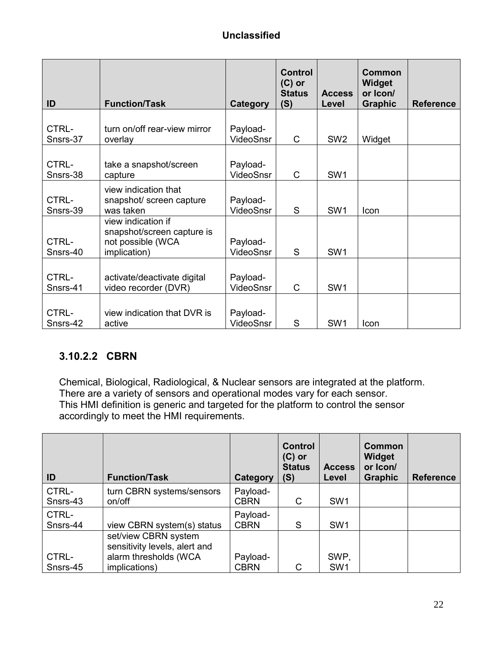| ID                | <b>Function/Task</b>                                                                  | <b>Category</b>       | <b>Control</b><br>$(C)$ or<br><b>Status</b><br>(S) | <b>Access</b><br>Level | Common<br>Widget<br>or Icon/<br><b>Graphic</b> | <b>Reference</b> |
|-------------------|---------------------------------------------------------------------------------------|-----------------------|----------------------------------------------------|------------------------|------------------------------------------------|------------------|
| CTRL-<br>Snsrs-37 | turn on/off rear-view mirror<br>overlay                                               | Payload-<br>VideoSnsr | C                                                  | SW <sub>2</sub>        | Widget                                         |                  |
| CTRL-<br>Snsrs-38 | take a snapshot/screen<br>capture                                                     | Payload-<br>VideoSnsr | C                                                  | SW <sub>1</sub>        |                                                |                  |
| CTRL-<br>Snsrs-39 | view indication that<br>snapshot/ screen capture<br>was taken                         | Payload-<br>VideoSnsr | S                                                  | SW1                    | Icon                                           |                  |
| CTRL-<br>Snsrs-40 | view indication if<br>snapshot/screen capture is<br>not possible (WCA<br>implication) | Payload-<br>VideoSnsr | S                                                  | SW <sub>1</sub>        |                                                |                  |
| CTRL-<br>Snsrs-41 | activate/deactivate digital<br>video recorder (DVR)                                   | Payload-<br>VideoSnsr | $\mathsf{C}$                                       | SW <sub>1</sub>        |                                                |                  |
| CTRL-<br>Snsrs-42 | view indication that DVR is<br>active                                                 | Payload-<br>VideoSnsr | S                                                  | SW <sub>1</sub>        | Icon                                           |                  |

## **3.10.2.2 CBRN**

Chemical, Biological, Radiological, & Nuclear sensors are integrated at the platform. There are a variety of sensors and operational modes vary for each sensor. This HMI definition is generic and targeted for the platform to control the sensor accordingly to meet the HMI requirements.

| ID                | <b>Function/Task</b>                                                                            | Category                | <b>Control</b><br>$(C)$ or<br><b>Status</b><br>(S) | <b>Access</b><br>Level  | Common<br>Widget<br>or Icon/<br><b>Graphic</b> | <b>Reference</b> |
|-------------------|-------------------------------------------------------------------------------------------------|-------------------------|----------------------------------------------------|-------------------------|------------------------------------------------|------------------|
| CTRL-<br>Snsrs-43 | turn CBRN systems/sensors<br>on/off                                                             | Payload-<br><b>CBRN</b> | C                                                  | SW <sub>1</sub>         |                                                |                  |
| CTRL-<br>Snsrs-44 | view CBRN system(s) status                                                                      | Payload-<br><b>CBRN</b> | S                                                  | SW <sub>1</sub>         |                                                |                  |
| CTRL-<br>Snsrs-45 | set/view CBRN system<br>sensitivity levels, alert and<br>alarm thresholds (WCA<br>implications) | Payload-<br><b>CBRN</b> | С                                                  | SWP,<br>SW <sub>1</sub> |                                                |                  |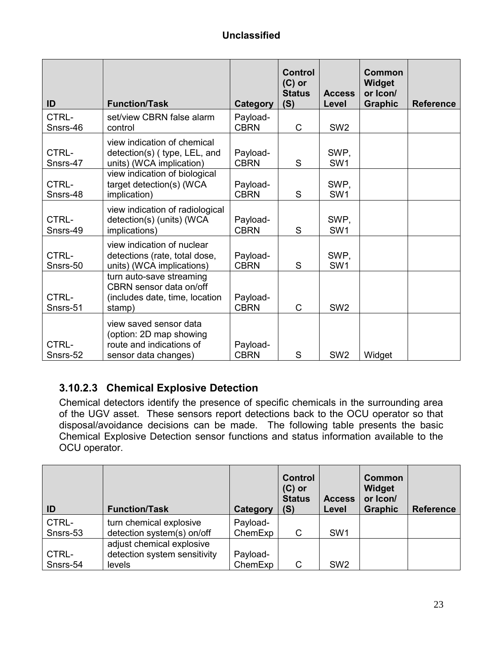| ID                | <b>Function/Task</b>                                                                                  | <b>Category</b>         | <b>Control</b><br>$(C)$ or<br><b>Status</b><br>(S) | <b>Access</b><br>Level  | <b>Common</b><br><b>Widget</b><br>or Icon/<br><b>Graphic</b> | <b>Reference</b> |
|-------------------|-------------------------------------------------------------------------------------------------------|-------------------------|----------------------------------------------------|-------------------------|--------------------------------------------------------------|------------------|
| CTRL-<br>Snsrs-46 | set/view CBRN false alarm<br>control                                                                  | Payload-<br><b>CBRN</b> | C                                                  | SW <sub>2</sub>         |                                                              |                  |
| CTRL-<br>Snsrs-47 | view indication of chemical<br>detection(s) (type, LEL, and<br>units) (WCA implication)               | Payload-<br><b>CBRN</b> | S                                                  | SWP.<br>SW <sub>1</sub> |                                                              |                  |
| CTRL-<br>Snsrs-48 | view indication of biological<br>target detection(s) (WCA<br>implication)                             | Payload-<br><b>CBRN</b> | S                                                  | SWP,<br>SW <sub>1</sub> |                                                              |                  |
| CTRL-<br>Snsrs-49 | view indication of radiological<br>detection(s) (units) (WCA<br>implications)                         | Payload-<br><b>CBRN</b> | S                                                  | SWP,<br>SW <sub>1</sub> |                                                              |                  |
| CTRL-<br>Snsrs-50 | view indication of nuclear<br>detections (rate, total dose,<br>units) (WCA implications)              | Payload-<br><b>CBRN</b> | S                                                  | SWP,<br>SW <sub>1</sub> |                                                              |                  |
| CTRL-<br>Snsrs-51 | turn auto-save streaming<br>CBRN sensor data on/off<br>(includes date, time, location<br>stamp)       | Payload-<br><b>CBRN</b> | $\mathsf{C}$                                       | SW <sub>2</sub>         |                                                              |                  |
| CTRL-<br>Snsrs-52 | view saved sensor data<br>(option: 2D map showing<br>route and indications of<br>sensor data changes) | Payload-<br><b>CBRN</b> | S                                                  | SW <sub>2</sub>         | Widget                                                       |                  |

#### **3.10.2.3 Chemical Explosive Detection**

Chemical detectors identify the presence of specific chemicals in the surrounding area of the UGV asset. These sensors report detections back to the OCU operator so that disposal/avoidance decisions can be made. The following table presents the basic Chemical Explosive Detection sensor functions and status information available to the OCU operator.

| ID                | <b>Function/Task</b>                                                | Category            | <b>Control</b><br>$(C)$ or<br><b>Status</b><br>(S) | <b>Access</b><br>Level | <b>Common</b><br><b>Widget</b><br>or Icon/<br><b>Graphic</b> | <b>Reference</b> |
|-------------------|---------------------------------------------------------------------|---------------------|----------------------------------------------------|------------------------|--------------------------------------------------------------|------------------|
| CTRL-<br>Snsrs-53 | turn chemical explosive<br>detection system(s) on/off               | Payload-<br>ChemExp | C                                                  | SW <sub>1</sub>        |                                                              |                  |
| CTRL-<br>Snsrs-54 | adjust chemical explosive<br>detection system sensitivity<br>levels | Payload-<br>ChemExp | C                                                  | SW <sub>2</sub>        |                                                              |                  |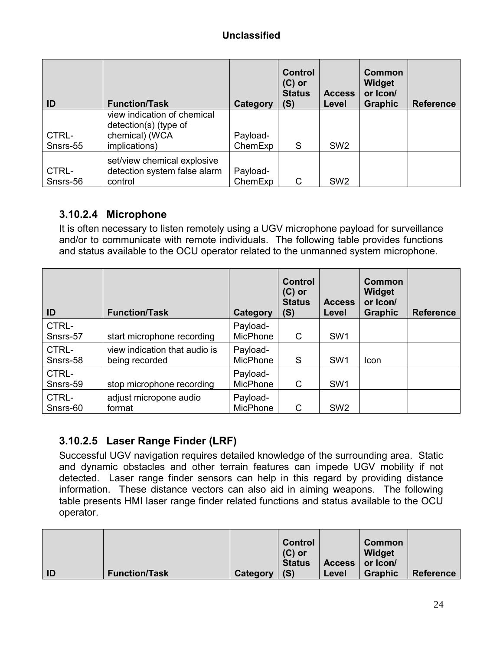| ID                | <b>Function/Task</b>                                                                    | Category            | <b>Control</b><br>$(C)$ or<br><b>Status</b><br>(S) | <b>Access</b><br>Level | <b>Common</b><br>Widget<br>or Icon/<br><b>Graphic</b> | <b>Reference</b> |
|-------------------|-----------------------------------------------------------------------------------------|---------------------|----------------------------------------------------|------------------------|-------------------------------------------------------|------------------|
| CTRL-<br>Snsrs-55 | view indication of chemical<br>detection(s) (type of<br>chemical) (WCA<br>implications) | Payload-<br>ChemExp | S                                                  | SW <sub>2</sub>        |                                                       |                  |
| CTRL-<br>Snsrs-56 | set/view chemical explosive<br>detection system false alarm<br>control                  | Payload-<br>ChemExp | C                                                  | SW <sub>2</sub>        |                                                       |                  |

#### **3.10.2.4 Microphone**

It is often necessary to listen remotely using a UGV microphone payload for surveillance and/or to communicate with remote individuals. The following table provides functions and status available to the OCU operator related to the unmanned system microphone.

| ID                | <b>Function/Task</b>                            | Category                    | <b>Control</b><br>$(C)$ or<br><b>Status</b><br>(S) | <b>Access</b><br>Level | Common<br>Widget<br>or Icon/<br><b>Graphic</b> | <b>Reference</b> |
|-------------------|-------------------------------------------------|-----------------------------|----------------------------------------------------|------------------------|------------------------------------------------|------------------|
| CTRL-<br>Snsrs-57 | start microphone recording                      | Payload-<br>MicPhone        | C                                                  | SW <sub>1</sub>        |                                                |                  |
| CTRL-<br>Snsrs-58 | view indication that audio is<br>being recorded | Payload-<br><b>MicPhone</b> | S                                                  | SW <sub>1</sub>        | Icon                                           |                  |
| CTRL-<br>Snsrs-59 | stop microphone recording                       | Payload-<br><b>MicPhone</b> | C                                                  | SW <sub>1</sub>        |                                                |                  |
| CTRL-<br>Snsrs-60 | adjust micropone audio<br>format                | Payload-<br><b>MicPhone</b> | C                                                  | SW <sub>2</sub>        |                                                |                  |

## **3.10.2.5 Laser Range Finder (LRF)**

Successful UGV navigation requires detailed knowledge of the surrounding area. Static and dynamic obstacles and other terrain features can impede UGV mobility if not detected. Laser range finder sensors can help in this regard by providing distance information. These distance vectors can also aid in aiming weapons. The following table presents HMI laser range finder related functions and status available to the OCU operator.

|    |                      |          | <b>Control</b><br>$(C)$ or<br><b>Status</b> | Access   or Icon/ | Common<br>Widget |           |
|----|----------------------|----------|---------------------------------------------|-------------------|------------------|-----------|
| ID | <b>Function/Task</b> | Category | (S)                                         | Level             | <b>Graphic</b>   | Reference |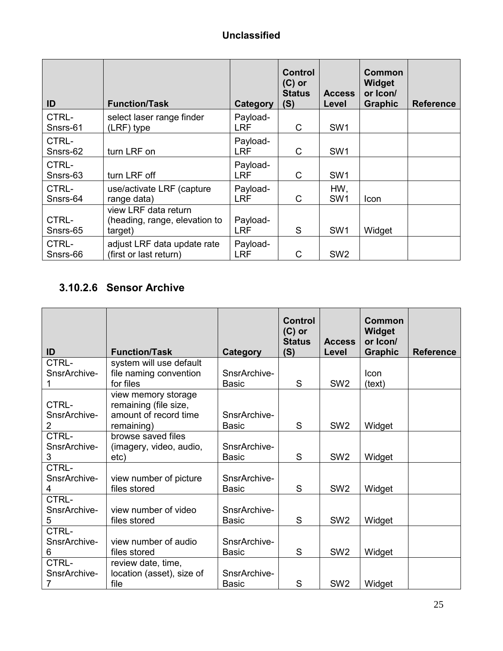| ID                | <b>Function/Task</b>                                             | Category               | <b>Control</b><br>$(C)$ or<br><b>Status</b><br>(S) | <b>Access</b><br>Level | Common<br>Widget<br>or Icon/<br><b>Graphic</b> | <b>Reference</b> |
|-------------------|------------------------------------------------------------------|------------------------|----------------------------------------------------|------------------------|------------------------------------------------|------------------|
| CTRL-<br>Snsrs-61 | select laser range finder<br>(LRF) type                          | Payload-<br><b>LRF</b> | C                                                  | SW <sub>1</sub>        |                                                |                  |
| CTRL-<br>Snsrs-62 | turn LRF on                                                      | Payload-<br><b>LRF</b> | C                                                  | SW <sub>1</sub>        |                                                |                  |
| CTRL-<br>Snsrs-63 | turn LRF off                                                     | Payload-<br><b>LRF</b> | C                                                  | SW <sub>1</sub>        |                                                |                  |
| CTRL-<br>Snsrs-64 | use/activate LRF (capture<br>range data)                         | Payload-<br><b>LRF</b> | C                                                  | HW,<br>SW <sub>1</sub> | <b>Icon</b>                                    |                  |
| CTRL-<br>Snsrs-65 | view LRF data return<br>(heading, range, elevation to<br>target) | Payload-<br><b>LRF</b> | S                                                  | SW <sub>1</sub>        | Widget                                         |                  |
| CTRL-<br>Snsrs-66 | adjust LRF data update rate<br>(first or last return)            | Payload-<br><b>LRF</b> | C                                                  | SW <sub>2</sub>        |                                                |                  |

## **3.10.2.6 Sensor Archive**

| ID                                      | <b>Function/Task</b>                                                                | <b>Category</b>              | <b>Control</b><br>$(C)$ or<br><b>Status</b><br>(S) | <b>Access</b><br>Level | Common<br>Widget<br>or Icon/<br><b>Graphic</b> | <b>Reference</b> |
|-----------------------------------------|-------------------------------------------------------------------------------------|------------------------------|----------------------------------------------------|------------------------|------------------------------------------------|------------------|
| CTRL-                                   | system will use default                                                             |                              |                                                    |                        |                                                |                  |
| SnsrArchive-                            | file naming convention                                                              | SnsrArchive-                 |                                                    |                        | Icon                                           |                  |
| 1                                       | for files                                                                           | <b>Basic</b>                 | S                                                  | SW <sub>2</sub>        | (text)                                         |                  |
| CTRL-<br>SnsrArchive-<br>$\overline{2}$ | view memory storage<br>remaining (file size,<br>amount of record time<br>remaining) | SnsrArchive-<br><b>Basic</b> | S                                                  | SW <sub>2</sub>        | Widget                                         |                  |
| CTRL-<br>SnsrArchive-<br>3              | browse saved files<br>(imagery, video, audio,<br>etc)                               | SnsrArchive-<br><b>Basic</b> | S                                                  | SW <sub>2</sub>        | Widget                                         |                  |
| CTRL-<br>SnsrArchive-<br>4              | view number of picture<br>files stored                                              | SnsrArchive-<br><b>Basic</b> | S                                                  | SW <sub>2</sub>        | Widget                                         |                  |
| CTRL-<br>SnsrArchive-<br>5              | view number of video<br>files stored                                                | SnsrArchive-<br><b>Basic</b> | S                                                  | SW <sub>2</sub>        | Widget                                         |                  |
| CTRL-<br>SnsrArchive-<br>6              | view number of audio<br>files stored                                                | SnsrArchive-<br><b>Basic</b> | S                                                  | SW <sub>2</sub>        | Widget                                         |                  |
| CTRL-<br>SnsrArchive-<br>7              | review date, time,<br>location (asset), size of<br>file                             | SnsrArchive-<br><b>Basic</b> | S                                                  | SW <sub>2</sub>        | Widget                                         |                  |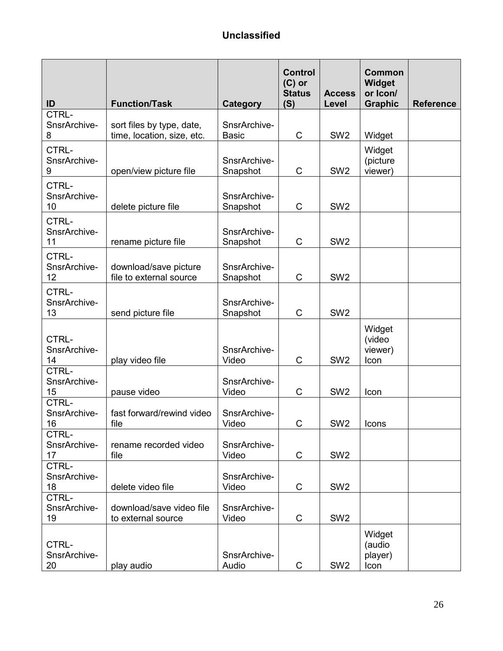| ID                          | <b>Function/Task</b>                                    | Category                     | <b>Control</b><br>$(C)$ or<br><b>Status</b><br>(S) | <b>Access</b><br>Level | <b>Common</b><br>Widget<br>or Icon/<br><b>Graphic</b> | <b>Reference</b> |
|-----------------------------|---------------------------------------------------------|------------------------------|----------------------------------------------------|------------------------|-------------------------------------------------------|------------------|
| CTRL-<br>SnsrArchive-<br>8  | sort files by type, date,<br>time, location, size, etc. | SnsrArchive-<br><b>Basic</b> | C                                                  | SW <sub>2</sub>        | Widget                                                |                  |
| CTRL-<br>SnsrArchive-<br>9  | open/view picture file                                  | SnsrArchive-<br>Snapshot     | C                                                  | SW <sub>2</sub>        | Widget<br>(picture<br>viewer)                         |                  |
| CTRL-<br>SnsrArchive-<br>10 | delete picture file                                     | SnsrArchive-<br>Snapshot     | C                                                  | SW <sub>2</sub>        |                                                       |                  |
| CTRL-<br>SnsrArchive-<br>11 | rename picture file                                     | SnsrArchive-<br>Snapshot     | C                                                  | SW <sub>2</sub>        |                                                       |                  |
| CTRL-<br>SnsrArchive-<br>12 | download/save picture<br>file to external source        | SnsrArchive-<br>Snapshot     | $\mathsf C$                                        | SW <sub>2</sub>        |                                                       |                  |
| CTRL-<br>SnsrArchive-<br>13 | send picture file                                       | SnsrArchive-<br>Snapshot     | C                                                  | SW <sub>2</sub>        |                                                       |                  |
| CTRL-<br>SnsrArchive-<br>14 | play video file                                         | SnsrArchive-<br>Video        | С                                                  | SW <sub>2</sub>        | Widget<br>(video<br>viewer)<br>Icon                   |                  |
| CTRL-<br>SnsrArchive-<br>15 | pause video                                             | SnsrArchive-<br>Video        | C                                                  | SW <sub>2</sub>        | Icon                                                  |                  |
| CTRL-<br>SnsrArchive-<br>16 | fast forward/rewind video<br>file                       | SnsrArchive-<br>Video        | C                                                  | SW <sub>2</sub>        | Icons                                                 |                  |
| CTRL-<br>SnsrArchive-<br>17 | rename recorded video<br>file                           | SnsrArchive-<br>Video        | C                                                  | SW <sub>2</sub>        |                                                       |                  |
| CTRL-<br>SnsrArchive-<br>18 | delete video file                                       | SnsrArchive-<br>Video        | C                                                  | SW <sub>2</sub>        |                                                       |                  |
| CTRL-<br>SnsrArchive-<br>19 | download/save video file<br>to external source          | SnsrArchive-<br>Video        | C                                                  | SW <sub>2</sub>        |                                                       |                  |
| CTRL-<br>SnsrArchive-<br>20 | play audio                                              | SnsrArchive-<br>Audio        | $\mathsf C$                                        | SW <sub>2</sub>        | Widget<br>(audio<br>player)<br>Icon                   |                  |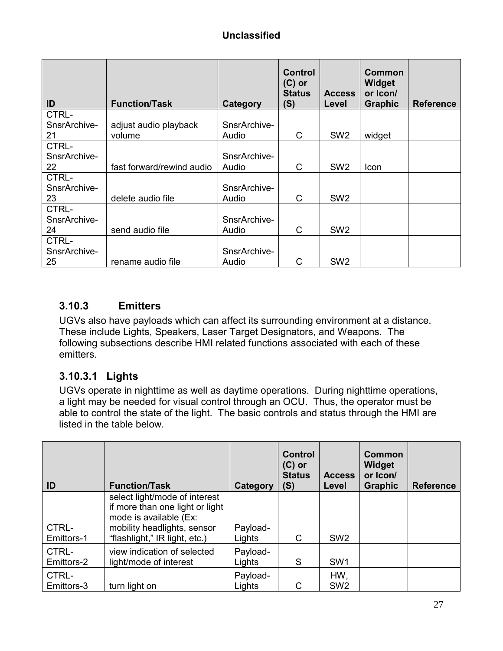| ID                          | <b>Function/Task</b>      | Category              | <b>Control</b><br>$(C)$ or<br><b>Status</b><br>(S) | <b>Access</b><br>Level | Common<br><b>Widget</b><br>or Icon/<br><b>Graphic</b> | <b>Reference</b> |
|-----------------------------|---------------------------|-----------------------|----------------------------------------------------|------------------------|-------------------------------------------------------|------------------|
| CTRL-<br>SnsrArchive-       | adjust audio playback     | SnsrArchive-          |                                                    |                        |                                                       |                  |
| 21                          | volume                    | Audio                 | С                                                  | SW <sub>2</sub>        | widget                                                |                  |
| CTRL-<br>SnsrArchive-<br>22 | fast forward/rewind audio | SnsrArchive-<br>Audio | C                                                  | SW <sub>2</sub>        | Icon                                                  |                  |
| CTRL-<br>SnsrArchive-<br>23 | delete audio file         | SnsrArchive-<br>Audio | С                                                  | SW <sub>2</sub>        |                                                       |                  |
| CTRL-<br>SnsrArchive-<br>24 | send audio file           | SnsrArchive-<br>Audio | C                                                  | SW <sub>2</sub>        |                                                       |                  |
| CTRL-<br>SnsrArchive-<br>25 | rename audio file         | SnsrArchive-<br>Audio | С                                                  | SW <sub>2</sub>        |                                                       |                  |

## **3.10.3 Emitters**

UGVs also have payloads which can affect its surrounding environment at a distance. These include Lights, Speakers, Laser Target Designators, and Weapons. The following subsections describe HMI related functions associated with each of these emitters.

#### **3.10.3.1 Lights**

UGVs operate in nighttime as well as daytime operations. During nighttime operations, a light may be needed for visual control through an OCU. Thus, the operator must be able to control the state of the light. The basic controls and status through the HMI are listed in the table below.

| ID                  | <b>Function/Task</b>                                                                                                                                       | Category           | <b>Control</b><br>$(C)$ or<br><b>Status</b><br>(S) | <b>Access</b><br>Level | Common<br>Widget<br>or Icon/<br><b>Graphic</b> | <b>Reference</b> |
|---------------------|------------------------------------------------------------------------------------------------------------------------------------------------------------|--------------------|----------------------------------------------------|------------------------|------------------------------------------------|------------------|
| CTRL-<br>Emittors-1 | select light/mode of interest<br>if more than one light or light<br>mode is available (Ex:<br>mobility headlights, sensor<br>"flashlight," IR light, etc.) | Payload-<br>Lights | C                                                  | SW <sub>2</sub>        |                                                |                  |
| CTRL-<br>Emittors-2 | view indication of selected<br>light/mode of interest                                                                                                      | Payload-<br>Lights | S                                                  | SW <sub>1</sub>        |                                                |                  |
| CTRL-<br>Emittors-3 | turn light on                                                                                                                                              | Payload-<br>Lights | C                                                  | HW,<br>SW <sub>2</sub> |                                                |                  |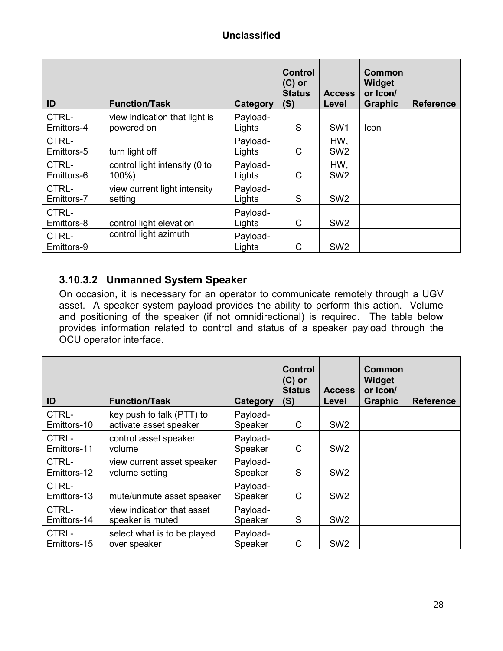| ID                  | <b>Function/Task</b>                        | Category           | <b>Control</b><br>$(C)$ or<br><b>Status</b><br>(S) | <b>Access</b><br>Level | Common<br>Widget<br>or Icon/<br><b>Graphic</b> | <b>Reference</b> |
|---------------------|---------------------------------------------|--------------------|----------------------------------------------------|------------------------|------------------------------------------------|------------------|
| CTRL-<br>Emittors-4 | view indication that light is<br>powered on | Payload-<br>Lights | S                                                  | SW <sub>1</sub>        | Icon                                           |                  |
| CTRL-<br>Emittors-5 | turn light off                              | Payload-<br>Lights | C                                                  | HW,<br>SW <sub>2</sub> |                                                |                  |
| CTRL-<br>Emittors-6 | control light intensity (0 to<br>$100\%$ )  | Payload-<br>Lights | C                                                  | HW,<br>SW <sub>2</sub> |                                                |                  |
| CTRL-<br>Emittors-7 | view current light intensity<br>setting     | Payload-<br>Lights | S                                                  | SW <sub>2</sub>        |                                                |                  |
| CTRL-<br>Emittors-8 | control light elevation                     | Payload-<br>Lights | C                                                  | SW <sub>2</sub>        |                                                |                  |
| CTRL-<br>Emittors-9 | control light azimuth                       | Payload-<br>Lights | C                                                  | SW <sub>2</sub>        |                                                |                  |

#### **3.10.3.2 Unmanned System Speaker**

On occasion, it is necessary for an operator to communicate remotely through a UGV asset. A speaker system payload provides the ability to perform this action. Volume and positioning of the speaker (if not omnidirectional) is required. The table below provides information related to control and status of a speaker payload through the OCU operator interface.

| ID                   | <b>Function/Task</b>                                | Category            | <b>Control</b><br>$(C)$ or<br><b>Status</b><br>(S) | <b>Access</b><br>Level | Common<br>Widget<br>or Icon/<br><b>Graphic</b> | <b>Reference</b> |
|----------------------|-----------------------------------------------------|---------------------|----------------------------------------------------|------------------------|------------------------------------------------|------------------|
| CTRL-<br>Emittors-10 | key push to talk (PTT) to<br>activate asset speaker | Payload-<br>Speaker | C                                                  | SW <sub>2</sub>        |                                                |                  |
| CTRL-<br>Emittors-11 | control asset speaker<br>volume                     | Payload-<br>Speaker | C                                                  | SW <sub>2</sub>        |                                                |                  |
| CTRL-<br>Emittors-12 | view current asset speaker<br>volume setting        | Payload-<br>Speaker | S                                                  | SW <sub>2</sub>        |                                                |                  |
| CTRL-<br>Emittors-13 | mute/unmute asset speaker                           | Payload-<br>Speaker | C                                                  | SW <sub>2</sub>        |                                                |                  |
| CTRL-<br>Emittors-14 | view indication that asset<br>speaker is muted      | Payload-<br>Speaker | S                                                  | SW <sub>2</sub>        |                                                |                  |
| CTRL-<br>Emittors-15 | select what is to be played<br>over speaker         | Payload-<br>Speaker | C                                                  | SW <sub>2</sub>        |                                                |                  |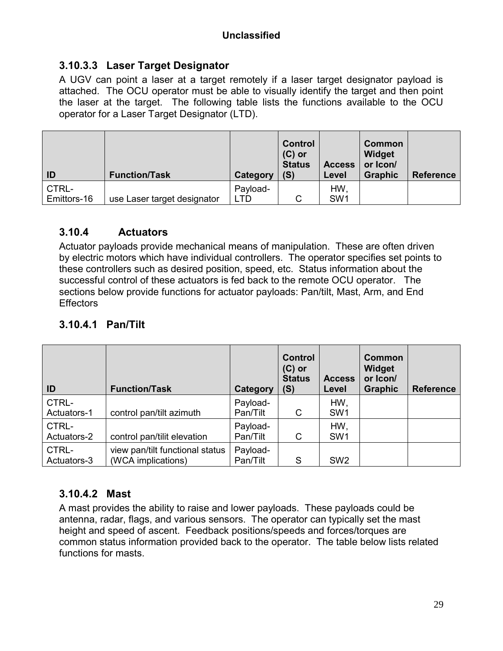#### **3.10.3.3 Laser Target Designator**

A UGV can point a laser at a target remotely if a laser target designator payload is attached. The OCU operator must be able to visually identify the target and then point the laser at the target. The following table lists the functions available to the OCU operator for a Laser Target Designator (LTD).

| ID          | <b>Function/Task</b>        | Category | <b>Control</b><br>$(C)$ or<br><b>Status</b><br>(S) | <b>Access</b><br>Level | <b>Common</b><br>Widget<br>or Icon/<br><b>Graphic</b> | <b>Reference</b> |
|-------------|-----------------------------|----------|----------------------------------------------------|------------------------|-------------------------------------------------------|------------------|
| CTRL-       |                             | Payload- |                                                    | <b>HW</b>              |                                                       |                  |
| Emittors-16 | use Laser target designator | LTD      | С                                                  | SW <sub>1</sub>        |                                                       |                  |

#### **3.10.4 Actuators**

Actuator payloads provide mechanical means of manipulation. These are often driven by electric motors which have individual controllers. The operator specifies set points to these controllers such as desired position, speed, etc. Status information about the successful control of these actuators is fed back to the remote OCU operator. The sections below provide functions for actuator payloads: Pan/tilt, Mast, Arm, and End **Effectors** 

| ID                   | <b>Function/Task</b>                                  | Category             | <b>Control</b><br>$(C)$ or<br><b>Status</b><br>(S) | <b>Access</b><br>Level | <b>Common</b><br>Widget<br>or Icon/<br><b>Graphic</b> | <b>Reference</b> |
|----------------------|-------------------------------------------------------|----------------------|----------------------------------------------------|------------------------|-------------------------------------------------------|------------------|
| CTRL-<br>Actuators-1 | control pan/tilt azimuth                              | Payload-<br>Pan/Tilt | C                                                  | HW,<br>SW <sub>1</sub> |                                                       |                  |
| CTRL-<br>Actuators-2 | control pan/tilit elevation                           | Payload-<br>Pan/Tilt | C                                                  | HW,<br>SW <sub>1</sub> |                                                       |                  |
| CTRL-<br>Actuators-3 | view pan/tilt functional status<br>(WCA implications) | Payload-<br>Pan/Tilt | S                                                  | SW <sub>2</sub>        |                                                       |                  |

## **3.10.4.1 Pan/Tilt**

#### **3.10.4.2 Mast**

A mast provides the ability to raise and lower payloads. These payloads could be antenna, radar, flags, and various sensors. The operator can typically set the mast height and speed of ascent. Feedback positions/speeds and forces/torques are common status information provided back to the operator. The table below lists related functions for masts.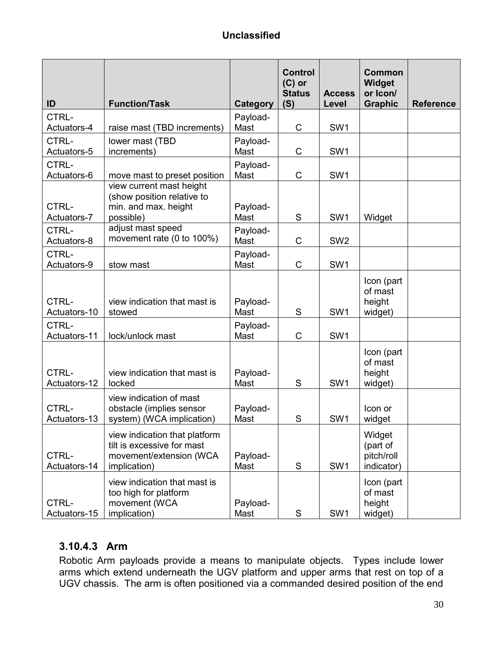| ID                            | <b>Function/Task</b>                                                                                             | <b>Category</b>              | <b>Control</b><br>$(C)$ or<br><b>Status</b><br>(S) | <b>Access</b><br>Level | <b>Common</b><br>Widget<br>or Icon/<br><b>Graphic</b> | <b>Reference</b> |
|-------------------------------|------------------------------------------------------------------------------------------------------------------|------------------------------|----------------------------------------------------|------------------------|-------------------------------------------------------|------------------|
| CTRL-<br>Actuators-4          | raise mast (TBD increments)                                                                                      | Payload-<br>Mast             | C                                                  | SW <sub>1</sub>        |                                                       |                  |
| CTRL-<br>Actuators-5          | lower mast (TBD<br>increments)                                                                                   | Payload-<br>Mast             | $\mathsf C$                                        | SW <sub>1</sub>        |                                                       |                  |
| CTRL-<br>Actuators-6          | move mast to preset position                                                                                     | Payload-<br>Mast             | $\mathsf C$                                        | SW1                    |                                                       |                  |
| CTRL-<br>Actuators-7<br>CTRL- | view current mast height<br>(show position relative to<br>min. and max. height<br>possible)<br>adjust mast speed | Payload-<br>Mast<br>Payload- | S                                                  | SW <sub>1</sub>        | Widget                                                |                  |
| Actuators-8<br>CTRL-          | movement rate (0 to 100%)                                                                                        | Mast<br>Payload-             | C                                                  | SW <sub>2</sub>        |                                                       |                  |
| Actuators-9                   | stow mast                                                                                                        | Mast                         | C                                                  | SW <sub>1</sub>        |                                                       |                  |
| CTRL-<br>Actuators-10         | view indication that mast is<br>stowed                                                                           | Payload-<br>Mast             | S                                                  | SW <sub>1</sub>        | Icon (part<br>of mast<br>height<br>widget)            |                  |
| CTRL-<br>Actuators-11         | lock/unlock mast                                                                                                 | Payload-<br>Mast             | C                                                  | SW <sub>1</sub>        |                                                       |                  |
| CTRL-<br>Actuators-12         | view indication that mast is<br>locked                                                                           | Payload-<br>Mast             | S                                                  | SW <sub>1</sub>        | Icon (part<br>of mast<br>height<br>widget)            |                  |
| CTRL-<br>Actuators-13         | view indication of mast<br>obstacle (implies sensor<br>system) (WCA implication)                                 | Payload-<br>Mast             | S                                                  | SW <sub>1</sub>        | Icon or<br>widget                                     |                  |
| CTRL-<br>Actuators-14         | view indication that platform<br>tilt is excessive for mast<br>movement/extension (WCA<br>implication)           | Payload-<br>Mast             | S                                                  | SW <sub>1</sub>        | Widget<br>(part of<br>pitch/roll<br>indicator)        |                  |
| CTRL-<br>Actuators-15         | view indication that mast is<br>too high for platform<br>movement (WCA<br>implication)                           | Payload-<br>Mast             | $\mathsf S$                                        | SW <sub>1</sub>        | Icon (part<br>of mast<br>height<br>widget)            |                  |

## **3.10.4.3 Arm**

Robotic Arm payloads provide a means to manipulate objects. Types include lower arms which extend underneath the UGV platform and upper arms that rest on top of a UGV chassis. The arm is often positioned via a commanded desired position of the end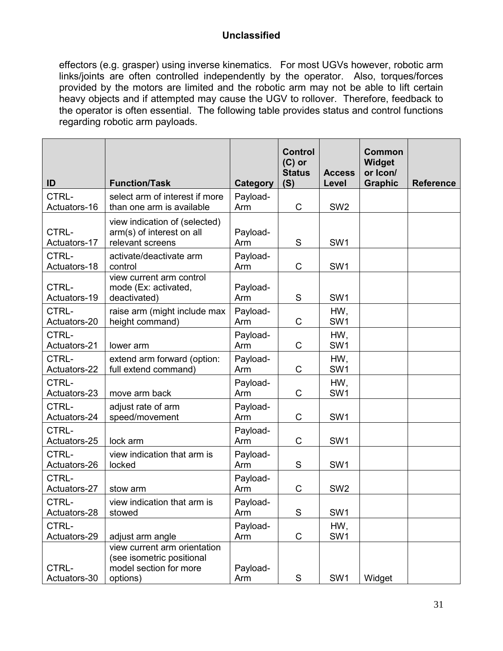effectors (e.g. grasper) using inverse kinematics. For most UGVs however, robotic arm links/joints are often controlled independently by the operator. Also, torques/forces provided by the motors are limited and the robotic arm may not be able to lift certain heavy objects and if attempted may cause the UGV to rollover. Therefore, feedback to the operator is often essential. The following table provides status and control functions regarding robotic arm payloads.

| ID                    | <b>Function/Task</b>                                                                            | Category        | <b>Control</b><br>$(C)$ or<br><b>Status</b><br>(S) | <b>Access</b><br>Level | Common<br>Widget<br>or Icon/<br><b>Graphic</b> | <b>Reference</b> |
|-----------------------|-------------------------------------------------------------------------------------------------|-----------------|----------------------------------------------------|------------------------|------------------------------------------------|------------------|
| CTRL-<br>Actuators-16 | select arm of interest if more<br>than one arm is available                                     | Payload-<br>Arm | $\mathsf{C}$                                       | SW <sub>2</sub>        |                                                |                  |
| CTRL-<br>Actuators-17 | view indication of (selected)<br>arm(s) of interest on all<br>relevant screens                  | Payload-<br>Arm | S                                                  | SW <sub>1</sub>        |                                                |                  |
| CTRL-<br>Actuators-18 | activate/deactivate arm<br>control                                                              | Payload-<br>Arm | $\mathsf{C}$                                       | SW <sub>1</sub>        |                                                |                  |
| CTRL-<br>Actuators-19 | view current arm control<br>mode (Ex: activated,<br>deactivated)                                | Payload-<br>Arm | S                                                  | SW <sub>1</sub>        |                                                |                  |
| CTRL-<br>Actuators-20 | raise arm (might include max<br>height command)                                                 | Payload-<br>Arm | $\mathsf{C}$                                       | HW.<br>SW <sub>1</sub> |                                                |                  |
| CTRL-<br>Actuators-21 | lower arm                                                                                       | Payload-<br>Arm | C                                                  | HW,<br>SW <sub>1</sub> |                                                |                  |
| CTRL-<br>Actuators-22 | extend arm forward (option:<br>full extend command)                                             | Payload-<br>Arm | $\mathsf{C}$                                       | HW,<br>SW <sub>1</sub> |                                                |                  |
| CTRL-<br>Actuators-23 | move arm back                                                                                   | Payload-<br>Arm | $\mathsf{C}$                                       | HW.<br>SW <sub>1</sub> |                                                |                  |
| CTRL-<br>Actuators-24 | adjust rate of arm<br>speed/movement                                                            | Payload-<br>Arm | C                                                  | SW <sub>1</sub>        |                                                |                  |
| CTRL-<br>Actuators-25 | lock arm                                                                                        | Payload-<br>Arm | C                                                  | SW <sub>1</sub>        |                                                |                  |
| CTRL-<br>Actuators-26 | view indication that arm is<br>locked                                                           | Payload-<br>Arm | S                                                  | SW <sub>1</sub>        |                                                |                  |
| CTRL-<br>Actuators-27 | stow arm                                                                                        | Payload-<br>Arm | C                                                  | SW <sub>2</sub>        |                                                |                  |
| CTRL-<br>Actuators-28 | view indication that arm is<br>stowed                                                           | Payload-<br>Arm | S                                                  | SW <sub>1</sub>        |                                                |                  |
| CTRL-<br>Actuators-29 | adjust arm angle                                                                                | Payload-<br>Arm | $\mathsf C$                                        | HW,<br>SW <sub>1</sub> |                                                |                  |
| CTRL-<br>Actuators-30 | view current arm orientation<br>(see isometric positional<br>model section for more<br>options) | Payload-<br>Arm | ${\mathsf S}$                                      | SW1                    | Widget                                         |                  |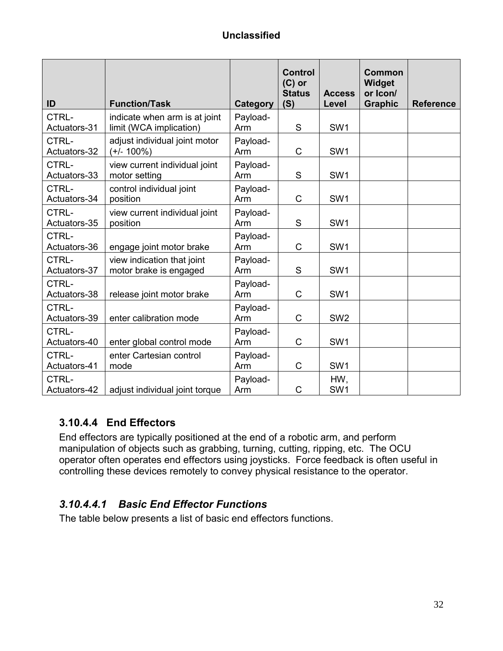| ID                    | <b>Function/Task</b>                                     | Category        | Control<br>$(C)$ or<br><b>Status</b><br>(S) | <b>Access</b><br>Level | Common<br>Widget<br>or Icon/<br><b>Graphic</b> | <b>Reference</b> |
|-----------------------|----------------------------------------------------------|-----------------|---------------------------------------------|------------------------|------------------------------------------------|------------------|
| CTRL-<br>Actuators-31 | indicate when arm is at joint<br>limit (WCA implication) | Payload-<br>Arm | S                                           | SW <sub>1</sub>        |                                                |                  |
| CTRL-<br>Actuators-32 | adjust individual joint motor<br>$(+/- 100%)$            | Payload-<br>Arm | $\mathsf{C}$                                | SW <sub>1</sub>        |                                                |                  |
| CTRL-<br>Actuators-33 | view current individual joint<br>motor setting           | Payload-<br>Arm | S                                           | SW <sub>1</sub>        |                                                |                  |
| CTRL-<br>Actuators-34 | control individual joint<br>position                     | Payload-<br>Arm | C                                           | SW <sub>1</sub>        |                                                |                  |
| CTRL-<br>Actuators-35 | view current individual joint<br>position                | Payload-<br>Arm | S                                           | SW <sub>1</sub>        |                                                |                  |
| CTRL-<br>Actuators-36 | engage joint motor brake                                 | Payload-<br>Arm | C                                           | SW <sub>1</sub>        |                                                |                  |
| CTRL-<br>Actuators-37 | view indication that joint<br>motor brake is engaged     | Payload-<br>Arm | S                                           | SW1                    |                                                |                  |
| CTRL-<br>Actuators-38 | release joint motor brake                                | Payload-<br>Arm | C                                           | SW <sub>1</sub>        |                                                |                  |
| CTRL-<br>Actuators-39 | enter calibration mode                                   | Payload-<br>Arm | C                                           | SW <sub>2</sub>        |                                                |                  |
| CTRL-<br>Actuators-40 | enter global control mode                                | Payload-<br>Arm | C                                           | SW <sub>1</sub>        |                                                |                  |
| CTRL-<br>Actuators-41 | enter Cartesian control<br>mode                          | Payload-<br>Arm | C                                           | SW <sub>1</sub>        |                                                |                  |
| CTRL-<br>Actuators-42 | adjust individual joint torque                           | Payload-<br>Arm | C                                           | HW,<br>SW <sub>1</sub> |                                                |                  |

#### **3.10.4.4 End Effectors**

End effectors are typically positioned at the end of a robotic arm, and perform manipulation of objects such as grabbing, turning, cutting, ripping, etc. The OCU operator often operates end effectors using joysticks. Force feedback is often useful in controlling these devices remotely to convey physical resistance to the operator.

#### *3.10.4.4.1 Basic End Effector Functions*

The table below presents a list of basic end effectors functions.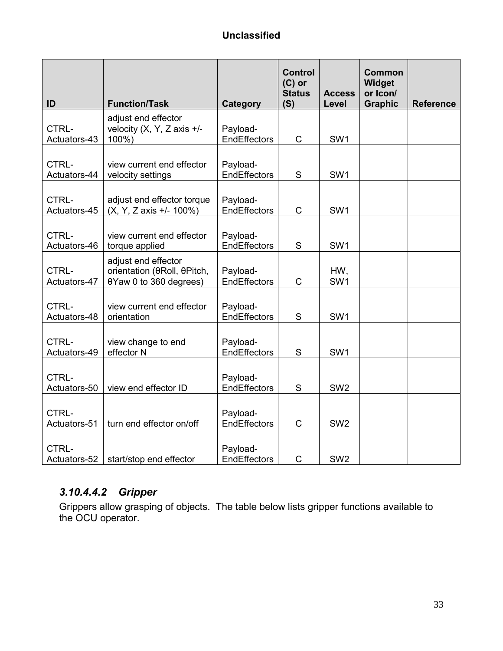| ID                    | <b>Function/Task</b>                                                         | Category                        | <b>Control</b><br>$(C)$ or<br><b>Status</b><br>(S) | <b>Access</b><br>Level | <b>Common</b><br>Widget<br>or Icon/<br><b>Graphic</b> | <b>Reference</b> |
|-----------------------|------------------------------------------------------------------------------|---------------------------------|----------------------------------------------------|------------------------|-------------------------------------------------------|------------------|
| CTRL-<br>Actuators-43 | adjust end effector<br>velocity $(X, Y, Z \text{ axis } +/$ -<br>100%)       | Payload-<br><b>EndEffectors</b> | $\mathsf{C}$                                       | SW1                    |                                                       |                  |
| CTRL-<br>Actuators-44 | view current end effector<br>velocity settings                               | Payload-<br><b>EndEffectors</b> | S                                                  | SW <sub>1</sub>        |                                                       |                  |
| CTRL-<br>Actuators-45 | adjust end effector torque<br>(X, Y, Z axis +/- 100%)                        | Payload-<br><b>EndEffectors</b> | $\mathsf C$                                        | SW <sub>1</sub>        |                                                       |                  |
| CTRL-<br>Actuators-46 | view current end effector<br>torque applied                                  | Payload-<br>EndEffectors        | S                                                  | SW <sub>1</sub>        |                                                       |                  |
| CTRL-<br>Actuators-47 | adjust end effector<br>orientation (θRoll, θPitch,<br>0Yaw 0 to 360 degrees) | Payload-<br>EndEffectors        | C                                                  | HW,<br>SW <sub>1</sub> |                                                       |                  |
| CTRL-<br>Actuators-48 | view current end effector<br>orientation                                     | Payload-<br><b>EndEffectors</b> | S                                                  | SW <sub>1</sub>        |                                                       |                  |
| CTRL-<br>Actuators-49 | view change to end<br>effector N                                             | Payload-<br>EndEffectors        | S                                                  | SW <sub>1</sub>        |                                                       |                  |
| CTRL-<br>Actuators-50 | view end effector ID                                                         | Payload-<br>EndEffectors        | S                                                  | SW <sub>2</sub>        |                                                       |                  |
| CTRL-<br>Actuators-51 | turn end effector on/off                                                     | Payload-<br><b>EndEffectors</b> | C                                                  | SW <sub>2</sub>        |                                                       |                  |
| CTRL-<br>Actuators-52 | start/stop end effector                                                      | Payload-<br><b>EndEffectors</b> | $\mathsf C$                                        | SW <sub>2</sub>        |                                                       |                  |

## *3.10.4.4.2 Gripper*

Grippers allow grasping of objects. The table below lists gripper functions available to the OCU operator.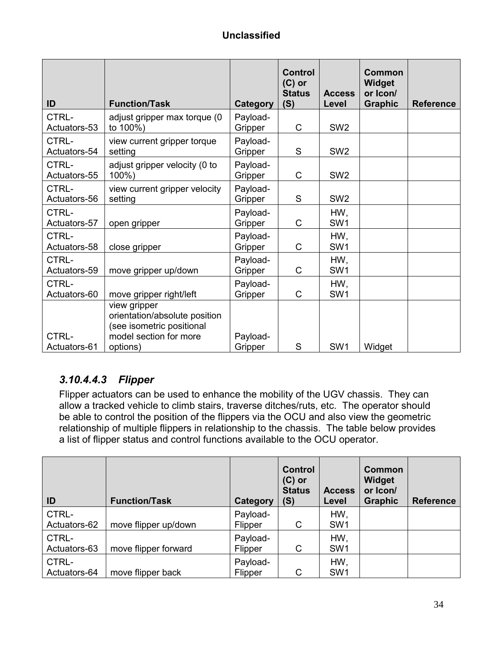| ID                    | <b>Function/Task</b>                                                                                             | Category            | <b>Control</b><br>$(C)$ or<br><b>Status</b><br>(S) | <b>Access</b><br>Level | <b>Common</b><br>Widget<br>or Icon/<br><b>Graphic</b> | <b>Reference</b> |
|-----------------------|------------------------------------------------------------------------------------------------------------------|---------------------|----------------------------------------------------|------------------------|-------------------------------------------------------|------------------|
| CTRL-<br>Actuators-53 | adjust gripper max torque (0<br>to 100%)                                                                         | Payload-<br>Gripper | $\mathsf C$                                        | SW <sub>2</sub>        |                                                       |                  |
| CTRL-<br>Actuators-54 | view current gripper torque<br>setting                                                                           | Payload-<br>Gripper | S                                                  | SW <sub>2</sub>        |                                                       |                  |
| CTRL-<br>Actuators-55 | adjust gripper velocity (0 to<br>100%)                                                                           | Payload-<br>Gripper | $\mathsf{C}$                                       | SW <sub>2</sub>        |                                                       |                  |
| CTRL-<br>Actuators-56 | view current gripper velocity<br>setting                                                                         | Payload-<br>Gripper | S                                                  | SW <sub>2</sub>        |                                                       |                  |
| CTRL-<br>Actuators-57 | open gripper                                                                                                     | Payload-<br>Gripper | C                                                  | HW,<br>SW <sub>1</sub> |                                                       |                  |
| CTRL-<br>Actuators-58 | close gripper                                                                                                    | Payload-<br>Gripper | C                                                  | HW,<br>SW <sub>1</sub> |                                                       |                  |
| CTRL-<br>Actuators-59 | move gripper up/down                                                                                             | Payload-<br>Gripper | C                                                  | HW,<br>SW <sub>1</sub> |                                                       |                  |
| CTRL-<br>Actuators-60 | move gripper right/left                                                                                          | Payload-<br>Gripper | C                                                  | HW,<br>SW <sub>1</sub> |                                                       |                  |
| CTRL-<br>Actuators-61 | view gripper<br>orientation/absolute position<br>(see isometric positional<br>model section for more<br>options) | Payload-<br>Gripper | S                                                  | SW1                    | Widget                                                |                  |

## *3.10.4.4.3 Flipper*

Flipper actuators can be used to enhance the mobility of the UGV chassis. They can allow a tracked vehicle to climb stairs, traverse ditches/ruts, etc. The operator should be able to control the position of the flippers via the OCU and also view the geometric relationship of multiple flippers in relationship to the chassis. The table below provides a list of flipper status and control functions available to the OCU operator.

| ID                    | <b>Function/Task</b> | Category            | <b>Control</b><br>$(C)$ or<br><b>Status</b><br>(S) | <b>Access</b><br>Level | <b>Common</b><br>Widget<br>or Icon/<br><b>Graphic</b> | <b>Reference</b> |
|-----------------------|----------------------|---------------------|----------------------------------------------------|------------------------|-------------------------------------------------------|------------------|
| CTRL-<br>Actuators-62 | move flipper up/down | Payload-<br>Flipper | C                                                  | HW,<br>SW <sub>1</sub> |                                                       |                  |
| CTRL-<br>Actuators-63 | move flipper forward | Payload-<br>Flipper | C                                                  | HW,<br>SW <sub>1</sub> |                                                       |                  |
| CTRL-<br>Actuators-64 | move flipper back    | Payload-<br>Flipper | C                                                  | HW,<br>SW <sub>1</sub> |                                                       |                  |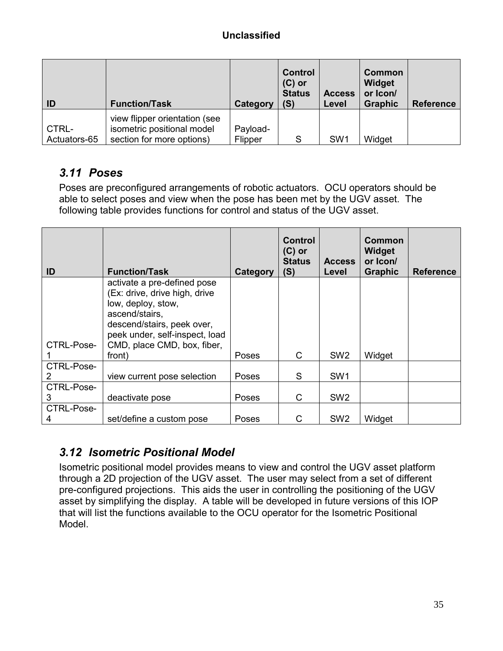| ID                    | <b>Function/Task</b>                                                                     | Category            | <b>Control</b><br>$(C)$ or<br><b>Status</b><br>(S) | <b>Access</b><br>Level | Common<br>Widget<br>or Icon/<br><b>Graphic</b> | <b>Reference</b> |
|-----------------------|------------------------------------------------------------------------------------------|---------------------|----------------------------------------------------|------------------------|------------------------------------------------|------------------|
| CTRL-<br>Actuators-65 | view flipper orientation (see<br>isometric positional model<br>section for more options) | Payload-<br>Flipper | S                                                  | SW <sub>1</sub>        | Widget                                         |                  |

## *3.11 Poses*

Poses are preconfigured arrangements of robotic actuators. OCU operators should be able to select poses and view when the pose has been met by the UGV asset. The following table provides functions for control and status of the UGV asset.

| ID         | <b>Function/Task</b>                                         | Category     | <b>Control</b><br>$(C)$ or<br><b>Status</b><br>(S) | <b>Access</b><br>Level | Common<br>Widget<br>or Icon/<br><b>Graphic</b> | <b>Reference</b> |
|------------|--------------------------------------------------------------|--------------|----------------------------------------------------|------------------------|------------------------------------------------|------------------|
|            | activate a pre-defined pose<br>(Ex: drive, drive high, drive |              |                                                    |                        |                                                |                  |
|            | low, deploy, stow,<br>ascend/stairs,                         |              |                                                    |                        |                                                |                  |
|            | descend/stairs, peek over,<br>peek under, self-inspect, load |              |                                                    |                        |                                                |                  |
| CTRL-Pose- | CMD, place CMD, box, fiber,<br>front)                        | <b>Poses</b> | C                                                  | SW <sub>2</sub>        | Widget                                         |                  |
| CTRL-Pose- |                                                              |              | S                                                  | SW <sub>1</sub>        |                                                |                  |
| CTRL-Pose- | view current pose selection                                  | Poses        |                                                    |                        |                                                |                  |
| 3          | deactivate pose                                              | Poses        | C                                                  | SW <sub>2</sub>        |                                                |                  |
| CTRL-Pose- |                                                              |              |                                                    |                        |                                                |                  |
| 4          | set/define a custom pose                                     | Poses        | C                                                  | SW <sub>2</sub>        | Widget                                         |                  |

## *3.12 Isometric Positional Model*

Isometric positional model provides means to view and control the UGV asset platform through a 2D projection of the UGV asset. The user may select from a set of different pre-configured projections. This aids the user in controlling the positioning of the UGV asset by simplifying the display. A table will be developed in future versions of this IOP that will list the functions available to the OCU operator for the Isometric Positional Model.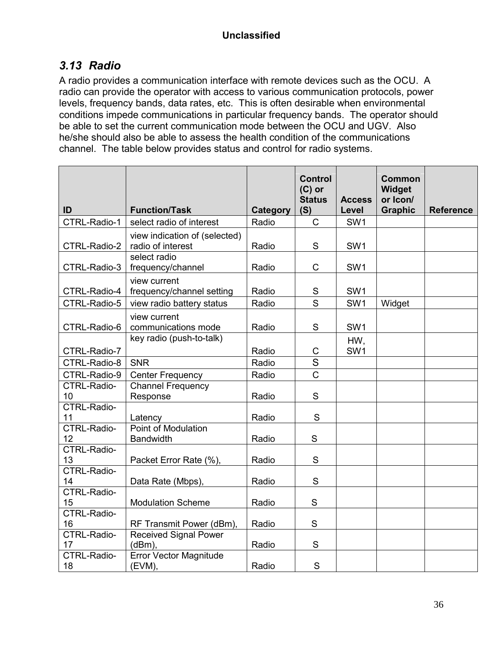## *3.13 Radio*

A radio provides a communication interface with remote devices such as the OCU. A radio can provide the operator with access to various communication protocols, power levels, frequency bands, data rates, etc. This is often desirable when environmental conditions impede communications in particular frequency bands. The operator should be able to set the current communication mode between the OCU and UGV. Also he/she should also be able to assess the health condition of the communications channel. The table below provides status and control for radio systems.

|                          |                                                    |                 | <b>Control</b><br>$(C)$ or<br><b>Status</b>                                                                                                                                                                                                                                                                                                                                                                                                              | <b>Access</b>          | <b>Common</b><br>Widget<br>or Icon/ |                  |
|--------------------------|----------------------------------------------------|-----------------|----------------------------------------------------------------------------------------------------------------------------------------------------------------------------------------------------------------------------------------------------------------------------------------------------------------------------------------------------------------------------------------------------------------------------------------------------------|------------------------|-------------------------------------|------------------|
| ID                       | <b>Function/Task</b>                               | <b>Category</b> | (S)                                                                                                                                                                                                                                                                                                                                                                                                                                                      | Level                  | <b>Graphic</b>                      | <b>Reference</b> |
| CTRL-Radio-1             | select radio of interest                           | Radio           | $\mathsf{C}$                                                                                                                                                                                                                                                                                                                                                                                                                                             | SW <sub>1</sub>        |                                     |                  |
| CTRL-Radio-2             | view indication of (selected)<br>radio of interest | Radio           | S                                                                                                                                                                                                                                                                                                                                                                                                                                                        | SW <sub>1</sub>        |                                     |                  |
| CTRL-Radio-3             | select radio<br>frequency/channel                  | Radio           | $\mathsf C$                                                                                                                                                                                                                                                                                                                                                                                                                                              | SW <sub>1</sub>        |                                     |                  |
| CTRL-Radio-4             | view current<br>frequency/channel setting          | Radio           | $\mathbb S$                                                                                                                                                                                                                                                                                                                                                                                                                                              | SW1                    |                                     |                  |
| CTRL-Radio-5             | view radio battery status                          | Radio           | S                                                                                                                                                                                                                                                                                                                                                                                                                                                        | SW <sub>1</sub>        | Widget                              |                  |
| CTRL-Radio-6             | view current<br>communications mode                | Radio           | $\mathsf S$                                                                                                                                                                                                                                                                                                                                                                                                                                              | SW <sub>1</sub>        |                                     |                  |
| CTRL-Radio-7             | key radio (push-to-talk)                           | Radio           | $\mathsf C$                                                                                                                                                                                                                                                                                                                                                                                                                                              | HW,<br>SW <sub>1</sub> |                                     |                  |
| CTRL-Radio-8             | <b>SNR</b>                                         | Radio           | S                                                                                                                                                                                                                                                                                                                                                                                                                                                        |                        |                                     |                  |
| CTRL-Radio-9             | <b>Center Frequency</b>                            | Radio           | $\overline{\text{c}}$                                                                                                                                                                                                                                                                                                                                                                                                                                    |                        |                                     |                  |
| CTRL-Radio-<br>10        | Channel Frequency<br>Response                      | Radio           | $\mathsf{S}% _{T}=\mathsf{S}_{T}\!\left( a,b\right) ,\ \mathsf{S}_{T}=\mathsf{S}_{T}\!\left( a,b\right) ,\ \mathsf{S}_{T}=\mathsf{S}_{T}\!\left( a,b\right) ,\ \mathsf{S}_{T}=\mathsf{S}_{T}\!\left( a,b\right) ,\ \mathsf{S}_{T}=\mathsf{S}_{T}\!\left( a,b\right) ,\ \mathsf{S}_{T}=\mathsf{S}_{T}\!\left( a,b\right) ,\ \mathsf{S}_{T}=\mathsf{S}_{T}\!\left( a,b\right) ,\ \mathsf{S}_{T}=\mathsf{S}_{T}\!\left( a,b\right) ,\ \mathsf{S}_{T}=\math$ |                        |                                     |                  |
| <b>CTRL-Radio-</b><br>11 | Latency                                            | Radio           | S                                                                                                                                                                                                                                                                                                                                                                                                                                                        |                        |                                     |                  |
| <b>CTRL-Radio-</b><br>12 | <b>Point of Modulation</b><br><b>Bandwidth</b>     | Radio           | $\mathsf{S}$                                                                                                                                                                                                                                                                                                                                                                                                                                             |                        |                                     |                  |
| <b>CTRL-Radio-</b><br>13 | Packet Error Rate (%),                             | Radio           | S                                                                                                                                                                                                                                                                                                                                                                                                                                                        |                        |                                     |                  |
| <b>CTRL-Radio-</b><br>14 | Data Rate (Mbps),                                  | Radio           | S                                                                                                                                                                                                                                                                                                                                                                                                                                                        |                        |                                     |                  |
| <b>CTRL-Radio-</b><br>15 | <b>Modulation Scheme</b>                           | Radio           | S                                                                                                                                                                                                                                                                                                                                                                                                                                                        |                        |                                     |                  |
| <b>CTRL-Radio-</b><br>16 | RF Transmit Power (dBm),                           | Radio           | S                                                                                                                                                                                                                                                                                                                                                                                                                                                        |                        |                                     |                  |
| CTRL-Radio-<br>17        | <b>Received Signal Power</b><br>(dBm)              | Radio           | $\mathsf{S}% _{T}=\mathsf{S}_{T}\!\left( a,b\right) ,\ \mathsf{S}_{T}=\mathsf{S}_{T}\!\left( a,b\right) ,\ \mathsf{S}_{T}=\mathsf{S}_{T}\!\left( a,b\right) ,\ \mathsf{S}_{T}=\mathsf{S}_{T}\!\left( a,b\right) ,\ \mathsf{S}_{T}=\mathsf{S}_{T}\!\left( a,b\right) ,\ \mathsf{S}_{T}=\mathsf{S}_{T}\!\left( a,b\right) ,\ \mathsf{S}_{T}=\mathsf{S}_{T}\!\left( a,b\right) ,\ \mathsf{S}_{T}=\mathsf{S}_{T}\!\left( a,b\right) ,\ \mathsf{S}_{T}=\math$ |                        |                                     |                  |
| CTRL-Radio-<br>18        | <b>Error Vector Magnitude</b><br>(EVM),            | Radio           | S                                                                                                                                                                                                                                                                                                                                                                                                                                                        |                        |                                     |                  |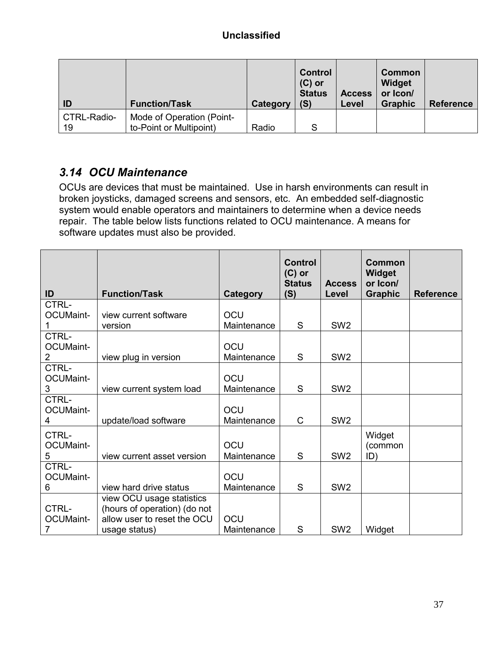| ID          | <b>Function/Task</b>      | Category | <b>Control</b><br>$(C)$ or<br><b>Status</b><br>(S) | <b>Access</b><br>Level | Common<br>Widget<br>or Icon/<br><b>Graphic</b> | <b>Reference</b> |
|-------------|---------------------------|----------|----------------------------------------------------|------------------------|------------------------------------------------|------------------|
| CTRL-Radio- | Mode of Operation (Point- |          |                                                    |                        |                                                |                  |
| 19          | to-Point or Multipoint)   | Radio    | S                                                  |                        |                                                |                  |

## *3.14 OCU Maintenance*

OCUs are devices that must be maintained. Use in harsh environments can result in broken joysticks, damaged screens and sensors, etc. An embedded self-diagnostic system would enable operators and maintainers to determine when a device needs repair. The table below lists functions related to OCU maintenance. A means for software updates must also be provided.

| ID               | <b>Function/Task</b>         | Category    | <b>Control</b><br>$(C)$ or<br><b>Status</b><br>(S) | <b>Access</b><br>Level | <b>Common</b><br>Widget<br>or Icon/<br><b>Graphic</b> | <b>Reference</b> |
|------------------|------------------------------|-------------|----------------------------------------------------|------------------------|-------------------------------------------------------|------------------|
| CTRL-            |                              |             |                                                    |                        |                                                       |                  |
| <b>OCUMaint-</b> | view current software        | OCU         |                                                    |                        |                                                       |                  |
|                  | version                      | Maintenance | S                                                  | SW <sub>2</sub>        |                                                       |                  |
| CTRL-            |                              |             |                                                    |                        |                                                       |                  |
| OCUMaint-        |                              | OCU         |                                                    |                        |                                                       |                  |
| $\overline{2}$   | view plug in version         | Maintenance | S                                                  | SW <sub>2</sub>        |                                                       |                  |
| CTRL-            |                              |             |                                                    |                        |                                                       |                  |
| <b>OCUMaint-</b> |                              | OCU         |                                                    |                        |                                                       |                  |
| 3                | view current system load     | Maintenance | S                                                  | SW <sub>2</sub>        |                                                       |                  |
| CTRL-            |                              |             |                                                    |                        |                                                       |                  |
| <b>OCUMaint-</b> |                              | OCU         |                                                    |                        |                                                       |                  |
| 4                | update/load software         | Maintenance | C                                                  | SW <sub>2</sub>        |                                                       |                  |
| CTRL-            |                              |             |                                                    |                        | Widget                                                |                  |
| OCUMaint-        |                              | OCU         |                                                    |                        | (common                                               |                  |
| 5                | view current asset version   | Maintenance | S                                                  | SW <sub>2</sub>        | ID)                                                   |                  |
| CTRL-            |                              |             |                                                    |                        |                                                       |                  |
| <b>OCUMaint-</b> |                              | OCU         |                                                    |                        |                                                       |                  |
| 6                | view hard drive status       | Maintenance | S                                                  | SW <sub>2</sub>        |                                                       |                  |
|                  | view OCU usage statistics    |             |                                                    |                        |                                                       |                  |
| CTRL-            | (hours of operation) (do not |             |                                                    |                        |                                                       |                  |
| <b>OCUMaint-</b> | allow user to reset the OCU  | OCU         |                                                    |                        |                                                       |                  |
| 7                | usage status)                | Maintenance | S                                                  | SW <sub>2</sub>        | Widget                                                |                  |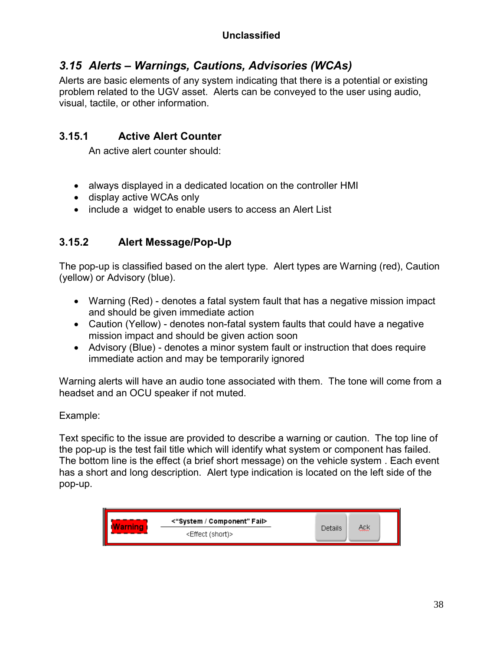## *3.15 Alerts – Warnings, Cautions, Advisories (WCAs)*

Alerts are basic elements of any system indicating that there is a potential or existing problem related to the UGV asset. Alerts can be conveyed to the user using audio, visual, tactile, or other information.

## **3.15.1 Active Alert Counter**

An active alert counter should:

- always displayed in a dedicated location on the controller HMI
- display active WCAs only
- include a widget to enable users to access an Alert List

#### **3.15.2 Alert Message/Pop-Up**

The pop-up is classified based on the alert type. Alert types are Warning (red), Caution (yellow) or Advisory (blue).

- Warning (Red) denotes a fatal system fault that has a negative mission impact and should be given immediate action
- Caution (Yellow) denotes non-fatal system faults that could have a negative mission impact and should be given action soon
- Advisory (Blue) denotes a minor system fault or instruction that does require immediate action and may be temporarily ignored

Warning alerts will have an audio tone associated with them. The tone will come from a headset and an OCU speaker if not muted.

#### Example:

Text specific to the issue are provided to describe a warning or caution. The top line of the pop-up is the test fail title which will identify what system or component has failed. The bottom line is the effect (a brief short message) on the vehicle system . Each event has a short and long description. Alert type indication is located on the left side of the pop-up.

| <b>Warning</b> | <"System / Component" Fail>  |         |     |  |
|----------------|------------------------------|---------|-----|--|
|                | <effect (short)=""></effect> | Details | Ack |  |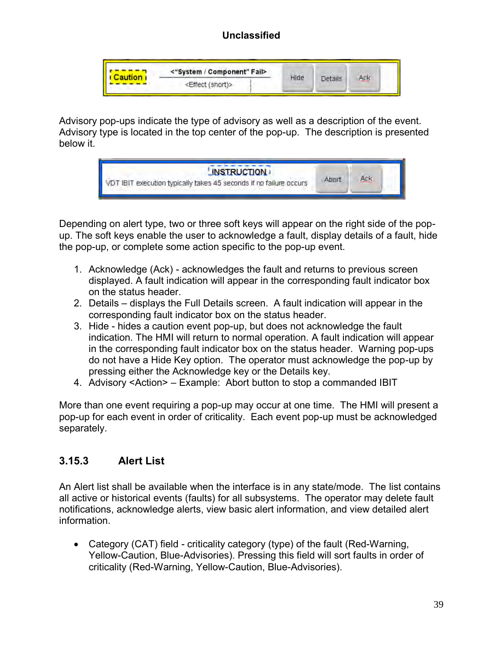| <b>Caution</b> | <"System / Component" Fail>  |      |         |     |
|----------------|------------------------------|------|---------|-----|
|                | <effect (short)=""></effect> | Hide | Details | Ack |

Advisory pop-ups indicate the type of advisory as well as a description of the event. Advisory type is located in the top center of the pop-up. The description is presented below it.



Depending on alert type, two or three soft keys will appear on the right side of the popup. The soft keys enable the user to acknowledge a fault, display details of a fault, hide the pop-up, or complete some action specific to the pop-up event.

- 1. Acknowledge (Ack) acknowledges the fault and returns to previous screen displayed. A fault indication will appear in the corresponding fault indicator box on the status header.
- 2. Details displays the Full Details screen. A fault indication will appear in the corresponding fault indicator box on the status header.
- 3. Hide hides a caution event pop-up, but does not acknowledge the fault indication. The HMI will return to normal operation. A fault indication will appear in the corresponding fault indicator box on the status header. Warning pop-ups do not have a Hide Key option. The operator must acknowledge the pop-up by pressing either the Acknowledge key or the Details key.
- 4. Advisory <Action> Example: Abort button to stop a commanded IBIT

More than one event requiring a pop-up may occur at one time. The HMI will present a pop-up for each event in order of criticality. Each event pop-up must be acknowledged separately.

#### **3.15.3 Alert List**

An Alert list shall be available when the interface is in any state/mode. The list contains all active or historical events (faults) for all subsystems. The operator may delete fault notifications, acknowledge alerts, view basic alert information, and view detailed alert information.

 Category (CAT) field - criticality category (type) of the fault (Red-Warning, Yellow-Caution, Blue-Advisories). Pressing this field will sort faults in order of criticality (Red-Warning, Yellow-Caution, Blue-Advisories).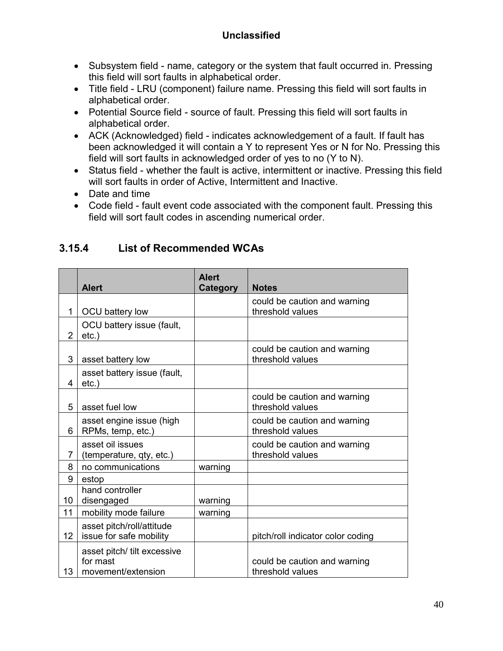- Subsystem field name, category or the system that fault occurred in. Pressing this field will sort faults in alphabetical order.
- Title field LRU (component) failure name. Pressing this field will sort faults in alphabetical order.
- Potential Source field source of fault. Pressing this field will sort faults in alphabetical order.
- ACK (Acknowledged) field indicates acknowledgement of a fault. If fault has been acknowledged it will contain a Y to represent Yes or N for No. Pressing this field will sort faults in acknowledged order of yes to no (Y to N).
- Status field whether the fault is active, intermittent or inactive. Pressing this field will sort faults in order of Active, Intermittent and Inactive.
- Date and time
- Code field fault event code associated with the component fault. Pressing this field will sort fault codes in ascending numerical order.

|                |                                         | <b>Alert</b> |                                   |
|----------------|-----------------------------------------|--------------|-----------------------------------|
|                | <b>Alert</b>                            | Category     | <b>Notes</b>                      |
|                |                                         |              | could be caution and warning      |
| $\mathbf{1}$   | OCU battery low                         |              | threshold values                  |
| $\overline{2}$ | OCU battery issue (fault,<br>$etc.$ )   |              |                                   |
|                |                                         |              | could be caution and warning      |
| 3              | asset battery low                       |              | threshold values                  |
| 4              | asset battery issue (fault,<br>$etc.$ ) |              |                                   |
|                |                                         |              | could be caution and warning      |
| 5              | asset fuel low                          |              | threshold values                  |
|                | asset engine issue (high                |              | could be caution and warning      |
| 6              | RPMs, temp, etc.)                       |              | threshold values                  |
|                | asset oil issues                        |              | could be caution and warning      |
| 7              | (temperature, qty, etc.)                |              | threshold values                  |
| 8              | no communications                       | warning      |                                   |
| 9              | estop                                   |              |                                   |
|                | hand controller                         |              |                                   |
| 10             | disengaged                              | warning      |                                   |
| 11             | mobility mode failure                   | warning      |                                   |
|                | asset pitch/roll/attitude               |              |                                   |
| 12             | issue for safe mobility                 |              | pitch/roll indicator color coding |
|                | asset pitch/ tilt excessive             |              |                                   |
|                | for mast                                |              | could be caution and warning      |
| 13             | movement/extension                      |              | threshold values                  |

#### **3.15.4 List of Recommended WCAs**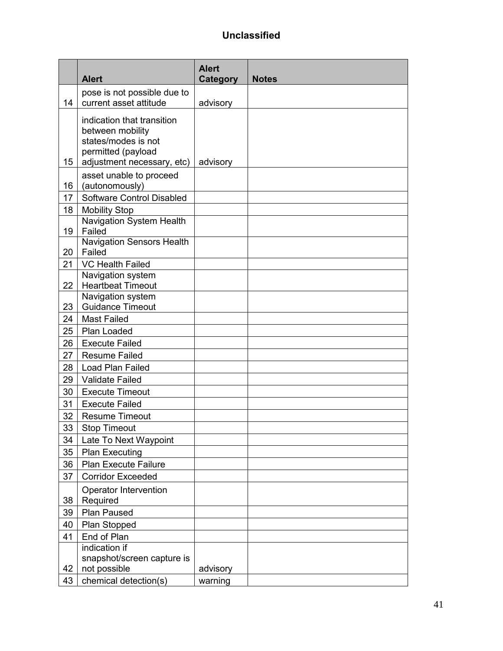|    | <b>Alert</b>                                                                                                              | <b>Alert</b><br><b>Category</b> | <b>Notes</b> |
|----|---------------------------------------------------------------------------------------------------------------------------|---------------------------------|--------------|
| 14 | pose is not possible due to<br>current asset attitude                                                                     | advisory                        |              |
| 15 | indication that transition<br>between mobility<br>states/modes is not<br>permitted (payload<br>adjustment necessary, etc) | advisory                        |              |
| 16 | asset unable to proceed<br>(autonomously)                                                                                 |                                 |              |
| 17 | Software Control Disabled                                                                                                 |                                 |              |
| 18 | <b>Mobility Stop</b>                                                                                                      |                                 |              |
| 19 | Navigation System Health<br>Failed                                                                                        |                                 |              |
| 20 | <b>Navigation Sensors Health</b><br>Failed                                                                                |                                 |              |
| 21 | VC Health Failed                                                                                                          |                                 |              |
| 22 | Navigation system<br><b>Heartbeat Timeout</b>                                                                             |                                 |              |
|    | Navigation system                                                                                                         |                                 |              |
| 23 | <b>Guidance Timeout</b>                                                                                                   |                                 |              |
| 24 | <b>Mast Failed</b>                                                                                                        |                                 |              |
| 25 | Plan Loaded                                                                                                               |                                 |              |
| 26 | <b>Execute Failed</b>                                                                                                     |                                 |              |
| 27 | <b>Resume Failed</b>                                                                                                      |                                 |              |
| 28 | Load Plan Failed                                                                                                          |                                 |              |
| 29 | <b>Validate Failed</b>                                                                                                    |                                 |              |
| 30 | <b>Execute Timeout</b>                                                                                                    |                                 |              |
| 31 | <b>Execute Failed</b>                                                                                                     |                                 |              |
| 32 | <b>Resume Timeout</b>                                                                                                     |                                 |              |
| 33 | <b>Stop Timeout</b>                                                                                                       |                                 |              |
| 34 | Late To Next Waypoint                                                                                                     |                                 |              |
| 35 | <b>Plan Executing</b>                                                                                                     |                                 |              |
| 36 | <b>Plan Execute Failure</b>                                                                                               |                                 |              |
| 37 | <b>Corridor Exceeded</b>                                                                                                  |                                 |              |
| 38 | Operator Intervention<br>Required                                                                                         |                                 |              |
| 39 | Plan Paused                                                                                                               |                                 |              |
| 40 | Plan Stopped                                                                                                              |                                 |              |
| 41 | End of Plan                                                                                                               |                                 |              |
| 42 | indication if<br>snapshot/screen capture is<br>not possible                                                               | advisory                        |              |
| 43 | chemical detection(s)                                                                                                     | warning                         |              |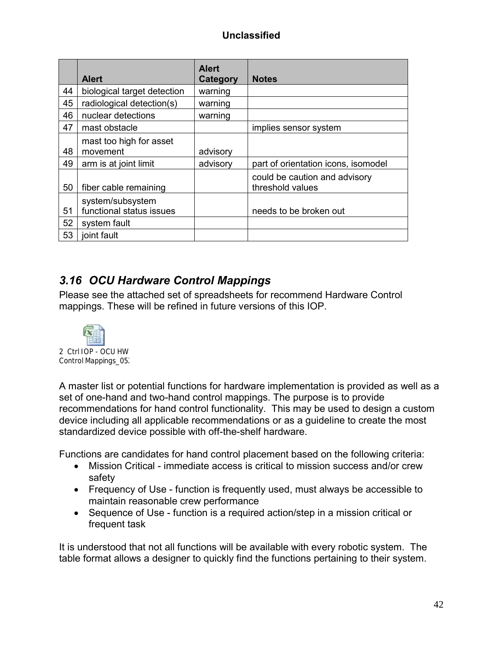|    | <b>Alert</b>                                 | <b>Alert</b><br>Category | <b>Notes</b>                                      |
|----|----------------------------------------------|--------------------------|---------------------------------------------------|
| 44 | biological target detection                  | warning                  |                                                   |
| 45 | radiological detection(s)                    | warning                  |                                                   |
| 46 | nuclear detections                           | warning                  |                                                   |
| 47 | mast obstacle                                |                          | implies sensor system                             |
| 48 | mast too high for asset<br>movement          | advisory                 |                                                   |
| 49 | arm is at joint limit                        | advisory                 | part of orientation icons, isomodel               |
| 50 | fiber cable remaining                        |                          | could be caution and advisory<br>threshold values |
| 51 | system/subsystem<br>functional status issues |                          | needs to be broken out                            |
| 52 | system fault                                 |                          |                                                   |
| 53 | joint fault                                  |                          |                                                   |

## *3.16 OCU Hardware Control Mappings*

Please see the attached set of spreadsheets for recommend Hardware Control mappings. These will be refined in future versions of this IOP.



A master list or potential functions for hardware implementation is provided as well as a set of one-hand and two-hand control mappings. The purpose is to provide recommendations for hand control functionality. This may be used to design a custom device including all applicable recommendations or as a guideline to create the most standardized device possible with off-the-shelf hardware.

Functions are candidates for hand control placement based on the following criteria:

- Mission Critical immediate access is critical to mission success and/or crew safety
- Frequency of Use function is frequently used, must always be accessible to maintain reasonable crew performance
- Sequence of Use function is a required action/step in a mission critical or frequent task

It is understood that not all functions will be available with every robotic system. The table format allows a designer to quickly find the functions pertaining to their system.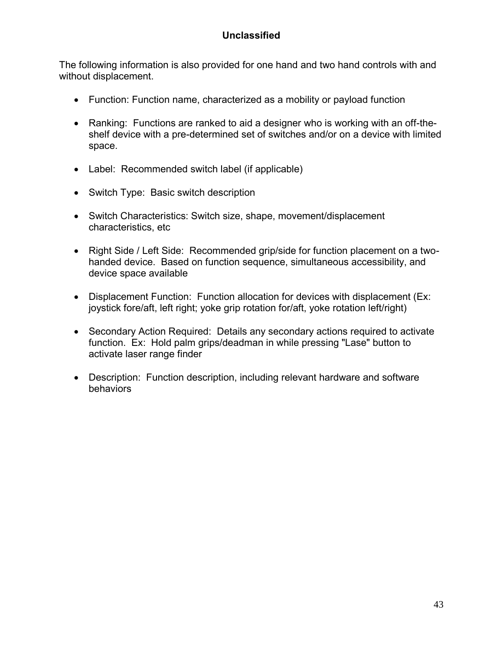The following information is also provided for one hand and two hand controls with and without displacement.

- Function: Function name, characterized as a mobility or payload function
- Ranking: Functions are ranked to aid a designer who is working with an off-theshelf device with a pre-determined set of switches and/or on a device with limited space.
- Label: Recommended switch label (if applicable)
- Switch Type: Basic switch description
- Switch Characteristics: Switch size, shape, movement/displacement characteristics, etc
- Right Side / Left Side: Recommended grip/side for function placement on a twohanded device. Based on function sequence, simultaneous accessibility, and device space available
- Displacement Function: Function allocation for devices with displacement (Ex: joystick fore/aft, left right; yoke grip rotation for/aft, yoke rotation left/right)
- Secondary Action Required: Details any secondary actions required to activate function. Ex: Hold palm grips/deadman in while pressing "Lase" button to activate laser range finder
- Description: Function description, including relevant hardware and software behaviors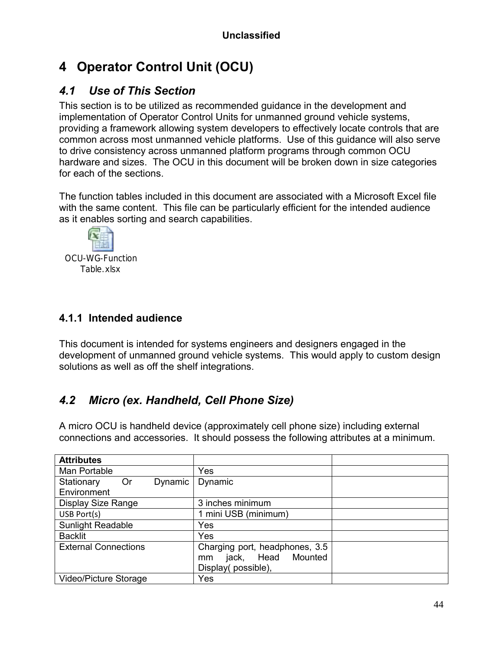# **4 Operator Control Unit (OCU)**

## *4.1 Use of This Section*

This section is to be utilized as recommended guidance in the development and implementation of Operator Control Units for unmanned ground vehicle systems, providing a framework allowing system developers to effectively locate controls that are common across most unmanned vehicle platforms. Use of this guidance will also serve to drive consistency across unmanned platform programs through common OCU hardware and sizes. The OCU in this document will be broken down in size categories for each of the sections.

The function tables included in this document are associated with a Microsoft Excel file with the same content. This file can be particularly efficient for the intended audience as it enables sorting and search capabilities.



## **4.1.1 Intended audience**

This document is intended for systems engineers and designers engaged in the development of unmanned ground vehicle systems. This would apply to custom design solutions as well as off the shelf integrations.

# *4.2 Micro (ex. Handheld, Cell Phone Size)*

A micro OCU is handheld device (approximately cell phone size) including external connections and accessories. It should possess the following attributes at a minimum.

| <b>Attributes</b>           |                                |  |
|-----------------------------|--------------------------------|--|
| Man Portable                | Yes                            |  |
| Stationary<br>Dynamic<br>0r | Dynamic                        |  |
| Environment                 |                                |  |
| Display Size Range          | 3 inches minimum               |  |
| USB Port(s)                 | 1 mini USB (minimum)           |  |
| Sunlight Readable           | Yes                            |  |
| <b>Backlit</b>              | Yes                            |  |
| <b>External Connections</b> | Charging port, headphones, 3.5 |  |
|                             | Head<br>Mounted<br>jack,<br>mm |  |
|                             | Display(possible),             |  |
| Video/Picture Storage       | Yes                            |  |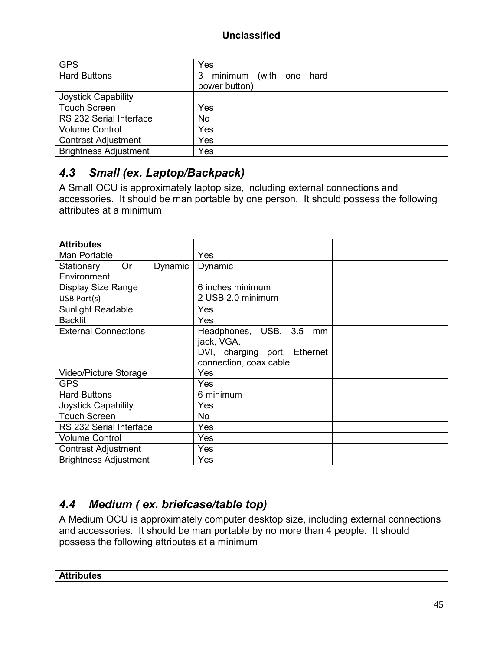| <b>GPS</b>                   | Yes                               |  |
|------------------------------|-----------------------------------|--|
| <b>Hard Buttons</b>          | minimum<br>(with one<br>3<br>hard |  |
|                              | power button)                     |  |
| Joystick Capability          |                                   |  |
| <b>Touch Screen</b>          | Yes                               |  |
| RS 232 Serial Interface      | No                                |  |
| <b>Volume Control</b>        | Yes                               |  |
| <b>Contrast Adjustment</b>   | Yes                               |  |
| <b>Brightness Adjustment</b> | Yes                               |  |

# *4.3 Small (ex. Laptop/Backpack)*

A Small OCU is approximately laptop size, including external connections and accessories. It should be man portable by one person. It should possess the following attributes at a minimum

| <b>Attributes</b>                  |                              |  |
|------------------------------------|------------------------------|--|
| Man Portable                       | Yes                          |  |
| <b>Or</b><br>Dynamic<br>Stationary | Dynamic                      |  |
| Environment                        |                              |  |
| Display Size Range                 | 6 inches minimum             |  |
| USB Port(s)                        | 2 USB 2.0 minimum            |  |
| <b>Sunlight Readable</b>           | Yes                          |  |
| <b>Backlit</b>                     | Yes                          |  |
| <b>External Connections</b>        | Headphones, USB, 3.5 mm      |  |
|                                    | jack, VGA,                   |  |
|                                    | DVI, charging port, Ethernet |  |
|                                    | connection, coax cable       |  |
| Video/Picture Storage              | Yes                          |  |
| <b>GPS</b>                         | Yes                          |  |
| <b>Hard Buttons</b>                | 6 minimum                    |  |
| <b>Joystick Capability</b>         | Yes                          |  |
| <b>Touch Screen</b>                | No                           |  |
| RS 232 Serial Interface            | Yes                          |  |
| <b>Volume Control</b>              | Yes                          |  |
| <b>Contrast Adjustment</b>         | Yes                          |  |
| <b>Brightness Adjustment</b>       | Yes                          |  |

# *4.4 Medium ( ex. briefcase/table top)*

A Medium OCU is approximately computer desktop size, including external connections and accessories. It should be man portable by no more than 4 people. It should possess the following attributes at a minimum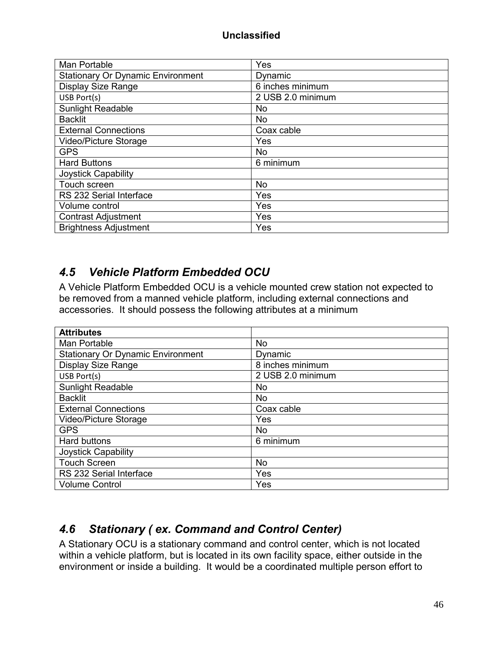| Man Portable                             | Yes               |
|------------------------------------------|-------------------|
| <b>Stationary Or Dynamic Environment</b> | Dynamic           |
| <b>Display Size Range</b>                | 6 inches minimum  |
| USB Port(s)                              | 2 USB 2.0 minimum |
| <b>Sunlight Readable</b>                 | <b>No</b>         |
| <b>Backlit</b>                           | <b>No</b>         |
| <b>External Connections</b>              | Coax cable        |
| Video/Picture Storage                    | Yes               |
| <b>GPS</b>                               | No                |
| <b>Hard Buttons</b>                      | 6 minimum         |
| Joystick Capability                      |                   |
| Touch screen                             | <b>No</b>         |
| RS 232 Serial Interface                  | Yes               |
| Volume control                           | Yes               |
| <b>Contrast Adjustment</b>               | Yes               |
| <b>Brightness Adjustment</b>             | Yes               |

## *4.5 Vehicle Platform Embedded OCU*

A Vehicle Platform Embedded OCU is a vehicle mounted crew station not expected to be removed from a manned vehicle platform, including external connections and accessories. It should possess the following attributes at a minimum

| <b>Attributes</b>                        |                   |
|------------------------------------------|-------------------|
| Man Portable                             | <b>No</b>         |
| <b>Stationary Or Dynamic Environment</b> | Dynamic           |
| <b>Display Size Range</b>                | 8 inches minimum  |
| USB Port(s)                              | 2 USB 2.0 minimum |
| <b>Sunlight Readable</b>                 | No.               |
| <b>Backlit</b>                           | No                |
| <b>External Connections</b>              | Coax cable        |
| Video/Picture Storage                    | Yes               |
| <b>GPS</b>                               | No                |
| <b>Hard buttons</b>                      | 6 minimum         |
| Joystick Capability                      |                   |
| <b>Touch Screen</b>                      | <b>No</b>         |
| RS 232 Serial Interface                  | Yes               |
| <b>Volume Control</b>                    | Yes               |

## *4.6 Stationary ( ex. Command and Control Center)*

A Stationary OCU is a stationary command and control center, which is not located within a vehicle platform, but is located in its own facility space, either outside in the environment or inside a building. It would be a coordinated multiple person effort to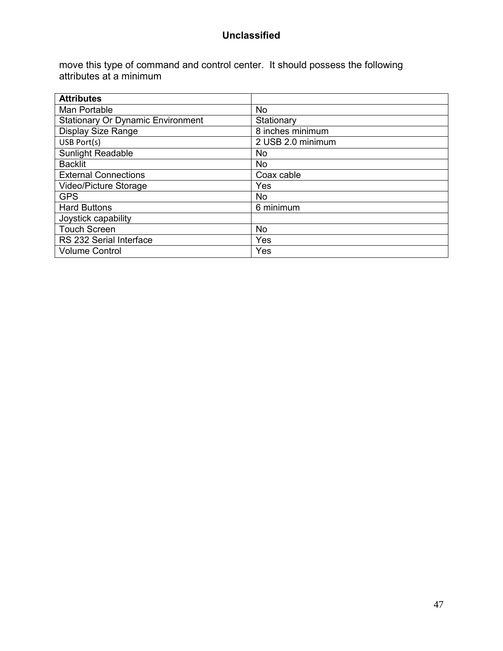move this type of command and control center. It should possess the following attributes at a minimum

| <b>Attributes</b>                        |                   |
|------------------------------------------|-------------------|
| Man Portable                             | <b>No</b>         |
| <b>Stationary Or Dynamic Environment</b> | Stationary        |
| Display Size Range                       | 8 inches minimum  |
| USB Port(s)                              | 2 USB 2.0 minimum |
| <b>Sunlight Readable</b>                 | No.               |
| <b>Backlit</b>                           | No                |
| <b>External Connections</b>              | Coax cable        |
| Video/Picture Storage                    | Yes               |
| <b>GPS</b>                               | No.               |
| <b>Hard Buttons</b>                      | 6 minimum         |
| Joystick capability                      |                   |
| <b>Touch Screen</b>                      | <b>No</b>         |
| RS 232 Serial Interface                  | Yes               |
| <b>Volume Control</b>                    | Yes               |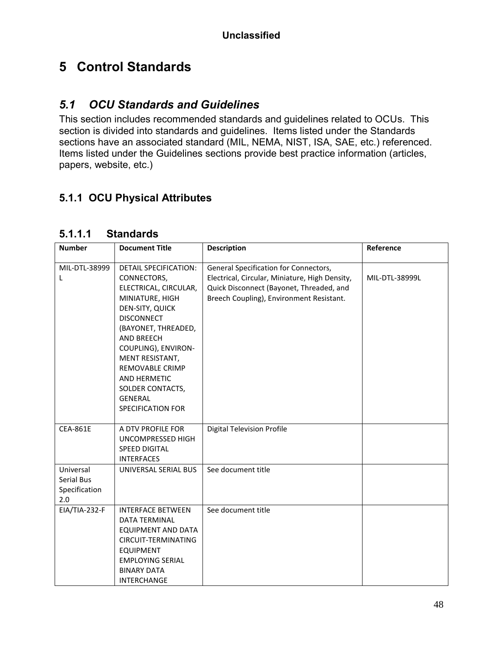# **5 Control Standards**

## *5.1 OCU Standards and Guidelines*

This section includes recommended standards and guidelines related to OCUs. This section is divided into standards and guidelines. Items listed under the Standards sections have an associated standard (MIL, NEMA, NIST, ISA, SAE, etc.) referenced. Items listed under the Guidelines sections provide best practice information (articles, papers, website, etc.)

## **5.1.1 OCU Physical Attributes**

| <b>Number</b>                                          | <b>Document Title</b>                                                                                                                                                                                                                  | <b>Description</b>                                                                                                                                                              | Reference      |
|--------------------------------------------------------|----------------------------------------------------------------------------------------------------------------------------------------------------------------------------------------------------------------------------------------|---------------------------------------------------------------------------------------------------------------------------------------------------------------------------------|----------------|
| MIL-DTL-38999<br>L                                     | <b>DETAIL SPECIFICATION:</b><br>CONNECTORS,<br>ELECTRICAL, CIRCULAR,<br>MINIATURE, HIGH                                                                                                                                                | General Specification for Connectors,<br>Electrical, Circular, Miniature, High Density,<br>Quick Disconnect (Bayonet, Threaded, and<br>Breech Coupling), Environment Resistant. | MIL-DTL-38999L |
|                                                        | DEN-SITY, QUICK<br><b>DISCONNECT</b><br>(BAYONET, THREADED,<br><b>AND BREECH</b><br>COUPLING), ENVIRON-<br>MENT RESISTANT,<br>REMOVABLE CRIMP<br><b>AND HERMETIC</b><br>SOLDER CONTACTS,<br><b>GENERAL</b><br><b>SPECIFICATION FOR</b> |                                                                                                                                                                                 |                |
| <b>CEA-861E</b>                                        | A DTV PROFILE FOR<br>UNCOMPRESSED HIGH<br><b>SPEED DIGITAL</b><br><b>INTERFACES</b>                                                                                                                                                    | <b>Digital Television Profile</b>                                                                                                                                               |                |
| Universal<br><b>Serial Bus</b><br>Specification<br>2.0 | UNIVERSAL SERIAL BUS                                                                                                                                                                                                                   | See document title                                                                                                                                                              |                |
| EIA/TIA-232-F                                          | <b>INTERFACE BETWEEN</b><br><b>DATA TERMINAL</b><br><b>EQUIPMENT AND DATA</b><br>CIRCUIT-TERMINATING<br><b>EQUIPMENT</b><br><b>EMPLOYING SERIAL</b><br><b>BINARY DATA</b><br><b>INTERCHANGE</b>                                        | See document title                                                                                                                                                              |                |

#### **5.1.1.1 Standards**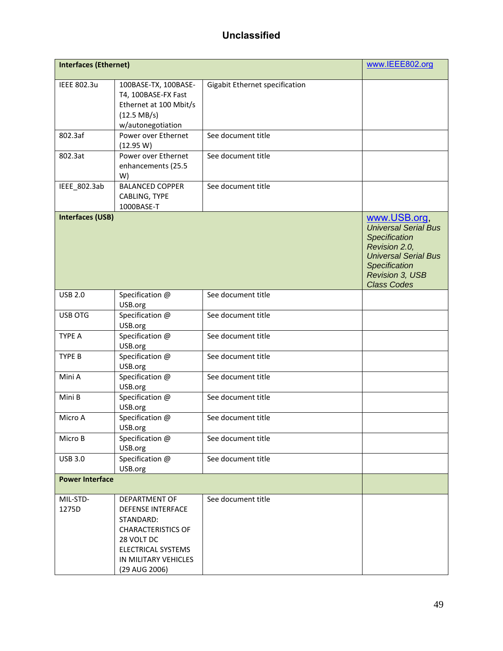| <b>Interfaces (Ethernet)</b> |                                                                                                                                                                         |                                | www.IEEE802.org                                                                                                                                                               |
|------------------------------|-------------------------------------------------------------------------------------------------------------------------------------------------------------------------|--------------------------------|-------------------------------------------------------------------------------------------------------------------------------------------------------------------------------|
| <b>IEEE 802.3u</b>           | 100BASE-TX, 100BASE-<br>T4, 100BASE-FX Fast<br>Ethernet at 100 Mbit/s<br>$(12.5 \text{ MB/s})$<br>w/autonegotiation                                                     | Gigabit Ethernet specification |                                                                                                                                                                               |
| 802.3af                      | Power over Ethernet<br>(12.95 W)                                                                                                                                        | See document title             |                                                                                                                                                                               |
| 802.3at                      | Power over Ethernet<br>enhancements (25.5<br>W)                                                                                                                         | See document title             |                                                                                                                                                                               |
| IEEE_802.3ab                 | <b>BALANCED COPPER</b><br>CABLING, TYPE<br>1000BASE-T                                                                                                                   | See document title             |                                                                                                                                                                               |
| <b>Interfaces (USB)</b>      |                                                                                                                                                                         |                                | www.USB.org,<br><b>Universal Serial Bus</b><br>Specification<br>Revision 2.0,<br><b>Universal Serial Bus</b><br>Specification<br><b>Revision 3, USB</b><br><b>Class Codes</b> |
| <b>USB 2.0</b>               | Specification @<br>USB.org                                                                                                                                              | See document title             |                                                                                                                                                                               |
| <b>USB OTG</b>               | Specification @<br>USB.org                                                                                                                                              | See document title             |                                                                                                                                                                               |
| <b>TYPE A</b>                | Specification @<br>USB.org                                                                                                                                              | See document title             |                                                                                                                                                                               |
| TYPE B                       | Specification @<br>USB.org                                                                                                                                              | See document title             |                                                                                                                                                                               |
| Mini A                       | Specification @<br>USB.org                                                                                                                                              | See document title             |                                                                                                                                                                               |
| Mini B                       | Specification @<br>USB.org                                                                                                                                              | See document title             |                                                                                                                                                                               |
| Micro A                      | Specification @<br>USB.org                                                                                                                                              | See document title             |                                                                                                                                                                               |
| Micro B                      | Specification @<br>USB.org                                                                                                                                              | See document title             |                                                                                                                                                                               |
| <b>USB 3.0</b>               | Specification @<br>USB.org                                                                                                                                              | See document title             |                                                                                                                                                                               |
| <b>Power Interface</b>       |                                                                                                                                                                         |                                |                                                                                                                                                                               |
| MIL-STD-<br>1275D            | DEPARTMENT OF<br><b>DEFENSE INTERFACE</b><br>STANDARD:<br><b>CHARACTERISTICS OF</b><br>28 VOLT DC<br><b>ELECTRICAL SYSTEMS</b><br>IN MILITARY VEHICLES<br>(29 AUG 2006) | See document title             |                                                                                                                                                                               |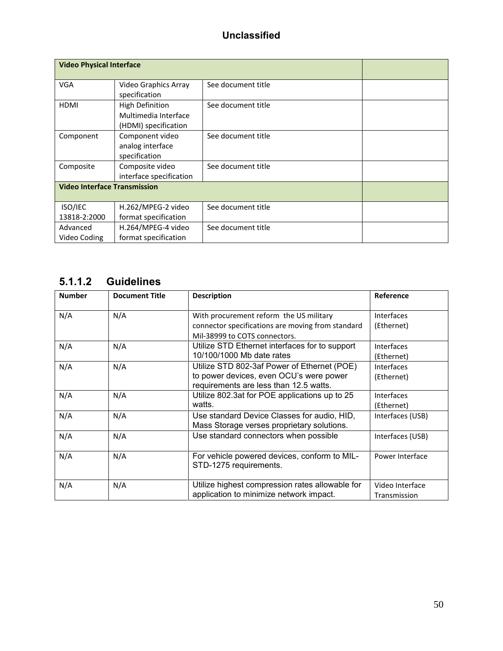|                                     | <b>Video Physical Interface</b> |                    |  |  |  |
|-------------------------------------|---------------------------------|--------------------|--|--|--|
| <b>VGA</b>                          | Video Graphics Array            | See document title |  |  |  |
|                                     | specification                   |                    |  |  |  |
| <b>HDMI</b>                         | <b>High Definition</b>          | See document title |  |  |  |
|                                     | Multimedia Interface            |                    |  |  |  |
|                                     | (HDMI) specification            |                    |  |  |  |
| Component                           | Component video                 | See document title |  |  |  |
|                                     | analog interface                |                    |  |  |  |
|                                     | specification                   |                    |  |  |  |
| Composite                           | Composite video                 | See document title |  |  |  |
|                                     | interface specification         |                    |  |  |  |
| <b>Video Interface Transmission</b> |                                 |                    |  |  |  |
| ISO/IEC                             | H.262/MPEG-2 video              | See document title |  |  |  |
| 13818-2:2000                        | format specification            |                    |  |  |  |
| Advanced                            | H.264/MPEG-4 video              | See document title |  |  |  |
| Video Coding                        | format specification            |                    |  |  |  |

## **5.1.1.2 Guidelines**

| <b>Number</b> | <b>Document Title</b> | <b>Description</b>                                                                                                               | Reference                       |
|---------------|-----------------------|----------------------------------------------------------------------------------------------------------------------------------|---------------------------------|
| N/A           | N/A                   | With procurement reform the US military<br>connector specifications are moving from standard                                     | <b>Interfaces</b><br>(Ethernet) |
|               |                       | Mil-38999 to COTS connectors.                                                                                                    |                                 |
| N/A           | N/A                   | Utilize STD Ethernet interfaces for to support<br>10/100/1000 Mb date rates                                                      | Interfaces<br>(Ethernet)        |
| N/A           | N/A                   | Utilize STD 802-3af Power of Ethernet (POE)<br>to power devices, even OCU's were power<br>requirements are less than 12.5 watts. | <b>Interfaces</b><br>(Ethernet) |
| N/A           | N/A                   | Utilize 802.3at for POE applications up to 25<br>watts.                                                                          | Interfaces<br>(Ethernet)        |
| N/A           | N/A                   | Use standard Device Classes for audio, HID,<br>Mass Storage verses proprietary solutions.                                        | Interfaces (USB)                |
| N/A           | N/A                   | Use standard connectors when possible                                                                                            | Interfaces (USB)                |
| N/A           | N/A                   | For vehicle powered devices, conform to MIL-<br>STD-1275 requirements.                                                           | Power Interface                 |
| N/A           | N/A                   | Utilize highest compression rates allowable for<br>application to minimize network impact.                                       | Video Interface<br>Transmission |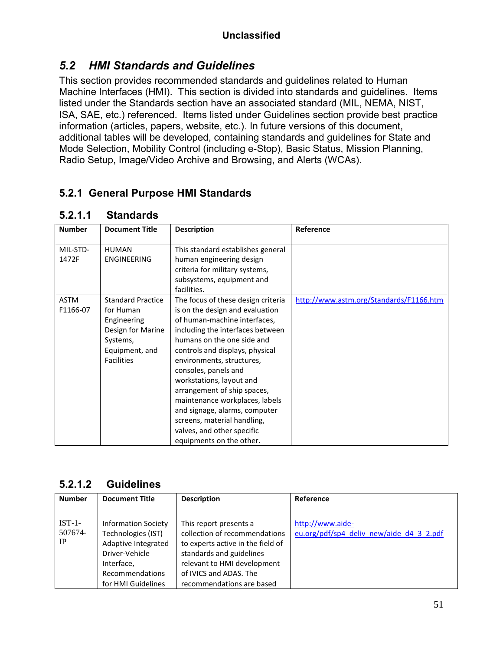## *5.2 HMI Standards and Guidelines*

This section provides recommended standards and guidelines related to Human Machine Interfaces (HMI). This section is divided into standards and guidelines. Items listed under the Standards section have an associated standard (MIL, NEMA, NIST, ISA, SAE, etc.) referenced. Items listed under Guidelines section provide best practice information (articles, papers, website, etc.). In future versions of this document, additional tables will be developed, containing standards and guidelines for State and Mode Selection, Mobility Control (including e-Stop), Basic Status, Mission Planning, Radio Setup, Image/Video Archive and Browsing, and Alerts (WCAs).

## **5.2.1 General Purpose HMI Standards**

| <b>Number</b>           | <b>Document Title</b>                                                                                                        | <b>Description</b>                                                                                                                                                                                                                                                                                                                                                                                                                                                                                    | Reference                               |
|-------------------------|------------------------------------------------------------------------------------------------------------------------------|-------------------------------------------------------------------------------------------------------------------------------------------------------------------------------------------------------------------------------------------------------------------------------------------------------------------------------------------------------------------------------------------------------------------------------------------------------------------------------------------------------|-----------------------------------------|
| MIL-STD-<br>1472F       | <b>HUMAN</b><br><b>ENGINEERING</b>                                                                                           | This standard establishes general<br>human engineering design<br>criteria for military systems,<br>subsystems, equipment and                                                                                                                                                                                                                                                                                                                                                                          |                                         |
| <b>ASTM</b><br>F1166-07 | <b>Standard Practice</b><br>for Human<br>Engineering<br>Design for Marine<br>Systems,<br>Equipment, and<br><b>Facilities</b> | facilities.<br>The focus of these design criteria<br>is on the design and evaluation<br>of human-machine interfaces,<br>including the interfaces between<br>humans on the one side and<br>controls and displays, physical<br>environments, structures,<br>consoles, panels and<br>workstations, layout and<br>arrangement of ship spaces,<br>maintenance workplaces, labels<br>and signage, alarms, computer<br>screens, material handling,<br>valves, and other specific<br>equipments on the other. | http://www.astm.org/Standards/F1166.htm |

#### **5.2.1.1 Standards**

#### **5.2.1.2 Guidelines**

| <b>Number</b> | <b>Document Title</b>                                                                                  | <b>Description</b>            | Reference                                |
|---------------|--------------------------------------------------------------------------------------------------------|-------------------------------|------------------------------------------|
|               |                                                                                                        |                               |                                          |
| $IST-1-$      | <b>Information Society</b>                                                                             | This report presents a        | http://www.aide-                         |
| 507674-       | Technologies (IST)                                                                                     | collection of recommendations | eu.org/pdf/sp4 deliv new/aide d4 3 2.pdf |
| IP            | Adaptive Integrated<br>to experts active in the field of<br>standards and guidelines<br>Driver-Vehicle |                               |                                          |
|               |                                                                                                        |                               |                                          |
|               | Interface,                                                                                             | relevant to HMI development   |                                          |
|               | <b>Recommendations</b>                                                                                 | of IVICS and ADAS. The        |                                          |
|               | for HMI Guidelines                                                                                     | recommendations are based     |                                          |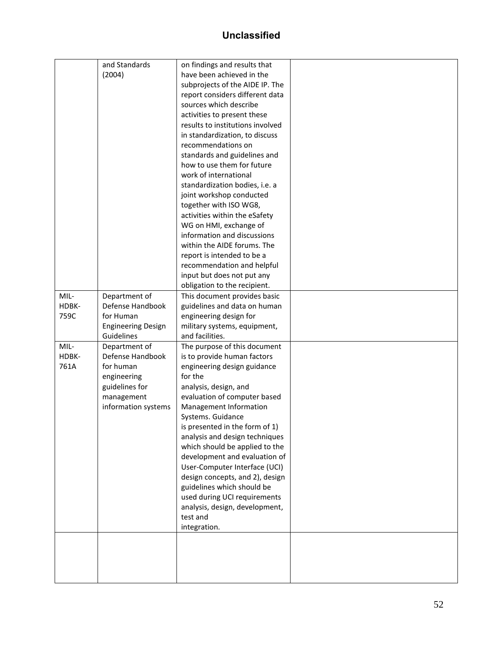|       | and Standards             | on findings and results that     |  |
|-------|---------------------------|----------------------------------|--|
|       | (2004)                    | have been achieved in the        |  |
|       |                           |                                  |  |
|       |                           | subprojects of the AIDE IP. The  |  |
|       |                           | report considers different data  |  |
|       |                           | sources which describe           |  |
|       |                           | activities to present these      |  |
|       |                           | results to institutions involved |  |
|       |                           | in standardization, to discuss   |  |
|       |                           | recommendations on               |  |
|       |                           | standards and guidelines and     |  |
|       |                           | how to use them for future       |  |
|       |                           | work of international            |  |
|       |                           | standardization bodies, i.e. a   |  |
|       |                           | joint workshop conducted         |  |
|       |                           | together with ISO WG8,           |  |
|       |                           | activities within the eSafety    |  |
|       |                           | WG on HMI, exchange of           |  |
|       |                           | information and discussions      |  |
|       |                           | within the AIDE forums. The      |  |
|       |                           | report is intended to be a       |  |
|       |                           | recommendation and helpful       |  |
|       |                           | input but does not put any       |  |
|       |                           | obligation to the recipient.     |  |
| MIL-  | Department of             | This document provides basic     |  |
| HDBK- | Defense Handbook          | guidelines and data on human     |  |
| 759C  | for Human                 | engineering design for           |  |
|       | <b>Engineering Design</b> | military systems, equipment,     |  |
|       | Guidelines                | and facilities.                  |  |
| MIL-  | Department of             | The purpose of this document     |  |
| HDBK- | Defense Handbook          | is to provide human factors      |  |
| 761A  | for human                 | engineering design guidance      |  |
|       |                           | for the                          |  |
|       | engineering               |                                  |  |
|       | guidelines for            | analysis, design, and            |  |
|       | management                | evaluation of computer based     |  |
|       | information systems       | Management Information           |  |
|       |                           | Systems. Guidance                |  |
|       |                           | is presented in the form of 1)   |  |
|       |                           | analysis and design techniques   |  |
|       |                           | which should be applied to the   |  |
|       |                           | development and evaluation of    |  |
|       |                           | User-Computer Interface (UCI)    |  |
|       |                           | design concepts, and 2), design  |  |
|       |                           | guidelines which should be       |  |
|       |                           | used during UCI requirements     |  |
|       |                           | analysis, design, development,   |  |
|       |                           | test and                         |  |
|       |                           | integration.                     |  |
|       |                           |                                  |  |
|       |                           |                                  |  |
|       |                           |                                  |  |
|       |                           |                                  |  |
|       |                           |                                  |  |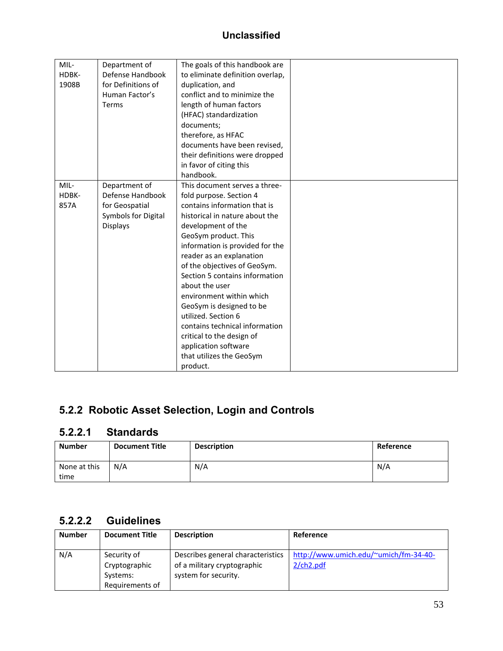| MIL-<br>HDBK-<br>1908B | Department of<br>Defense Handbook<br>for Definitions of<br>Human Factor's<br>Terms            | The goals of this handbook are<br>to eliminate definition overlap,<br>duplication, and<br>conflict and to minimize the<br>length of human factors<br>(HFAC) standardization<br>documents;<br>therefore, as HFAC<br>documents have been revised,<br>their definitions were dropped<br>in favor of citing this<br>handbook.                                                                                                                                                                                                                 |  |
|------------------------|-----------------------------------------------------------------------------------------------|-------------------------------------------------------------------------------------------------------------------------------------------------------------------------------------------------------------------------------------------------------------------------------------------------------------------------------------------------------------------------------------------------------------------------------------------------------------------------------------------------------------------------------------------|--|
| MIL-<br>HDBK-<br>857A  | Department of<br>Defense Handbook<br>for Geospatial<br>Symbols for Digital<br><b>Displays</b> | This document serves a three-<br>fold purpose. Section 4<br>contains information that is<br>historical in nature about the<br>development of the<br>GeoSym product. This<br>information is provided for the<br>reader as an explanation<br>of the objectives of GeoSym.<br>Section 5 contains information<br>about the user<br>environment within which<br>GeoSym is designed to be<br>utilized. Section 6<br>contains technical information<br>critical to the design of<br>application software<br>that utilizes the GeoSym<br>product. |  |

# **5.2.2 Robotic Asset Selection, Login and Controls**

## **5.2.2.1 Standards**

| <b>Number</b>        | <b>Document Title</b> | <b>Description</b> | Reference |
|----------------------|-----------------------|--------------------|-----------|
| None at this<br>time | N/A                   | N/A                | N/A       |

#### **5.2.2.2 Guidelines**

| <b>Number</b> | <b>Document Title</b>                                       | <b>Description</b>                                                                       | Reference                                             |
|---------------|-------------------------------------------------------------|------------------------------------------------------------------------------------------|-------------------------------------------------------|
| N/A           | Security of<br>Cryptographic<br>Systems:<br>Requirements of | Describes general characteristics<br>of a military cryptographic<br>system for security. | http://www.umich.edu/~umich/fm-34-40-<br>$2$ /ch2.pdf |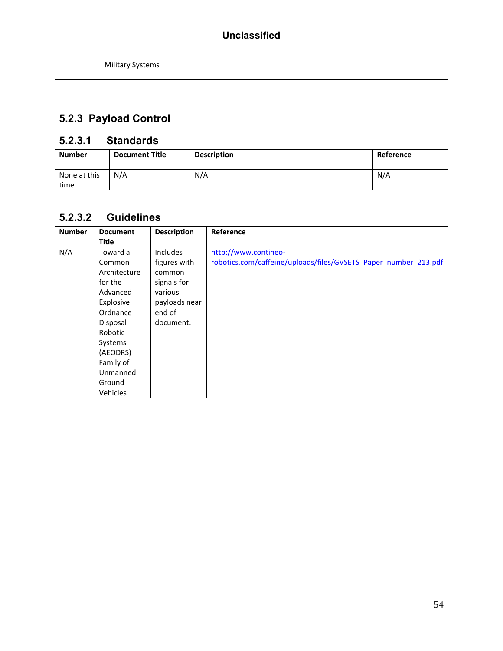| Militar<br>tems۔ |  |
|------------------|--|
|                  |  |

# **5.2.3 Payload Control**

#### **5.2.3.1 Standards**

| <b>Number</b>        | <b>Document Title</b> | <b>Description</b> | Reference |
|----------------------|-----------------------|--------------------|-----------|
| None at this<br>time | N/A                   | N/A                | N/A       |

## **5.2.3.2 Guidelines**

| <b>Number</b> | <b>Document</b> | <b>Description</b> | Reference                                                       |
|---------------|-----------------|--------------------|-----------------------------------------------------------------|
|               | <b>Title</b>    |                    |                                                                 |
| N/A           | Toward a        | <b>Includes</b>    | http://www.contineo-                                            |
|               | Common          | figures with       | robotics.com/caffeine/uploads/files/GVSETS Paper number 213.pdf |
|               | Architecture    | common             |                                                                 |
|               | for the         | signals for        |                                                                 |
|               | Advanced        | various            |                                                                 |
|               | Explosive       | payloads near      |                                                                 |
|               | Ordnance        | end of             |                                                                 |
|               | Disposal        | document.          |                                                                 |
|               | Robotic         |                    |                                                                 |
|               | Systems         |                    |                                                                 |
|               | (AEODRS)        |                    |                                                                 |
|               | Family of       |                    |                                                                 |
|               | Unmanned        |                    |                                                                 |
|               | Ground          |                    |                                                                 |
|               | Vehicles        |                    |                                                                 |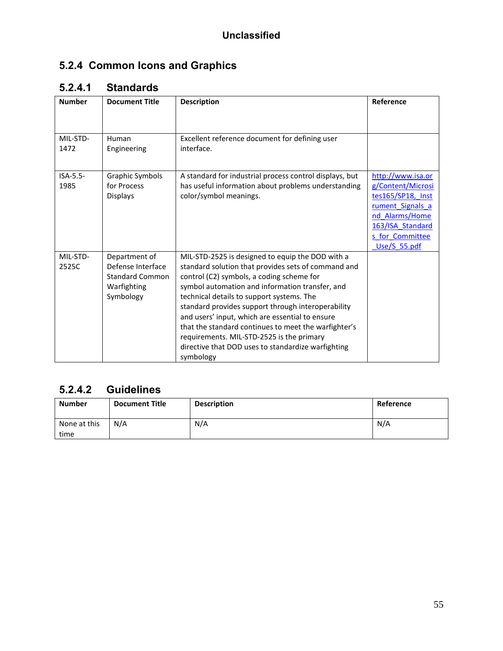# **5.2.4 Common Icons and Graphics**

| <b>Number</b>      | <b>Document Title</b>                                                                    | <b>Description</b>                                                                                                                                                                                                                                                                                                                                                                                                                                                                                                                    | Reference                                                                                                                                                |
|--------------------|------------------------------------------------------------------------------------------|---------------------------------------------------------------------------------------------------------------------------------------------------------------------------------------------------------------------------------------------------------------------------------------------------------------------------------------------------------------------------------------------------------------------------------------------------------------------------------------------------------------------------------------|----------------------------------------------------------------------------------------------------------------------------------------------------------|
|                    |                                                                                          |                                                                                                                                                                                                                                                                                                                                                                                                                                                                                                                                       |                                                                                                                                                          |
| MIL-STD-<br>1472   | Human<br>Engineering                                                                     | Excellent reference document for defining user<br>interface.                                                                                                                                                                                                                                                                                                                                                                                                                                                                          |                                                                                                                                                          |
| $ISA-5.5-$<br>1985 | Graphic Symbols<br>for Process<br><b>Displays</b>                                        | A standard for industrial process control displays, but<br>has useful information about problems understanding<br>color/symbol meanings.                                                                                                                                                                                                                                                                                                                                                                                              | http://www.isa.or<br>g/Content/Microsi<br>tes165/SP18, Inst<br>rument Signals a<br>nd Alarms/Home<br>163/ISA Standard<br>s for Committee<br>Use/S 55.pdf |
| MIL-STD-<br>2525C  | Department of<br>Defense Interface<br><b>Standard Common</b><br>Warfighting<br>Symbology | MIL-STD-2525 is designed to equip the DOD with a<br>standard solution that provides sets of command and<br>control (C2) symbols, a coding scheme for<br>symbol automation and information transfer, and<br>technical details to support systems. The<br>standard provides support through interoperability<br>and users' input, which are essential to ensure<br>that the standard continues to meet the warfighter's<br>requirements. MIL-STD-2525 is the primary<br>directive that DOD uses to standardize warfighting<br>symbology |                                                                                                                                                          |

#### **5.2.4.1 Standards**

## **5.2.4.2 Guidelines**

| <b>Number</b>        | <b>Document Title</b> | <b>Description</b> | Reference |
|----------------------|-----------------------|--------------------|-----------|
| None at this<br>time | N/A                   | N/A                | N/A       |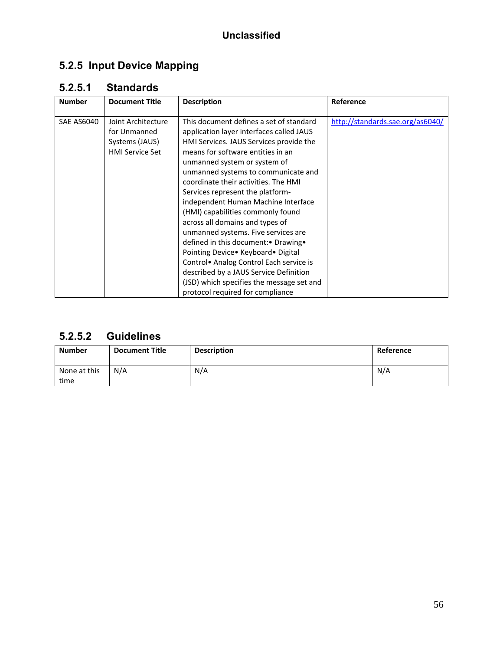# **5.2.5 Input Device Mapping**

## **5.2.5.1 Standards**

| <b>Number</b> | <b>Document Title</b>                                                          | <b>Description</b>                                                                                                                                                                                                                                                                                                                                                                                                                                                                                                                                                                                                                                                                                                                  | Reference                        |
|---------------|--------------------------------------------------------------------------------|-------------------------------------------------------------------------------------------------------------------------------------------------------------------------------------------------------------------------------------------------------------------------------------------------------------------------------------------------------------------------------------------------------------------------------------------------------------------------------------------------------------------------------------------------------------------------------------------------------------------------------------------------------------------------------------------------------------------------------------|----------------------------------|
| SAE AS6040    | Joint Architecture<br>for Unmanned<br>Systems (JAUS)<br><b>HMI Service Set</b> | This document defines a set of standard<br>application layer interfaces called JAUS<br>HMI Services. JAUS Services provide the<br>means for software entities in an<br>unmanned system or system of<br>unmanned systems to communicate and<br>coordinate their activities. The HMI<br>Services represent the platform-<br>independent Human Machine Interface<br>(HMI) capabilities commonly found<br>across all domains and types of<br>unmanned systems. Five services are<br>defined in this document: • Drawing •<br>Pointing Device • Keyboard • Digital<br>Control• Analog Control Each service is<br>described by a JAUS Service Definition<br>(JSD) which specifies the message set and<br>protocol required for compliance | http://standards.sae.org/as6040/ |

#### **5.2.5.2 Guidelines**

| <b>Number</b>        | <b>Document Title</b> | <b>Description</b> | Reference |
|----------------------|-----------------------|--------------------|-----------|
| None at this<br>time | N/A                   | N/A                | N/A       |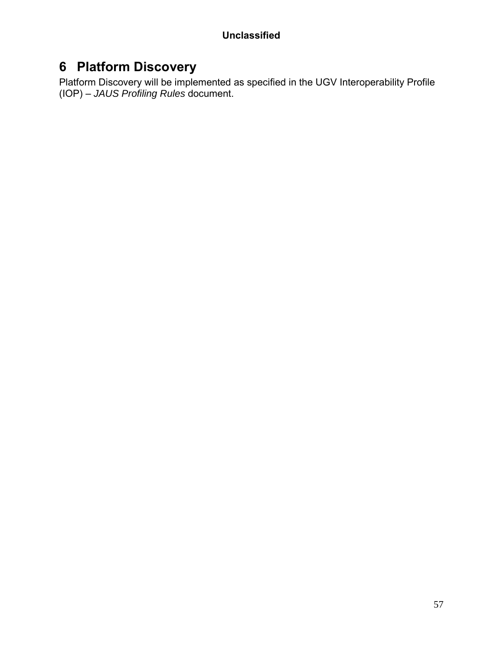# **6 Platform Discovery**

Platform Discovery will be implemented as specified in the UGV Interoperability Profile (IOP) – *JAUS Profiling Rules* document.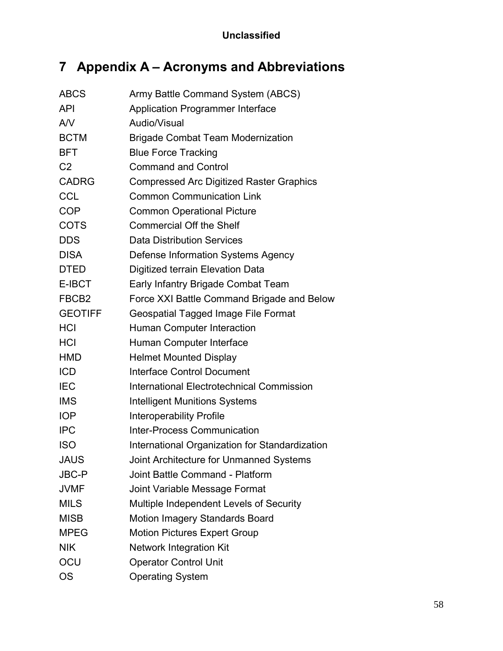# **7 Appendix A – Acronyms and Abbreviations**

| <b>ABCS</b>       | Army Battle Command System (ABCS)                |
|-------------------|--------------------------------------------------|
| API               | <b>Application Programmer Interface</b>          |
| A/V               | Audio/Visual                                     |
| <b>BCTM</b>       | <b>Brigade Combat Team Modernization</b>         |
| <b>BFT</b>        | <b>Blue Force Tracking</b>                       |
| C <sub>2</sub>    | <b>Command and Control</b>                       |
| <b>CADRG</b>      | <b>Compressed Arc Digitized Raster Graphics</b>  |
| <b>CCL</b>        | <b>Common Communication Link</b>                 |
| <b>COP</b>        | <b>Common Operational Picture</b>                |
| <b>COTS</b>       | <b>Commercial Off the Shelf</b>                  |
| <b>DDS</b>        | <b>Data Distribution Services</b>                |
| <b>DISA</b>       | Defense Information Systems Agency               |
| <b>DTED</b>       | Digitized terrain Elevation Data                 |
| E-IBCT            | Early Infantry Brigade Combat Team               |
| FBCB <sub>2</sub> | Force XXI Battle Command Brigade and Below       |
| <b>GEOTIFF</b>    | Geospatial Tagged Image File Format              |
| HCI               | <b>Human Computer Interaction</b>                |
| <b>HCI</b>        | Human Computer Interface                         |
| HMD               | <b>Helmet Mounted Display</b>                    |
| <b>ICD</b>        | <b>Interface Control Document</b>                |
| IEC               | <b>International Electrotechnical Commission</b> |
| <b>IMS</b>        | <b>Intelligent Munitions Systems</b>             |
| <b>IOP</b>        | <b>Interoperability Profile</b>                  |
| <b>IPC</b>        | <b>Inter-Process Communication</b>               |
| <b>ISO</b>        | International Organization for Standardization   |
| <b>JAUS</b>       | Joint Architecture for Unmanned Systems          |
| <b>JBC-P</b>      | Joint Battle Command - Platform                  |
| <b>JVMF</b>       | Joint Variable Message Format                    |
| <b>MILS</b>       | Multiple Independent Levels of Security          |
| <b>MISB</b>       | Motion Imagery Standards Board                   |
| <b>MPEG</b>       | <b>Motion Pictures Expert Group</b>              |
| <b>NIK</b>        | <b>Network Integration Kit</b>                   |
| OCU               | <b>Operator Control Unit</b>                     |
| <b>OS</b>         | <b>Operating System</b>                          |